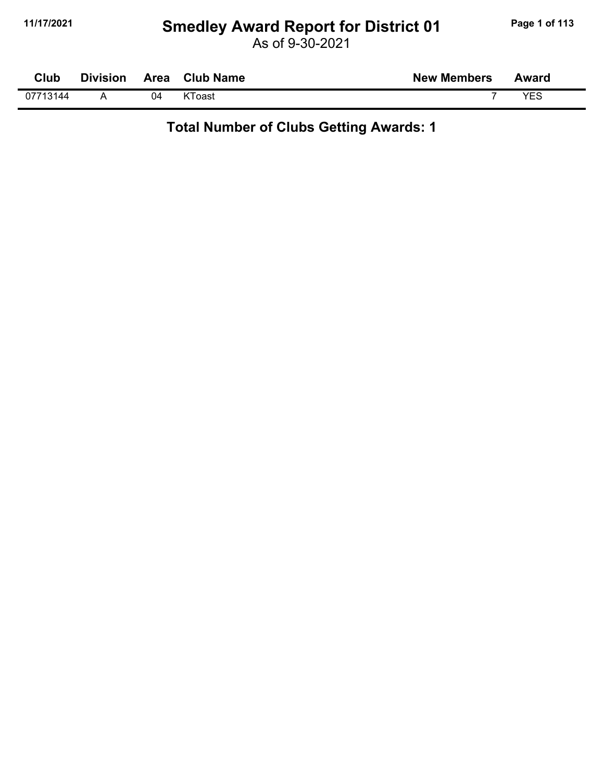### **11/17/2021 Smedley Award Report for District 01 Page 1 of 113**

As of 9-30-2021

| Club     | <b>Division</b> | Area | <b>Club Name</b> | <b>New Members</b> | <b>Award</b> |
|----------|-----------------|------|------------------|--------------------|--------------|
| 07713144 |                 | 04   | KToast           |                    | VES          |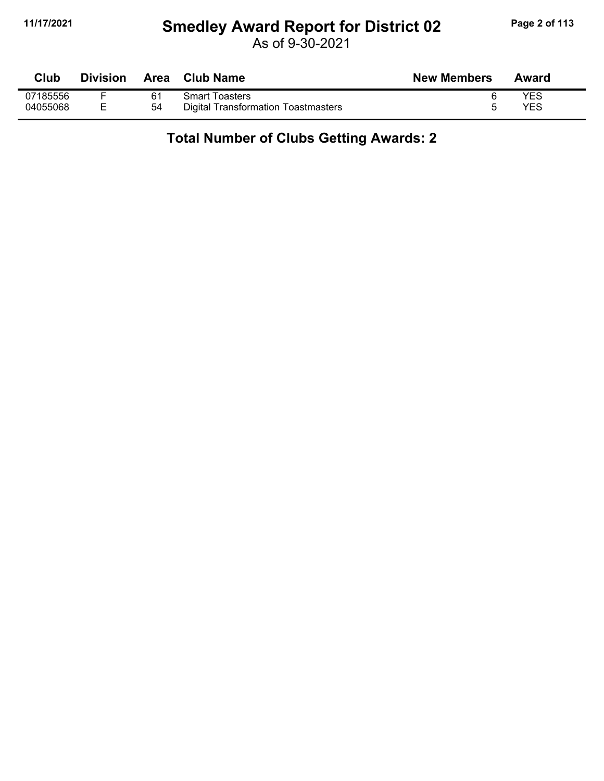#### **11/17/2021 Smedley Award Report for District 02 Page 2 of 113**

As of 9-30-2021

| Club     | <b>Division</b> | Area | <b>Club Name</b>                    | <b>New Members</b> | Award |
|----------|-----------------|------|-------------------------------------|--------------------|-------|
| 07185556 |                 | 61   | <b>Smart Toasters</b>               |                    | YES   |
| 04055068 |                 | 54   | Digital Transformation Toastmasters |                    | YES   |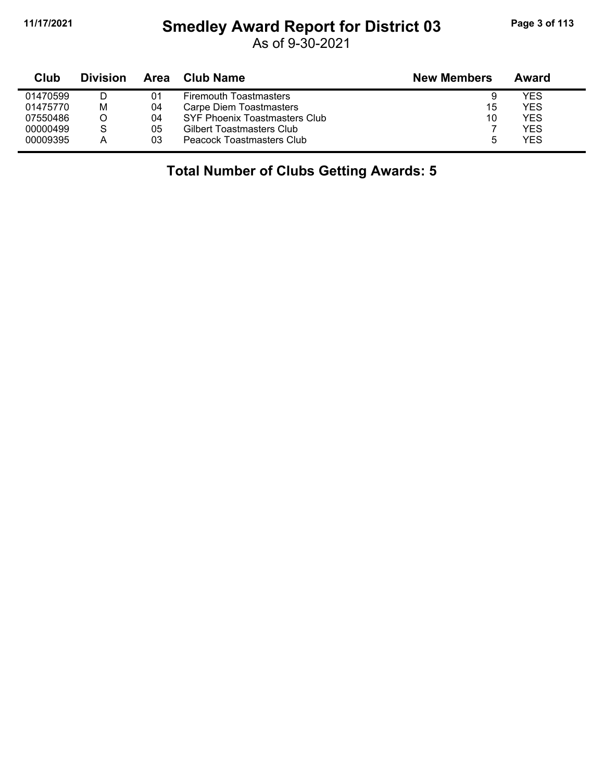## **11/17/2021 Smedley Award Report for District 03 Page 3 of 113**

As of 9-30-2021

| Club     | <b>Division</b> | Area | Club Name                     | <b>New Members</b> | Award |
|----------|-----------------|------|-------------------------------|--------------------|-------|
| 01470599 |                 | 01   | <b>Firemouth Toastmasters</b> |                    | YES   |
| 01475770 | Μ               | 04   | Carpe Diem Toastmasters       | 15                 | YES.  |
| 07550486 |                 | 04   | SYF Phoenix Toastmasters Club | 10                 | YES   |
| 00000499 |                 | 05   | Gilbert Toastmasters Club     |                    | YES   |
| 00009395 |                 | 03   | Peacock Toastmasters Club     |                    | YES   |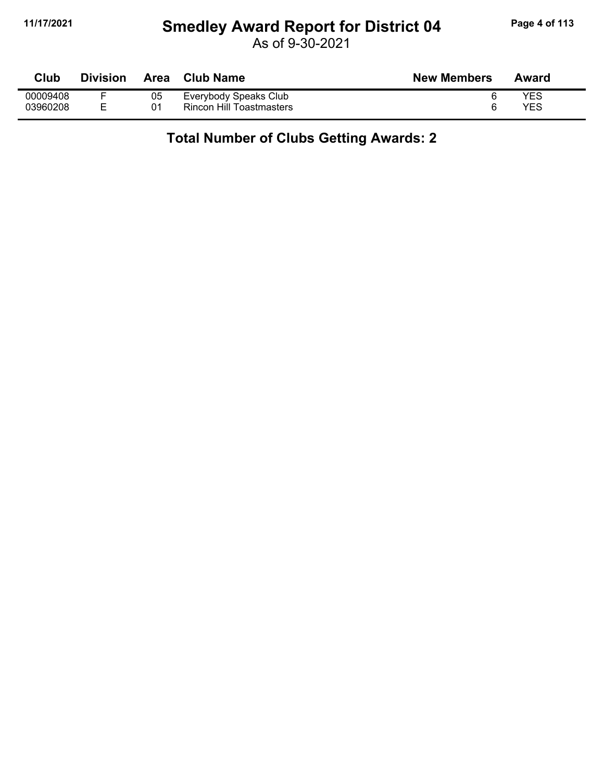#### **11/17/2021 Smedley Award Report for District 04 Page 4 of 113**

As of 9-30-2021

| Club     | <b>Division</b> | Area | <b>Club Name</b>                | <b>New Members</b> | Award |
|----------|-----------------|------|---------------------------------|--------------------|-------|
| 00009408 |                 | 05   | Everybody Speaks Club           |                    | YES   |
| 03960208 |                 | 01   | <b>Rincon Hill Toastmasters</b> |                    | YES   |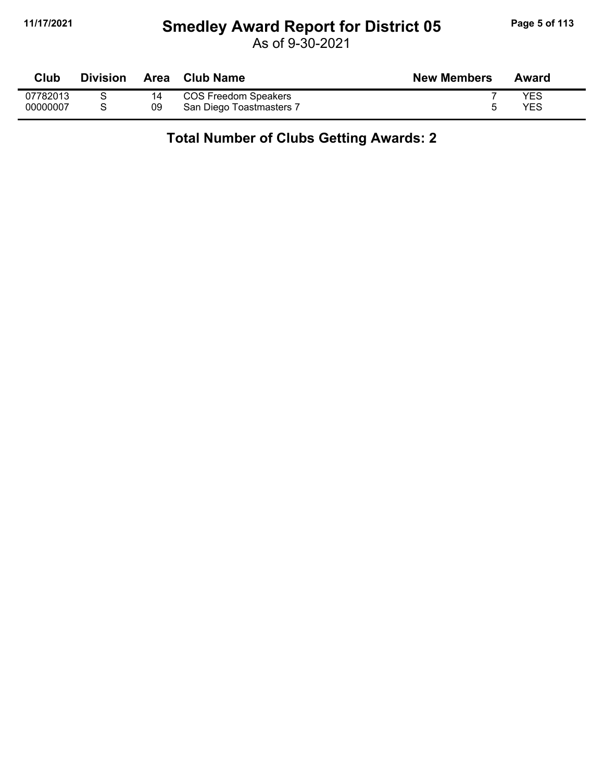#### **11/17/2021 Smedley Award Report for District 05 Page 5 of 113**

As of 9-30-2021

| Club     | <b>Division</b> |    | Area Club Name           | <b>New Members</b> | Award |
|----------|-----------------|----|--------------------------|--------------------|-------|
| 07782013 |                 |    | COS Freedom Speakers     |                    | YES   |
| 00000007 |                 | 09 | San Diego Toastmasters 7 |                    | YES   |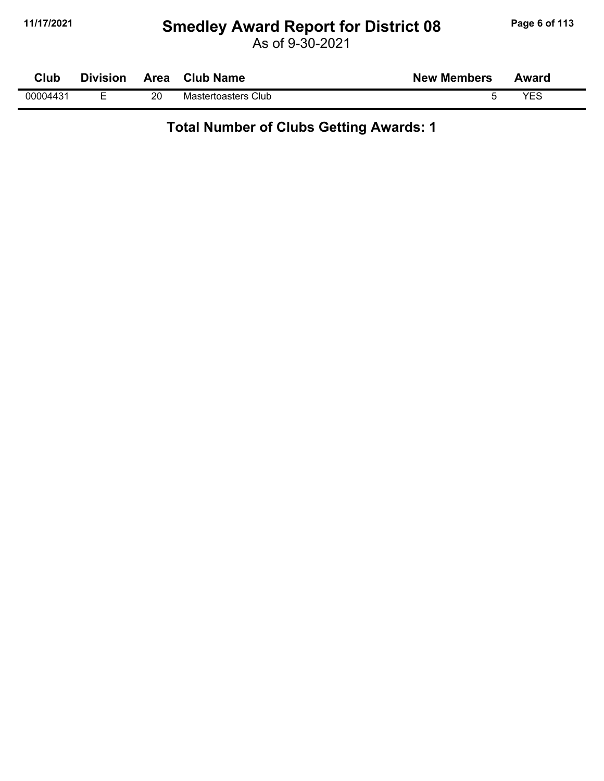#### **11/17/2021 Smedley Award Report for District 08 Page 6 of 113**

As of 9-30-2021

| Club     | Division | <b>Area</b> | <b>Club Name</b>    | <b>New Members</b> | Award |
|----------|----------|-------------|---------------------|--------------------|-------|
| 00004431 | -        | 20          | Mastertoasters Club |                    | VES   |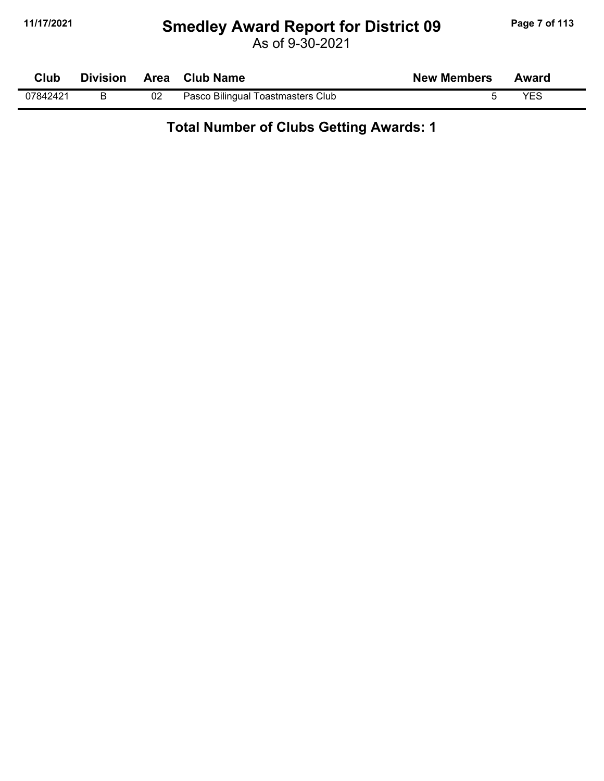#### **11/17/2021 Smedley Award Report for District 09 Page 7 of 113**

As of 9-30-2021

| Club     | <b>Division</b> |    | Area Club Name                    | <b>New Members</b> | Award |  |
|----------|-----------------|----|-----------------------------------|--------------------|-------|--|
| 07842421 |                 | 02 | Pasco Bilingual Toastmasters Club |                    | YES   |  |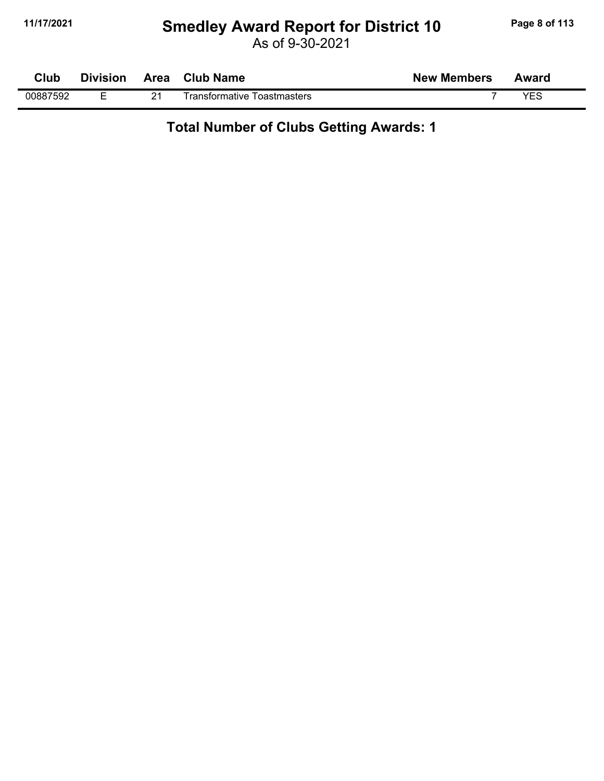#### **11/17/2021 Smedley Award Report for District 10 Page 8 of 113**

As of 9-30-2021

| Club     | <b>Division</b> | Area    | <b>Club Name</b>                 | <b>New Members</b> | Award      |  |
|----------|-----------------|---------|----------------------------------|--------------------|------------|--|
| 00887592 | _               | 04<br>- | Transformative ⊺<br>Toastmasters |                    | <b>VEC</b> |  |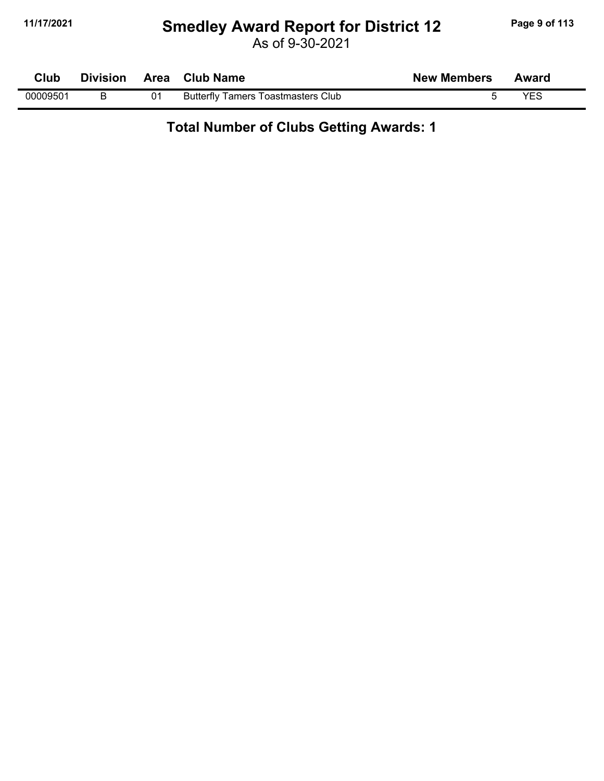#### **11/17/2021 Smedley Award Report for District 12 Page 9 of 113**

As of 9-30-2021

| Club     | <b>Division</b> |    | Area Club Name                            | <b>New Members</b> | Award |  |
|----------|-----------------|----|-------------------------------------------|--------------------|-------|--|
| 00009501 |                 | 01 | <b>Butterfly Tamers Toastmasters Club</b> |                    | VES   |  |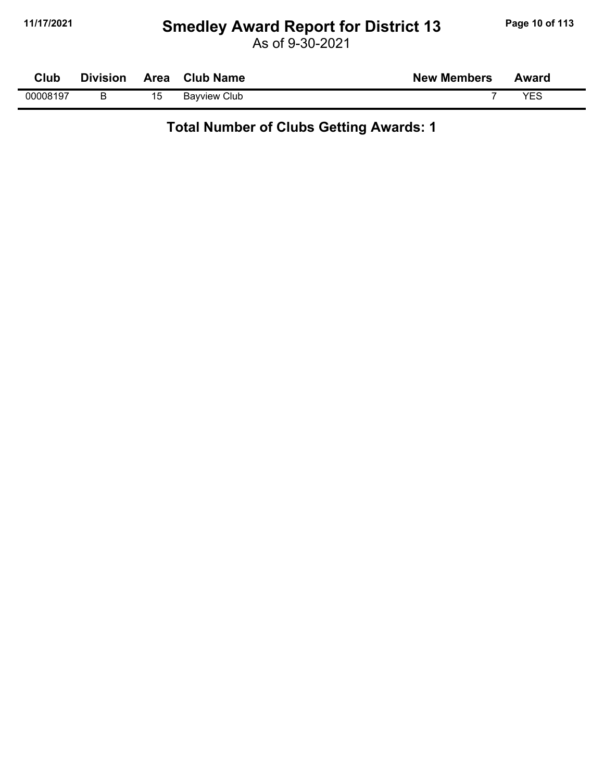### **11/17/2021 Smedley Award Report for District 13 Page 10 of 113**

As of 9-30-2021

| Club     | <b>Division</b> |    | Area Club Name      | <b>New Members</b> | Award |  |
|----------|-----------------|----|---------------------|--------------------|-------|--|
| 00008197 |                 | 15 | <b>Bayview Club</b> |                    | VES   |  |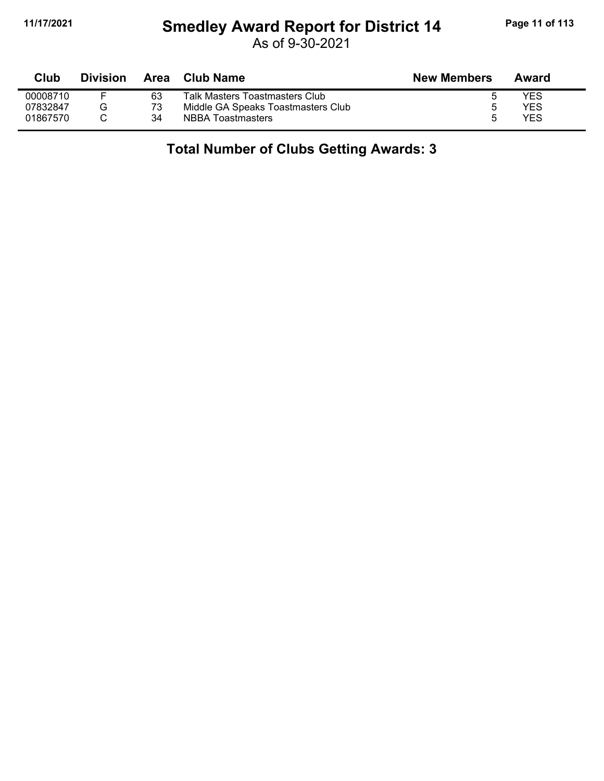## **11/17/2021 Smedley Award Report for District 14 Page 11 of 113**

As of 9-30-2021

| Club     | <b>Division</b> | Area | Club Name                          | <b>New Members</b> | Award |
|----------|-----------------|------|------------------------------------|--------------------|-------|
| 00008710 |                 | 63   | Talk Masters Toastmasters Club     |                    | YES   |
| 07832847 |                 | 73   | Middle GA Speaks Toastmasters Club |                    | YES   |
| 01867570 |                 | 34   | <b>NBBA Toastmasters</b>           | г,                 | YES   |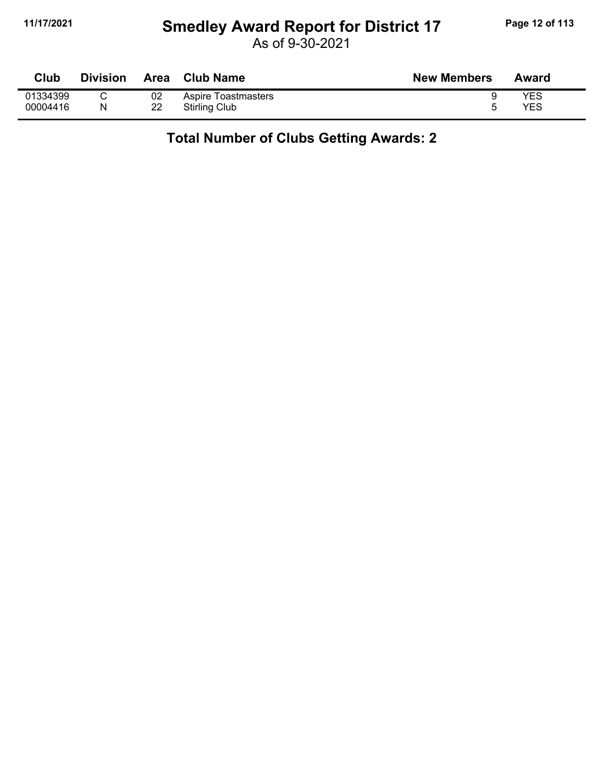#### **11/17/2021 Smedley Award Report for District 17 Page 12 of 113**

As of 9-30-2021

| Club     | Division | <b>Area</b> | <b>Club Name</b>    | <b>New Members</b> | Award |
|----------|----------|-------------|---------------------|--------------------|-------|
| 01334399 |          | 02          | Aspire Toastmasters |                    | YES   |
| 00004416 | N        | 22          | Stirling Club       |                    | YES   |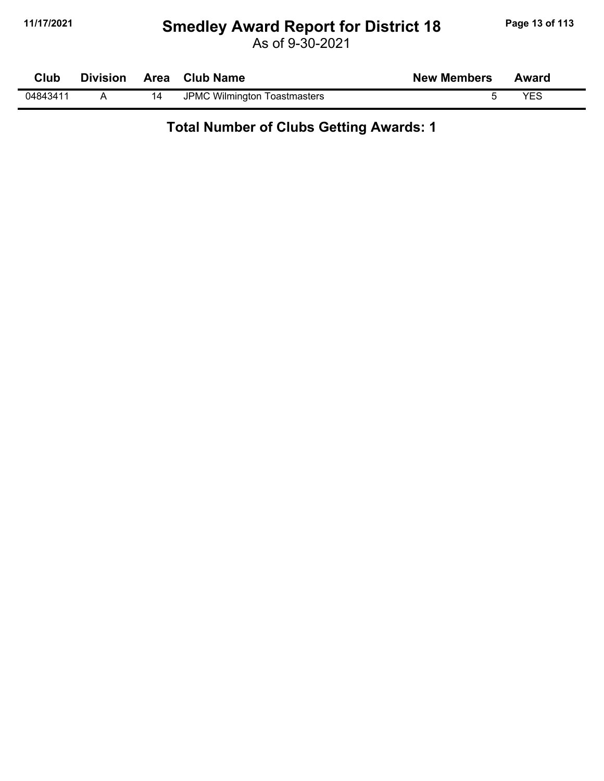#### **11/17/2021 Smedley Award Report for District 18 Page 13 of 113**

As of 9-30-2021

| <b>Club</b> | <b>Division</b> |    | Area Club Name               | <b>New Members</b> | Award |
|-------------|-----------------|----|------------------------------|--------------------|-------|
| 04843411    |                 | 14 | JPMC Wilmington Toastmasters |                    | VES   |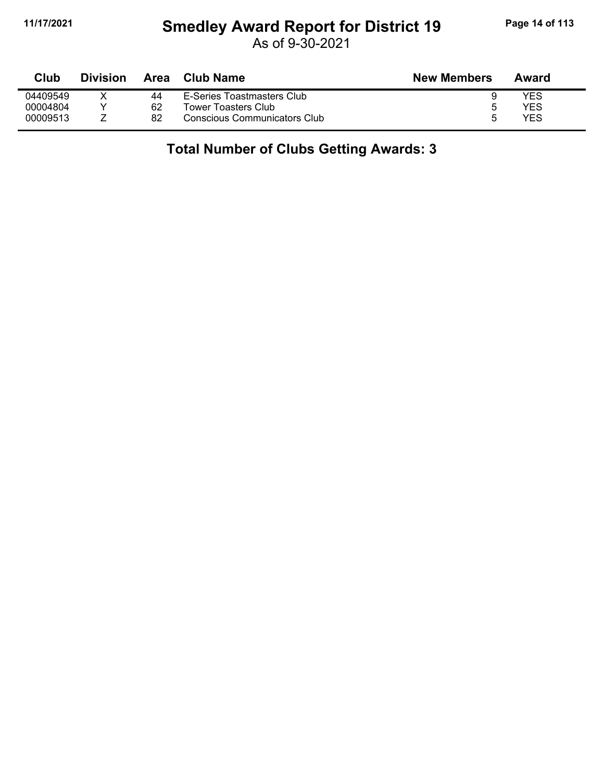## **11/17/2021 Smedley Award Report for District 19 Page 14 of 113**

As of 9-30-2021

| Club     | <b>Division</b> | Area | <b>Club Name</b>                    | <b>New Members</b> | Award |
|----------|-----------------|------|-------------------------------------|--------------------|-------|
| 04409549 |                 | 44   | E-Series Toastmasters Club          |                    | YES   |
| 00004804 |                 | 62   | Tower Toasters Club                 | ∽                  | YES   |
| 00009513 |                 | 82   | <b>Conscious Communicators Club</b> | h                  | YES   |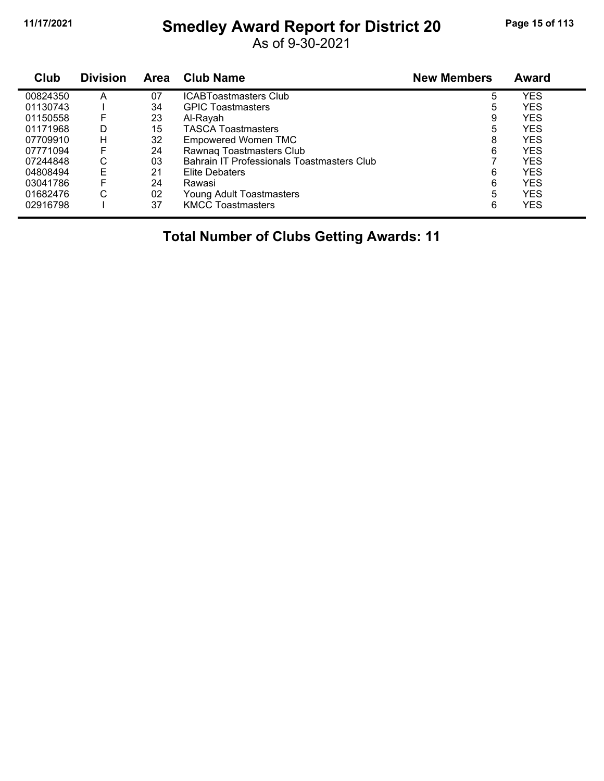#### **11/17/2021 Smedley Award Report for District 20 Page 15 of 113**

As of 9-30-2021

| Club     | <b>Division</b> | <b>Area</b> | <b>Club Name</b>                           | <b>New Members</b> | <b>Award</b> |
|----------|-----------------|-------------|--------------------------------------------|--------------------|--------------|
| 00824350 | А               | 07          | <b>ICABToastmasters Club</b>               | 5                  | <b>YES</b>   |
| 01130743 |                 | 34          | <b>GPIC Toastmasters</b>                   | 5                  | <b>YES</b>   |
| 01150558 | F               | 23          | Al-Rayah                                   | 9                  | YES          |
| 01171968 | D               | 15          | <b>TASCA Toastmasters</b>                  | 5                  | <b>YES</b>   |
| 07709910 | н               | 32          | Empowered Women TMC                        | 8                  | <b>YES</b>   |
| 07771094 | F               | 24          | Rawnaq Toastmasters Club                   | 6                  | <b>YES</b>   |
| 07244848 | С               | 03          | Bahrain IT Professionals Toastmasters Club |                    | <b>YES</b>   |
| 04808494 | E               | 21          | Elite Debaters                             | 6                  | <b>YES</b>   |
| 03041786 | F               | 24          | Rawasi                                     | 6                  | YES          |
| 01682476 | С               | 02          | Young Adult Toastmasters                   | 5                  | <b>YES</b>   |
| 02916798 |                 | 37          | <b>KMCC Toastmasters</b>                   | 6                  | <b>YES</b>   |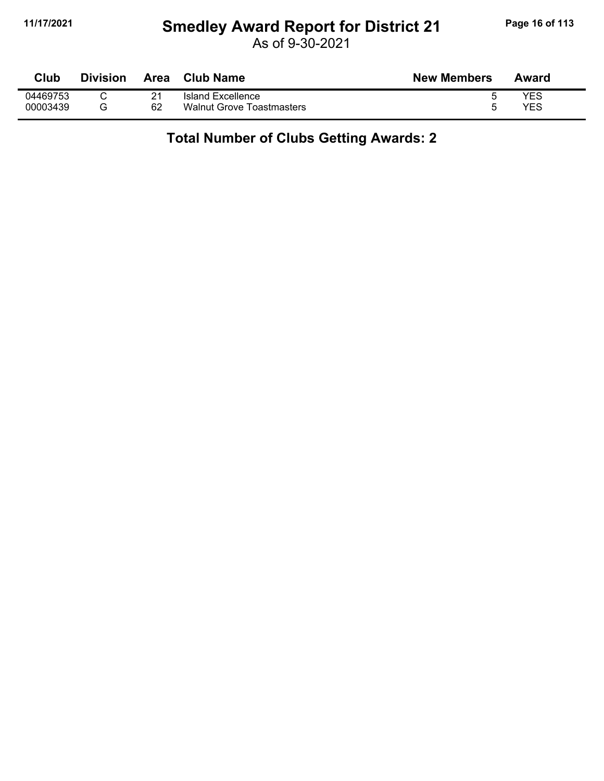#### **11/17/2021 Smedley Award Report for District 21 Page 16 of 113**

As of 9-30-2021

| Club     | Division | Area | <b>Club Name</b>                 | <b>New Members</b> | Award |
|----------|----------|------|----------------------------------|--------------------|-------|
| 04469753 |          | 21   | Island Excellence                |                    | YES   |
| 00003439 |          | 62   | <b>Walnut Grove Toastmasters</b> |                    | YES   |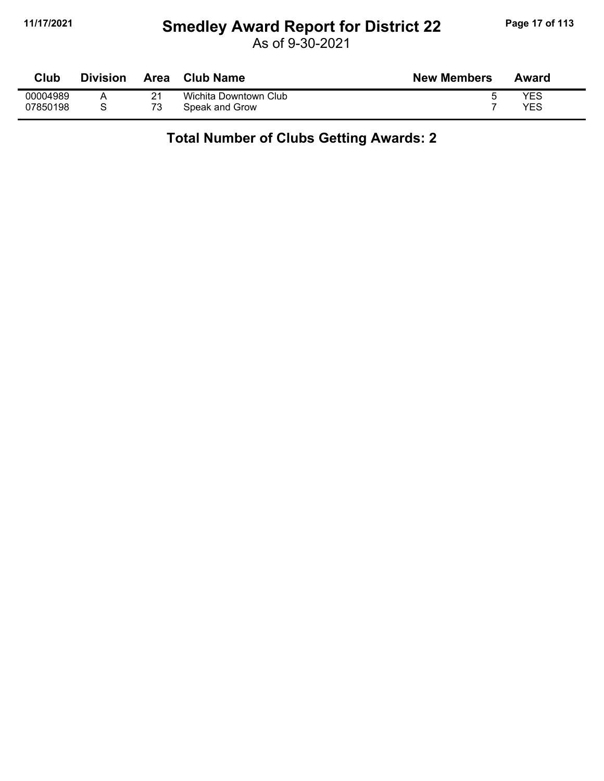#### **11/17/2021 Smedley Award Report for District 22 Page 17 of 113**

As of 9-30-2021

| Club     | Division | Area | <b>Club Name</b>      | <b>New Members</b> | Award |
|----------|----------|------|-----------------------|--------------------|-------|
| 00004989 |          |      | Wichita Downtown Club |                    | YES   |
| 07850198 |          | 73   | Speak and Grow        |                    | YES   |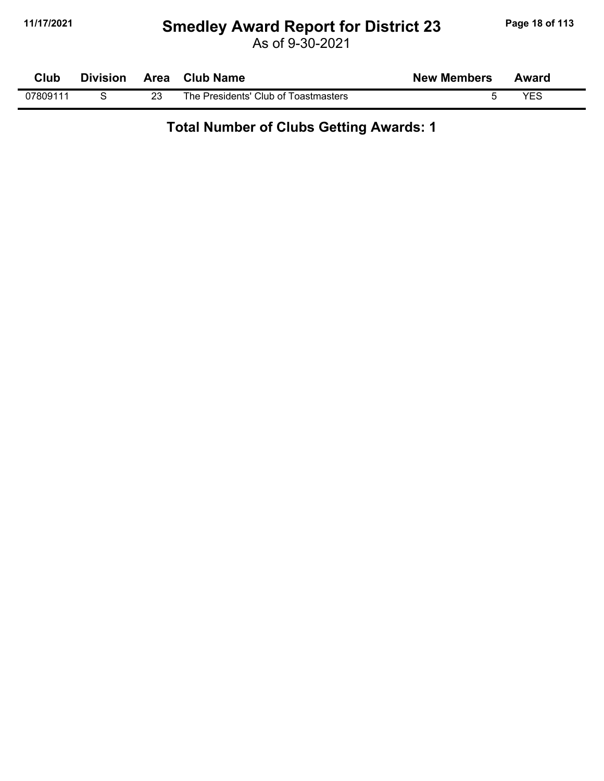#### **11/17/2021 Smedley Award Report for District 23 Page 18 of 113**

As of 9-30-2021

| <b>Club</b> | <b>Division</b> | Area | Club Name                            | <b>New Members</b> | Award |  |
|-------------|-----------------|------|--------------------------------------|--------------------|-------|--|
| 07809111    |                 | 23   | The Presidents' Club of Toastmasters |                    | VES   |  |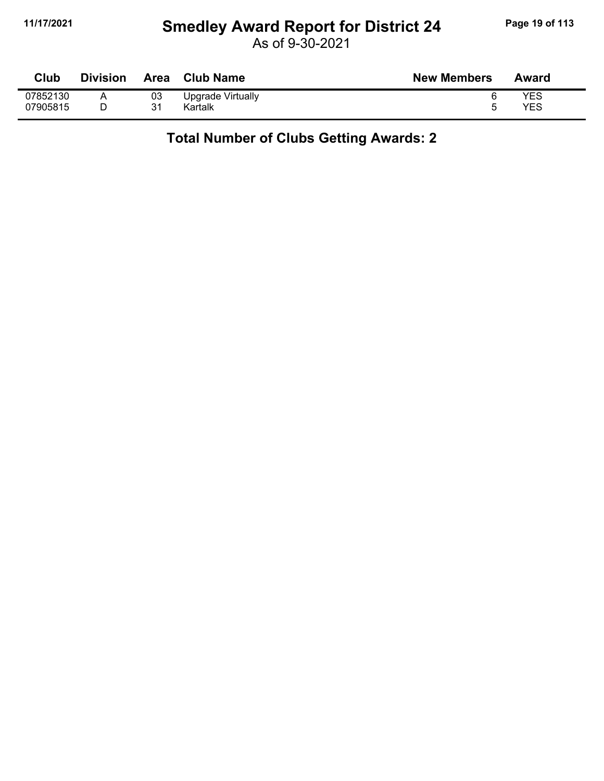#### **11/17/2021 Smedley Award Report for District 24 Page 19 of 113**

As of 9-30-2021

| Club     | <b>Division</b> | <b>Area</b> | <b>Club Name</b>  | <b>New Members</b> | Award |
|----------|-----------------|-------------|-------------------|--------------------|-------|
| 07852130 |                 | 03          | Upgrade Virtually |                    | YES   |
| 07905815 |                 | 31          | Kartalk           |                    | YES   |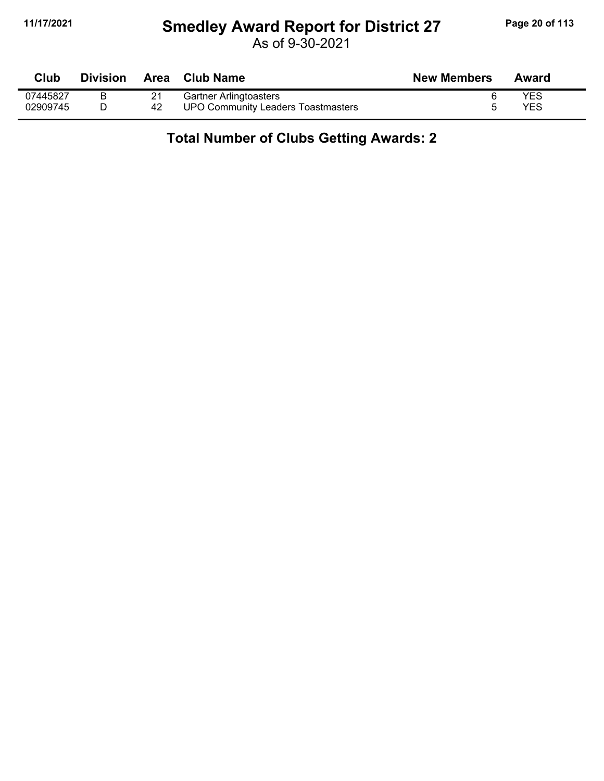#### **11/17/2021 Smedley Award Report for District 27 Page 20 of 113**

As of 9-30-2021

| <b>Club</b> | <b>Division</b> | Area | <b>Club Name</b>                          | <b>New Members</b> | Award      |
|-------------|-----------------|------|-------------------------------------------|--------------------|------------|
| 07445827    |                 |      | <b>Gartner Arlingtoasters</b>             |                    | YES        |
| 02909745    |                 | 42   | <b>UPO Community Leaders Toastmasters</b> |                    | <b>YES</b> |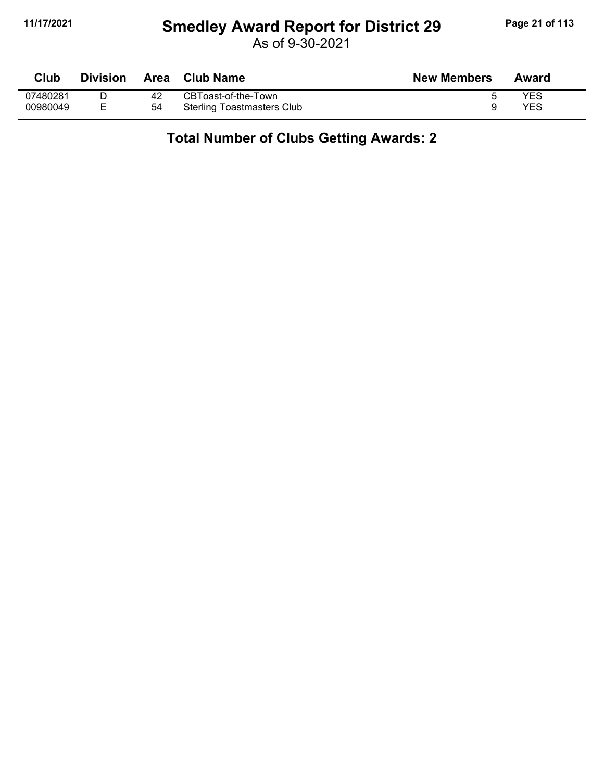#### **11/17/2021 Smedley Award Report for District 29 Page 21 of 113**

As of 9-30-2021

| Club     | <b>Division</b> | <b>Area</b> | <b>Club Name</b>                  | <b>New Members</b> | Award |
|----------|-----------------|-------------|-----------------------------------|--------------------|-------|
| 07480281 |                 | 42          | CBToast-of-the-Town               |                    | YES   |
| 00980049 |                 | 54          | <b>Sterling Toastmasters Club</b> |                    | YES   |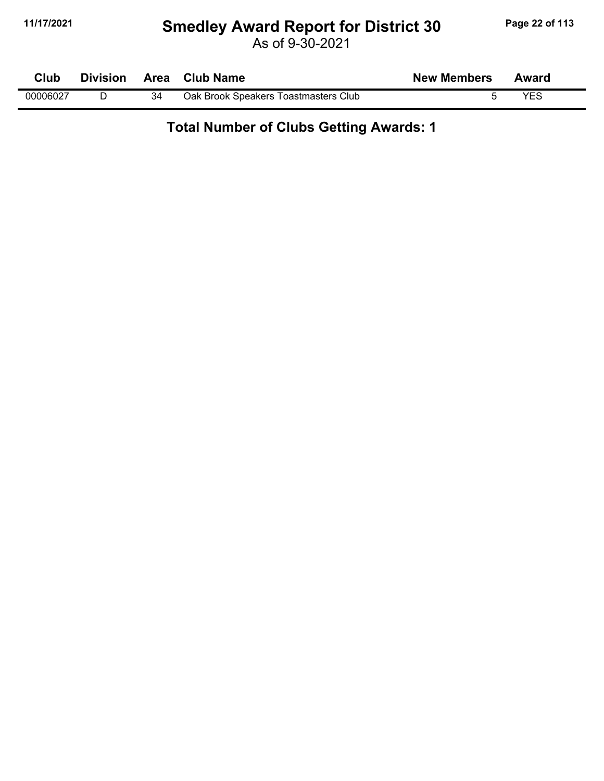#### **11/17/2021 Smedley Award Report for District 30 Page 22 of 113**

As of 9-30-2021

| Club     | <b>Division</b> | Area | <b>Club Name</b>                     | <b>New Members</b> | Award |  |
|----------|-----------------|------|--------------------------------------|--------------------|-------|--|
| 00006027 |                 | 34   | Oak Brook Speakers Toastmasters Club |                    |       |  |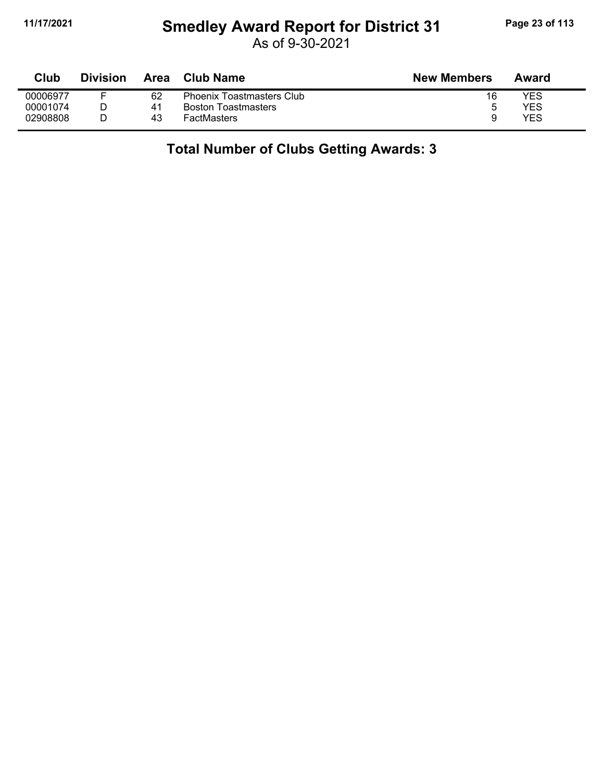## **11/17/2021 Smedley Award Report for District 31 Page 23 of 113**

As of 9-30-2021

| Club     | Division | Area | Club Name                        | <b>New Members</b> | Award |
|----------|----------|------|----------------------------------|--------------------|-------|
| 00006977 |          | 62   | <b>Phoenix Toastmasters Club</b> | 16                 | YES   |
| 00001074 |          | 41   | <b>Boston Toastmasters</b>       | b                  | YES   |
| 02908808 |          | 43   | <b>FactMasters</b>               | a                  | YES   |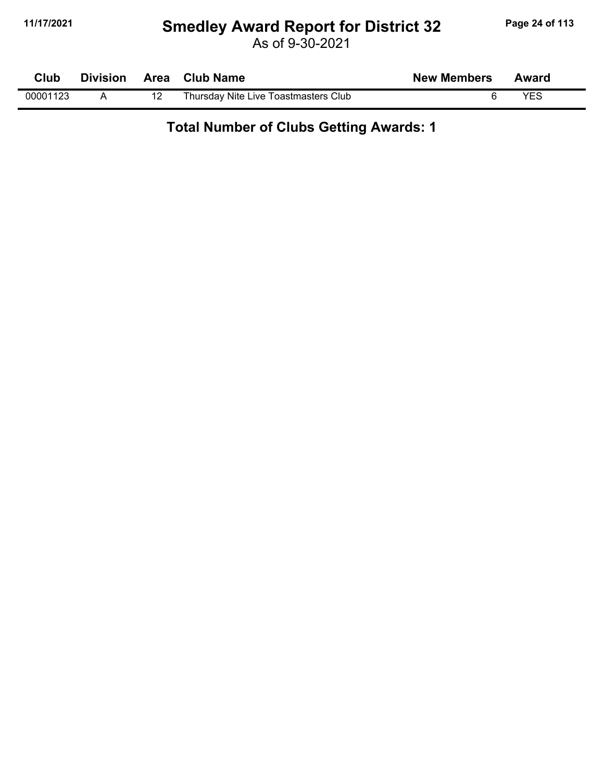#### **11/17/2021 Smedley Award Report for District 32 Page 24 of 113**

As of 9-30-2021

| Club     | <b>Division</b> | Area Club Name                       | <b>New Members</b> | Award |  |
|----------|-----------------|--------------------------------------|--------------------|-------|--|
| 00001123 |                 | Thursday Nite Live Toastmasters Club |                    | YES   |  |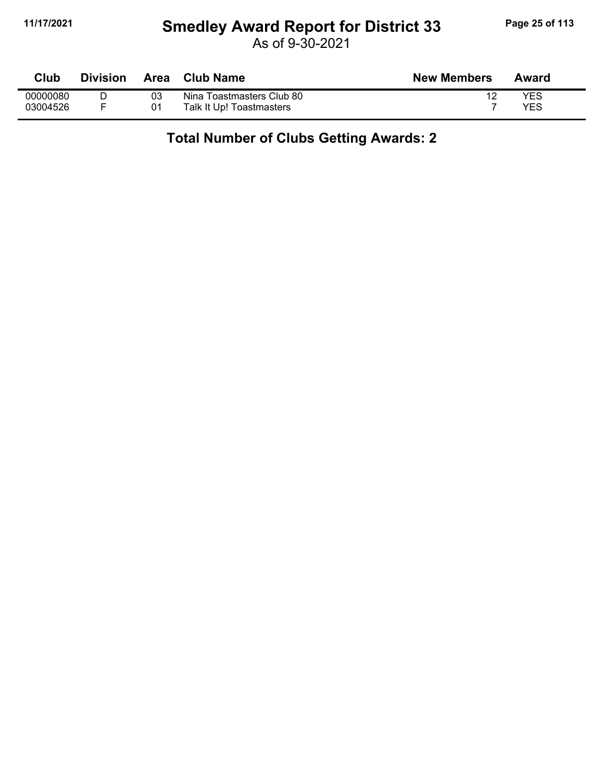#### **11/17/2021 Smedley Award Report for District 33 Page 25 of 113**

As of 9-30-2021

| Club     | <b>Division</b> | Area | <b>Club Name</b>          | <b>New Members</b> | Award |
|----------|-----------------|------|---------------------------|--------------------|-------|
| 00000080 |                 | 03   | Nina Toastmasters Club 80 |                    | YES   |
| 03004526 |                 | 01   | Talk It Up! Toastmasters  |                    | YES   |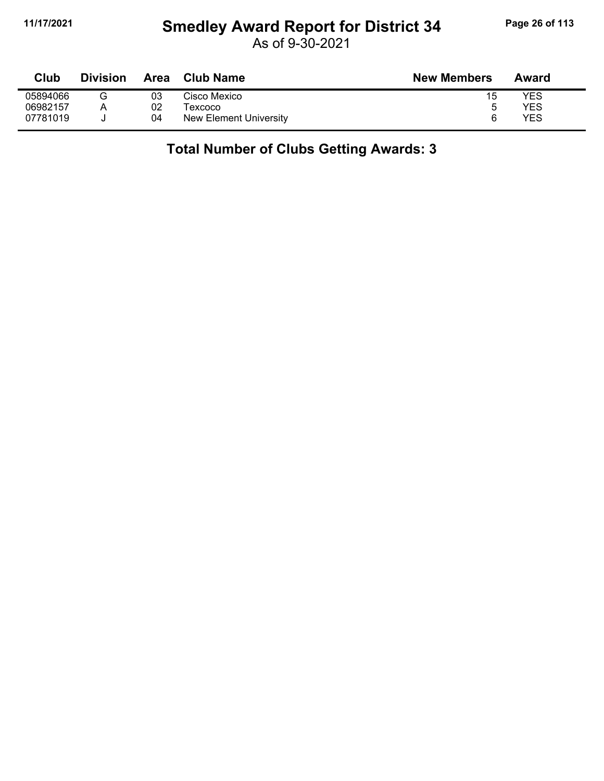## **11/17/2021 Smedley Award Report for District 34 Page 26 of 113**

As of 9-30-2021

| Club     | <b>Division</b> | <b>Area</b> | <b>Club Name</b>       | <b>New Members</b> | Award |
|----------|-----------------|-------------|------------------------|--------------------|-------|
| 05894066 |                 | 03          | Cisco Mexico           | 15                 | YES   |
| 06982157 |                 | 02          | Texcoco                | ა                  | YES   |
| 07781019 |                 | 04          | New Element University | ี                  | YES   |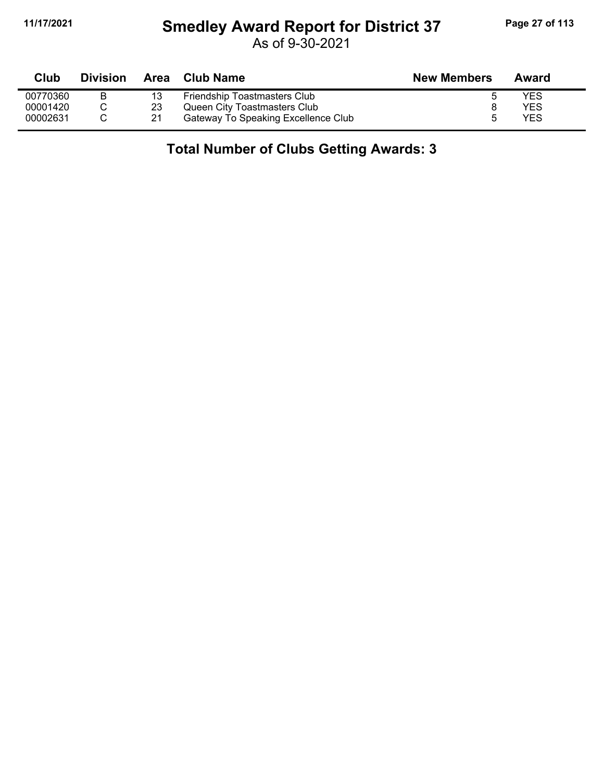## **11/17/2021 Smedley Award Report for District 37 Page 27 of 113**

As of 9-30-2021

| Club     | <b>Division</b> | Area | Club Name                           | <b>New Members</b> | Award |
|----------|-----------------|------|-------------------------------------|--------------------|-------|
| 00770360 |                 | 13   | Friendship Toastmasters Club        |                    | YES   |
| 00001420 |                 | 23   | Queen City Toastmasters Club        |                    | YES   |
| 00002631 |                 | 21   | Gateway To Speaking Excellence Club | h                  | YES   |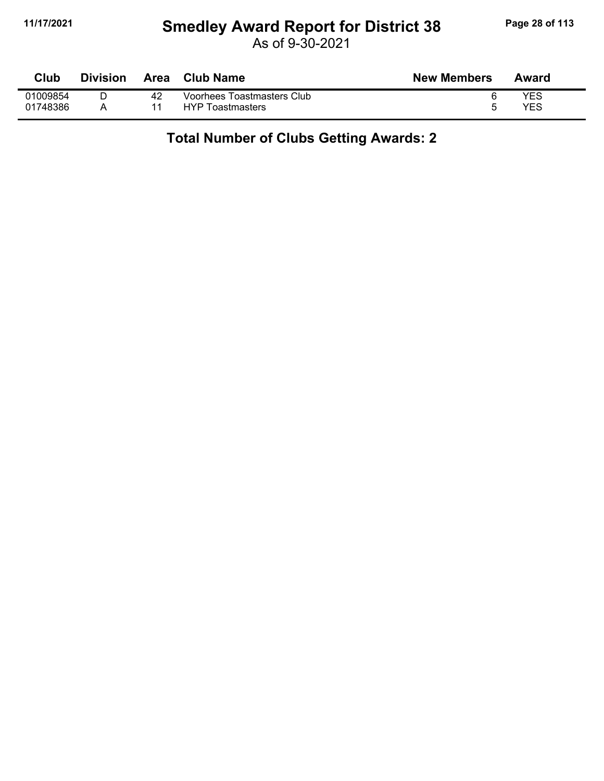#### **11/17/2021 Smedley Award Report for District 38 Page 28 of 113**

As of 9-30-2021

| Club     | <b>Division</b> |    | Area Club Name             | <b>New Members</b> | Award |
|----------|-----------------|----|----------------------------|--------------------|-------|
| 01009854 |                 | 42 | Voorhees Toastmasters Club |                    | YES   |
| 01748386 |                 |    | <b>HYP Toastmasters</b>    |                    | YES   |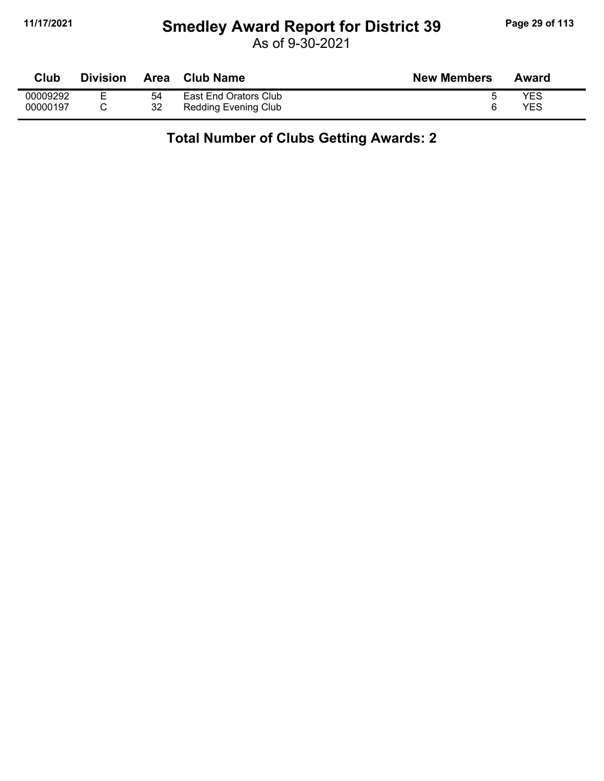## **11/17/2021 Smedley Award Report for District 39 Page 29 of 113**

As of 9-30-2021

| Club     | <b>Division</b> | <b>Area</b> | <b>Club Name</b>      | <b>New Members</b> | Award |
|----------|-----------------|-------------|-----------------------|--------------------|-------|
| 00009292 | -               | 54          | East End Orators Club |                    | YES   |
| 00000197 |                 | 32          | Redding Evening Club  |                    | YES   |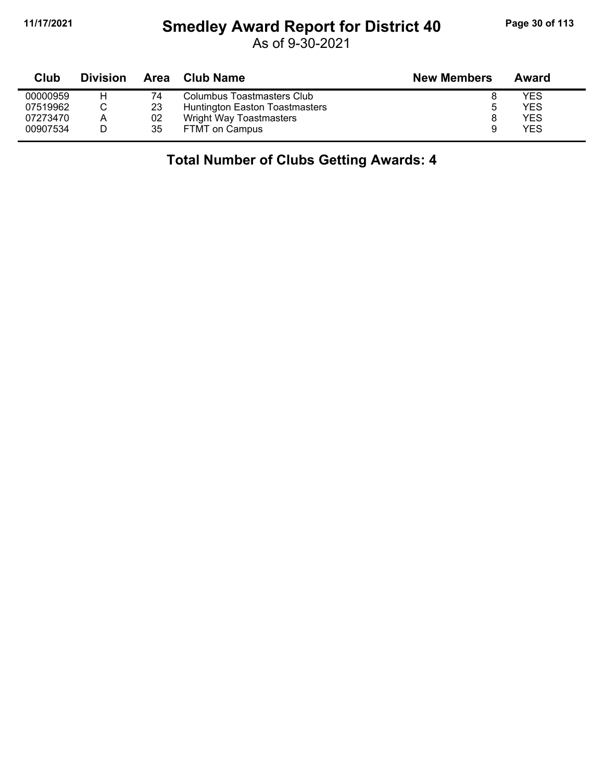## **11/17/2021 Smedley Award Report for District 40 Page 30 of 113**

As of 9-30-2021

| Club     | <b>Division</b> | Area | Club Name                      | <b>New Members</b> | Award      |
|----------|-----------------|------|--------------------------------|--------------------|------------|
| 00000959 |                 | 74   | Columbus Toastmasters Club     |                    | YES        |
| 07519962 |                 | 23   | Huntington Easton Toastmasters | ა                  | YES        |
| 07273470 | A               | 02   | Wright Way Toastmasters        |                    | YES        |
| 00907534 |                 | 35   | FTMT on Campus                 | 9                  | <b>YES</b> |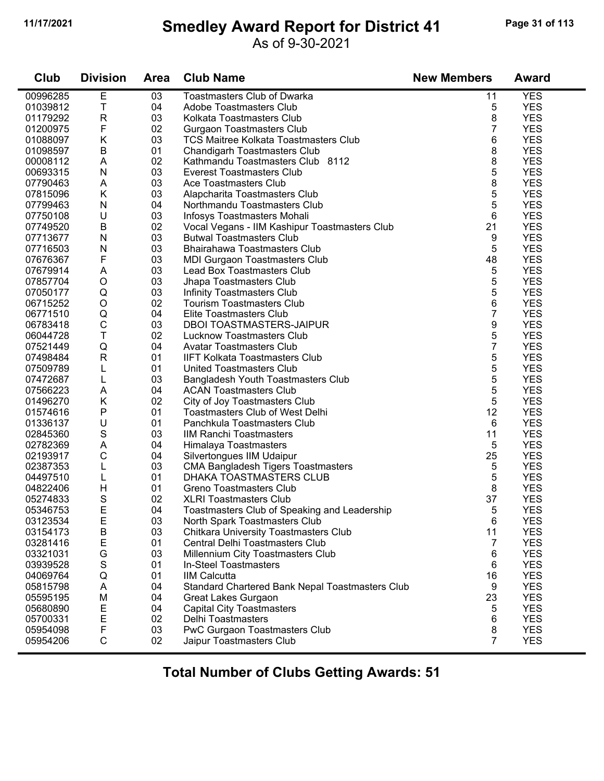## **11/17/2021 Smedley Award Report for District 41 Page 31 of 113**

#### As of 9-30-2021

| Club     | <b>Division</b> | <b>Area</b> | <b>Club Name</b>                                | <b>New Members</b> | <b>Award</b> |
|----------|-----------------|-------------|-------------------------------------------------|--------------------|--------------|
| 00996285 | E               | 03          | <b>Toastmasters Club of Dwarka</b>              | 11                 | <b>YES</b>   |
| 01039812 | T               | 04          | <b>Adobe Toastmasters Club</b>                  | 5                  | <b>YES</b>   |
| 01179292 | R               | 03          | Kolkata Toastmasters Club                       | 8                  | <b>YES</b>   |
| 01200975 | F               | 02          | <b>Gurgaon Toastmasters Club</b>                | 7                  | <b>YES</b>   |
| 01088097 | Κ               | 03          | <b>TCS Maitree Kolkata Toastmasters Club</b>    | 6                  | <b>YES</b>   |
| 01098597 | B               | 01          | <b>Chandigarh Toastmasters Club</b>             | 8                  | <b>YES</b>   |
| 00008112 | Α               | 02          | Kathmandu Toastmasters Club 8112                | 8                  | <b>YES</b>   |
| 00693315 | N               | 03          | <b>Everest Toastmasters Club</b>                | 5                  | <b>YES</b>   |
| 07790463 | Α               | 03          | Ace Toastmasters Club                           | 8                  | <b>YES</b>   |
| 07815096 | Κ               | 03          | Alapcharita Toastmasters Club                   | 5                  | <b>YES</b>   |
| 07799463 | N               | 04          | Northmandu Toastmasters Club                    | 5                  | <b>YES</b>   |
| 07750108 | U               | 03          | Infosys Toastmasters Mohali                     | 6                  | <b>YES</b>   |
| 07749520 | $\sf B$         | 02          | Vocal Vegans - IIM Kashipur Toastmasters Club   | 21                 | <b>YES</b>   |
| 07713677 | N               | 03          | <b>Butwal Toastmasters Club</b>                 | 9                  | <b>YES</b>   |
| 07716503 | N               | 03          | <b>Bhairahawa Toastmasters Club</b>             | 5                  | <b>YES</b>   |
| 07676367 | F               | 03          | <b>MDI Gurgaon Toastmasters Club</b>            | 48                 | <b>YES</b>   |
| 07679914 | A               | 03          | <b>Lead Box Toastmasters Club</b>               | 5                  | <b>YES</b>   |
| 07857704 | $\circ$         | 03          | Jhapa Toastmasters Club                         | 5                  | <b>YES</b>   |
| 07050177 | Q               | 03          | <b>Infinity Toastmasters Club</b>               | 5                  | <b>YES</b>   |
| 06715252 | $\circ$         | 02          | <b>Tourism Toastmasters Club</b>                | 6                  | <b>YES</b>   |
| 06771510 | Q               | 04          | Elite Toastmasters Club                         | 7                  | <b>YES</b>   |
| 06783418 | C               | 03          | <b>DBOI TOASTMASTERS-JAIPUR</b>                 | 9                  | <b>YES</b>   |
| 06044728 | T               | 02          | Lucknow Toastmasters Club                       | 5                  | <b>YES</b>   |
| 07521449 | Q               | 04          | <b>Avatar Toastmasters Club</b>                 | 7                  | <b>YES</b>   |
| 07498484 | $\mathsf{R}$    | 01          | <b>IIFT Kolkata Toastmasters Club</b>           | 5                  | <b>YES</b>   |
| 07509789 | L               | 01          | United Toastmasters Club                        | 5                  | <b>YES</b>   |
| 07472687 | L               | 03          | <b>Bangladesh Youth Toastmasters Club</b>       | 5                  | <b>YES</b>   |
| 07566223 | A               | 04          | <b>ACAN Toastmasters Club</b>                   | 5                  | <b>YES</b>   |
| 01496270 | Κ               | 02          | City of Joy Toastmasters Club                   | 5                  | <b>YES</b>   |
| 01574616 | Ρ               | 01          | Toastmasters Club of West Delhi                 | 12                 | <b>YES</b>   |
| 01336137 | U               | 01          | Panchkula Toastmasters Club                     | 6                  | <b>YES</b>   |
| 02845360 | S               | 03          | <b>IIM Ranchi Toastmasters</b>                  | 11                 | <b>YES</b>   |
| 02782369 | Α               | 04          | Himalaya Toastmasters                           | 5                  | <b>YES</b>   |
| 02193917 | $\mathsf C$     | 04          | Silvertongues IIM Udaipur                       | 25                 | <b>YES</b>   |
| 02387353 | L               | 03          | <b>CMA Bangladesh Tigers Toastmasters</b>       | 5                  | <b>YES</b>   |
| 04497510 | L               | 01          | DHAKA TOASTMASTERS CLUB                         | 5                  | <b>YES</b>   |
| 04822406 | Η               | 01          | <b>Greno Toastmasters Club</b>                  | 8                  | <b>YES</b>   |
| 05274833 | S               | 02          | <b>XLRI Toastmasters Club</b>                   | 37                 | <b>YES</b>   |
| 05346753 | E               | 04          | Toastmasters Club of Speaking and Leadership    | 5                  | <b>YES</b>   |
| 03123534 | E               | 03          | North Spark Toastmasters Club                   | 6                  | <b>YES</b>   |
| 03154173 |                 | 03          | Chitkara University Toastmasters Club           | 11                 | <b>YES</b>   |
| 03281416 | B<br>E          | 01          | Central Delhi Toastmasters Club                 | 7                  | <b>YES</b>   |
| 03321031 | G               | 03          |                                                 |                    | <b>YES</b>   |
|          | S               | 01          | Millennium City Toastmasters Club               | 6                  | <b>YES</b>   |
| 03939528 | Q               |             | In-Steel Toastmasters                           | 6                  | <b>YES</b>   |
| 04069764 |                 | 01          | <b>IIM Calcutta</b>                             | 16                 |              |
| 05815798 | A               | 04          | Standard Chartered Bank Nepal Toastmasters Club | 9                  | <b>YES</b>   |
| 05595195 | M               | 04          | <b>Great Lakes Gurgaon</b>                      | 23                 | <b>YES</b>   |
| 05680890 | E               | 04          | <b>Capital City Toastmasters</b>                | 5                  | <b>YES</b>   |
| 05700331 | E               | 02          | Delhi Toastmasters                              | 6                  | <b>YES</b>   |
| 05954098 | F               | 03          | PwC Gurgaon Toastmasters Club                   | $\bf 8$            | <b>YES</b>   |
| 05954206 | $\mathsf C$     | 02          | Jaipur Toastmasters Club                        | $\overline{7}$     | <b>YES</b>   |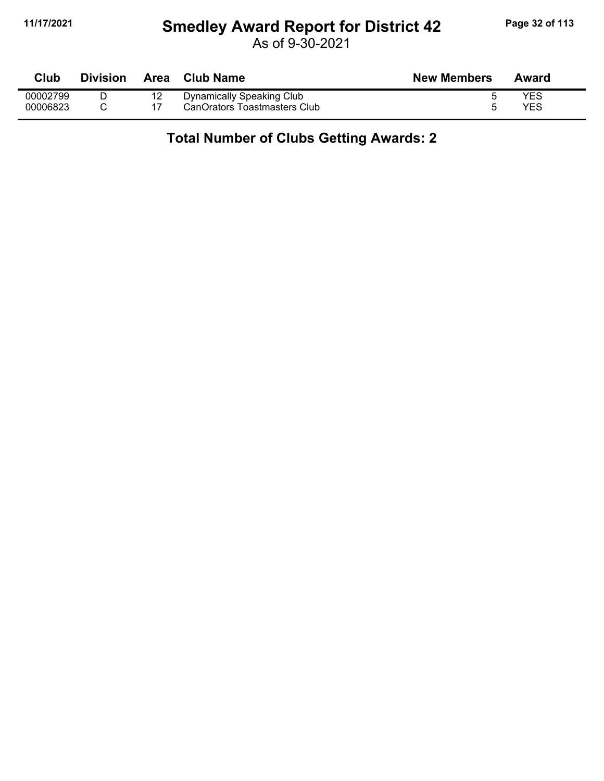#### **11/17/2021 Smedley Award Report for District 42 Page 32 of 113**

As of 9-30-2021

| Club     | <b>Division</b> | Area | <b>Club Name</b>             | <b>New Members</b> | Award      |
|----------|-----------------|------|------------------------------|--------------------|------------|
| 00002799 |                 | 12   | Dynamically Speaking Club    |                    | YES        |
| 00006823 |                 |      | CanOrators Toastmasters Club |                    | <b>YES</b> |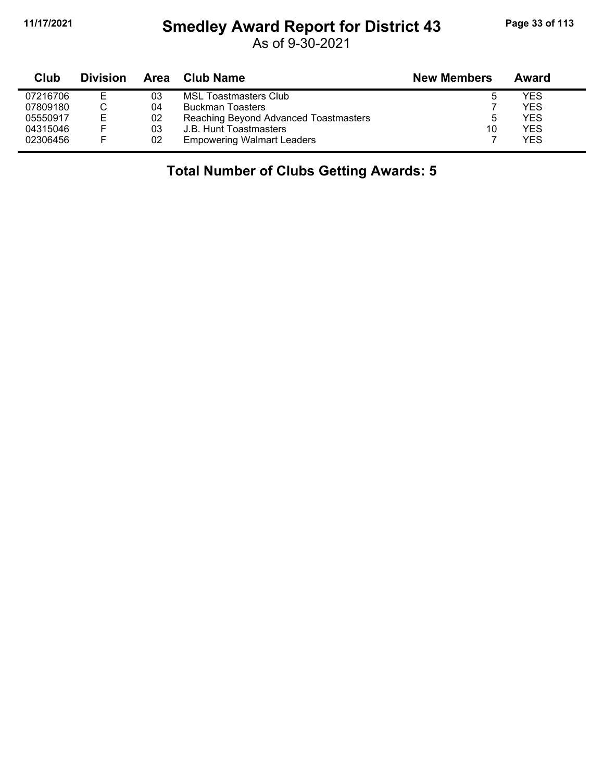## **11/17/2021 Smedley Award Report for District 43 Page 33 of 113**

As of 9-30-2021

| Club     | <b>Division</b> | Area | <b>Club Name</b>                      | <b>New Members</b> | Award |
|----------|-----------------|------|---------------------------------------|--------------------|-------|
| 07216706 | E.              | 03   | MSL Toastmasters Club                 | 5                  | YES   |
| 07809180 |                 | 04   | <b>Buckman Toasters</b>               |                    | YES   |
| 05550917 | Е               | 02   | Reaching Beyond Advanced Toastmasters | 5                  | YES   |
| 04315046 | ⊢               | 03   | J.B. Hunt Toastmasters                | 10                 | YES   |
| 02306456 | -               | 02   | <b>Empowering Walmart Leaders</b>     |                    | YES   |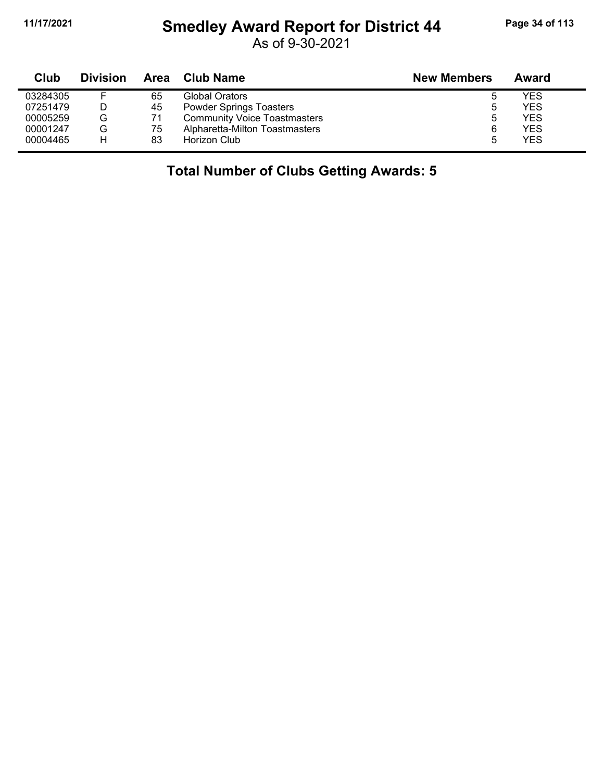## **11/17/2021 Smedley Award Report for District 44 Page 34 of 113**

As of 9-30-2021

| Club     | <b>Division</b> |    | Area Club Name                      | <b>New Members</b> | Award      |
|----------|-----------------|----|-------------------------------------|--------------------|------------|
| 03284305 |                 | 65 | Global Orators                      |                    | YES        |
| 07251479 |                 | 45 | <b>Powder Springs Toasters</b>      |                    | YES        |
| 00005259 | G               | 71 | <b>Community Voice Toastmasters</b> | 5                  | <b>YES</b> |
| 00001247 | G               | 75 | Alpharetta-Milton Toastmasters      | 6                  | YES        |
| 00004465 | н               | 83 | Horizon Club                        | 5                  | <b>YES</b> |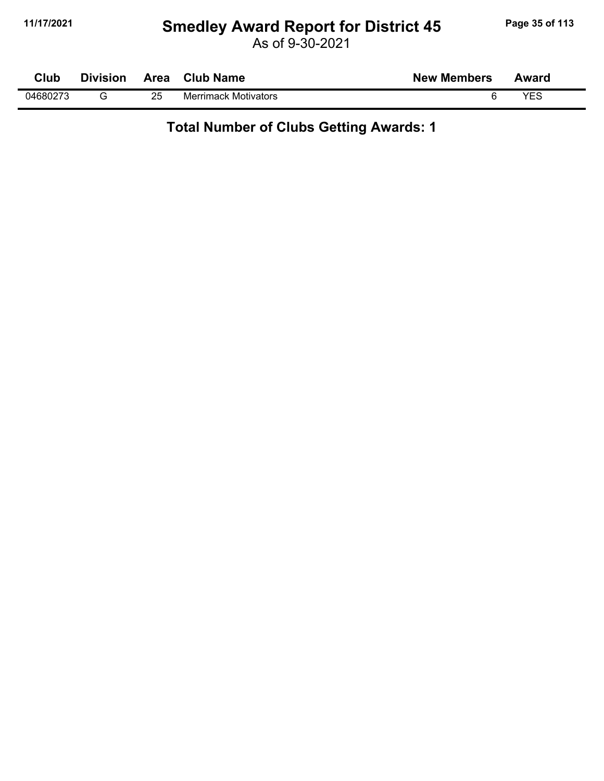#### **11/17/2021 Smedley Award Report for District 45 Page 35 of 113**

As of 9-30-2021

| Club     | <b>Division</b> | <b>Area</b> | <b>Club Name</b>            | <b>New Members</b> | Award |
|----------|-----------------|-------------|-----------------------------|--------------------|-------|
| 04680273 |                 | 25          | <b>Merrimack Motivators</b> |                    | VES   |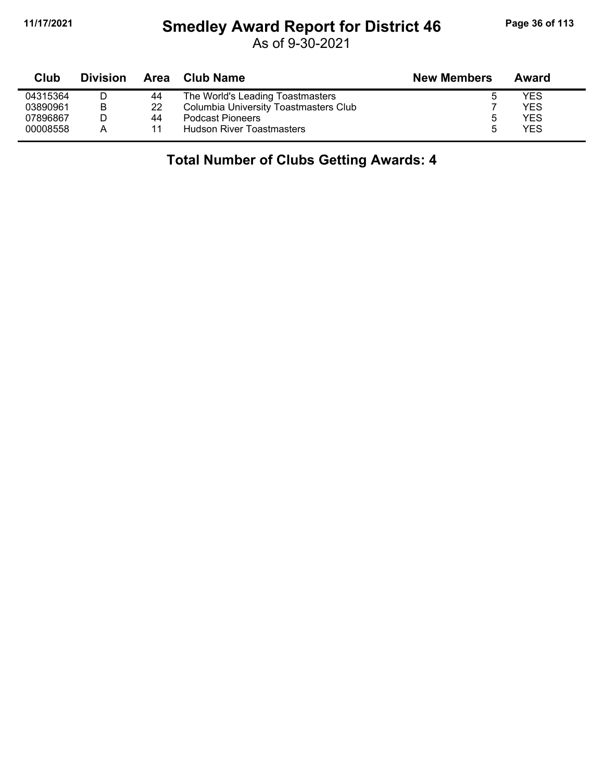## **11/17/2021 Smedley Award Report for District 46 Page 36 of 113**

As of 9-30-2021

| Club     | <b>Division</b> | Area | Club Name                             | <b>New Members</b> | Award      |
|----------|-----------------|------|---------------------------------------|--------------------|------------|
| 04315364 | D               | 44   | The World's Leading Toastmasters      |                    | YES        |
| 03890961 | В               | 22   | Columbia University Toastmasters Club |                    | <b>YES</b> |
| 07896867 |                 | 44   | <b>Podcast Pioneers</b>               | ა                  | YES        |
| 00008558 | A               |      | <b>Hudson River Toastmasters</b>      |                    | <b>YES</b> |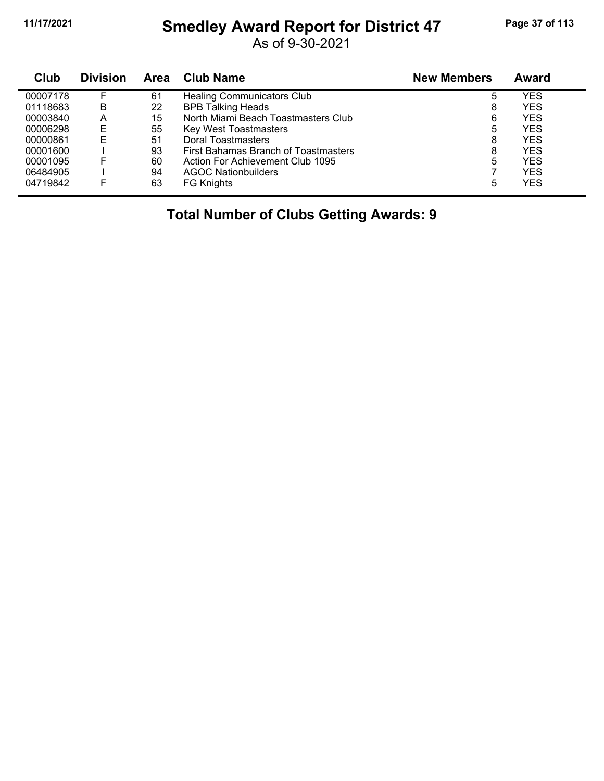## **11/17/2021 Smedley Award Report for District 47 Page 37 of 113**

As of 9-30-2021

| Club     | <b>Division</b> | Area | <b>Club Name</b>                     | <b>New Members</b> | <b>Award</b> |
|----------|-----------------|------|--------------------------------------|--------------------|--------------|
| 00007178 |                 | 61   | <b>Healing Communicators Club</b>    | 5                  | YES          |
| 01118683 | B               | 22   | <b>BPB Talking Heads</b>             | 8                  | YES          |
| 00003840 | Α               | 15   | North Miami Beach Toastmasters Club  | 6                  | YES          |
| 00006298 | Е               | 55   | <b>Key West Toastmasters</b>         | 5                  | YES          |
| 00000861 | E               | 51   | Doral Toastmasters                   | 8                  | YES          |
| 00001600 |                 | 93   | First Bahamas Branch of Toastmasters | 8                  | YES          |
| 00001095 | F               | 60   | Action For Achievement Club 1095     | 5                  | YES          |
| 06484905 |                 | 94   | <b>AGOC Nationbuilders</b>           |                    | YES          |
| 04719842 |                 | 63   | <b>FG Knights</b>                    | 5                  | YES          |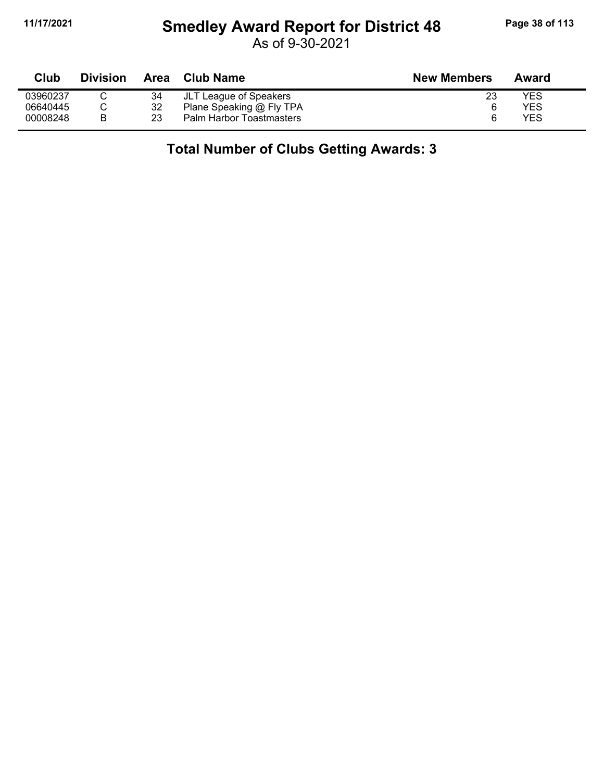## **11/17/2021 Smedley Award Report for District 48 Page 38 of 113**

As of 9-30-2021

| Club     | <b>Division</b> | <b>Area</b> | <b>Club Name</b>         | <b>New Members</b> | Award |
|----------|-----------------|-------------|--------------------------|--------------------|-------|
| 03960237 |                 | 34          | JLT League of Speakers   | 23                 | YES   |
| 06640445 |                 | 32          | Plane Speaking @ Fly TPA |                    | YES   |
| 00008248 |                 | 23          | Palm Harbor Toastmasters |                    | YES   |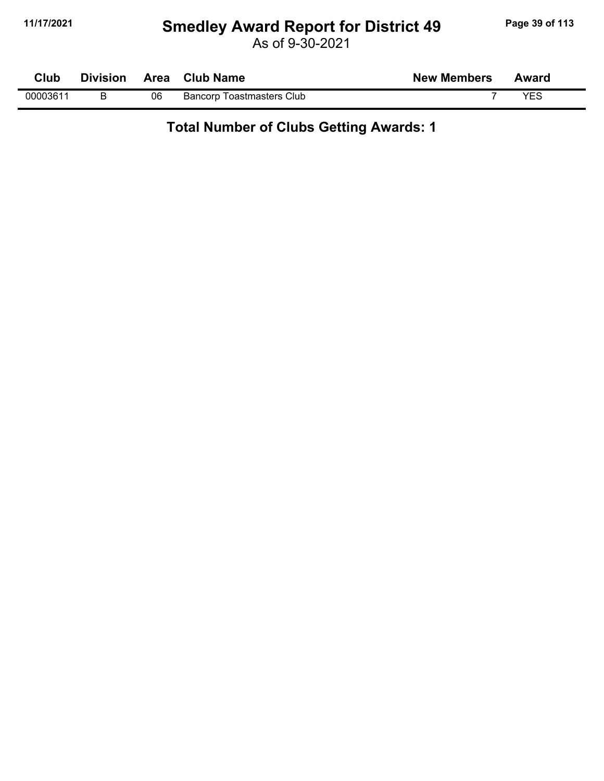## **11/17/2021 Smedley Award Report for District 49 Page 39 of 113**

As of 9-30-2021

| Club     | <b>Division</b> | <b>Area</b> | <b>Club Name</b>                 | <b>New Members</b> | Award |  |
|----------|-----------------|-------------|----------------------------------|--------------------|-------|--|
| 00003611 |                 | 06          | <b>Bancorp Toastmasters Club</b> |                    | VEC   |  |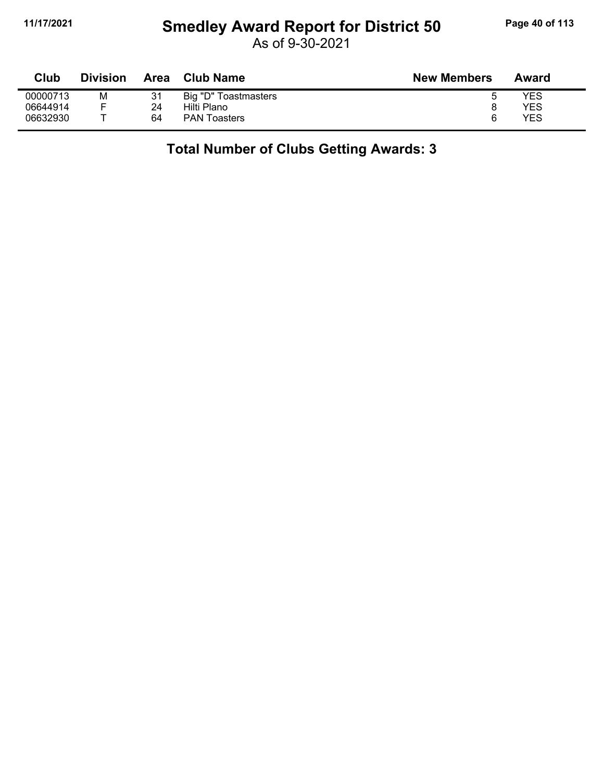## **11/17/2021 Smedley Award Report for District 50 Page 40 of 113**

As of 9-30-2021

| Club     | Division | Area | <b>Club Name</b>     | <b>New Members</b> | Award |
|----------|----------|------|----------------------|--------------------|-------|
| 00000713 | М        | 31   | Big "D" Toastmasters | h                  | YES   |
| 06644914 |          | 24   | Hilti Plano          |                    | YES   |
| 06632930 |          | 64   | <b>PAN Toasters</b>  | 6                  | YES   |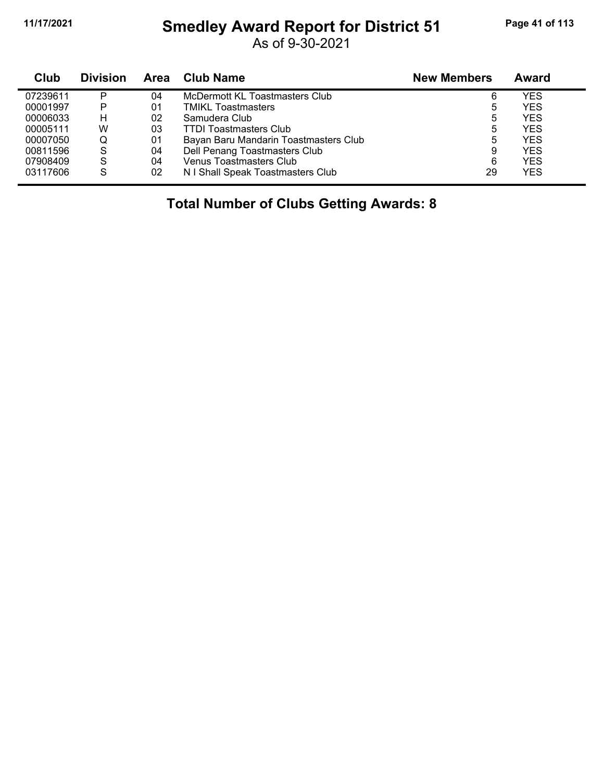## **11/17/2021 Smedley Award Report for District 51 Page 41 of 113**

As of 9-30-2021

| Club     | <b>Division</b> | Area | <b>Club Name</b>                      | <b>New Members</b> | <b>Award</b> |
|----------|-----------------|------|---------------------------------------|--------------------|--------------|
| 07239611 | P               | 04   | McDermott KL Toastmasters Club        | 6                  | YES          |
| 00001997 | P               | 01   | <b>TMIKL Toastmasters</b>             | 5                  | YES          |
| 00006033 | н               | 02   | Samudera Club                         | 5                  | YES          |
| 00005111 | W               | 03   | <b>TTDI Toastmasters Club</b>         | 5                  | YES          |
| 00007050 | O               | 01   | Bayan Baru Mandarin Toastmasters Club | 5                  | YES          |
| 00811596 | S               | 04   | Dell Penang Toastmasters Club         | 9                  | <b>YES</b>   |
| 07908409 | S               | 04   | <b>Venus Toastmasters Club</b>        | 6                  | YES          |
| 03117606 | -S              | 02   | N I Shall Speak Toastmasters Club     | 29                 | YES          |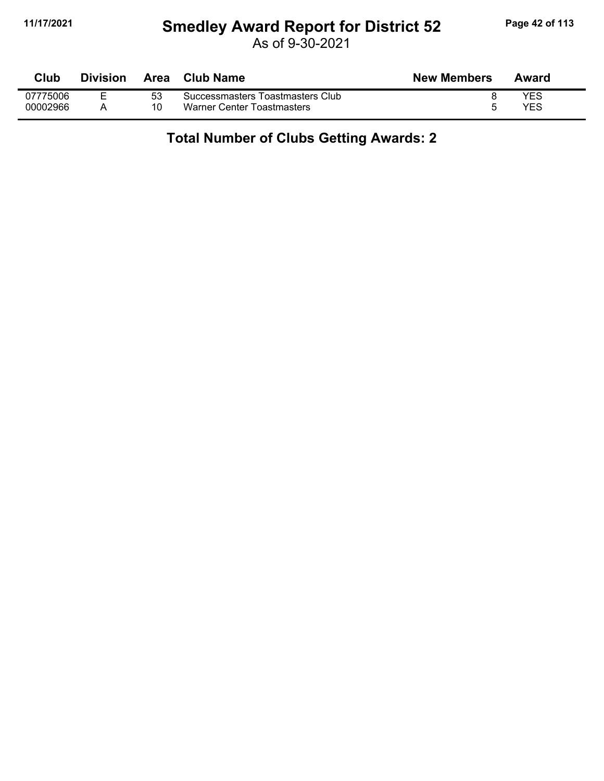## **11/17/2021 Smedley Award Report for District 52 Page 42 of 113**

As of 9-30-2021

| <b>Club</b> | <b>Division</b> | Area | Club Name                        | <b>New Members</b> | Award |
|-------------|-----------------|------|----------------------------------|--------------------|-------|
| 07775006    |                 | 53   | Successmasters Toastmasters Club |                    | YES   |
| 00002966    |                 | 10   | Warner Center Toastmasters       |                    | YES   |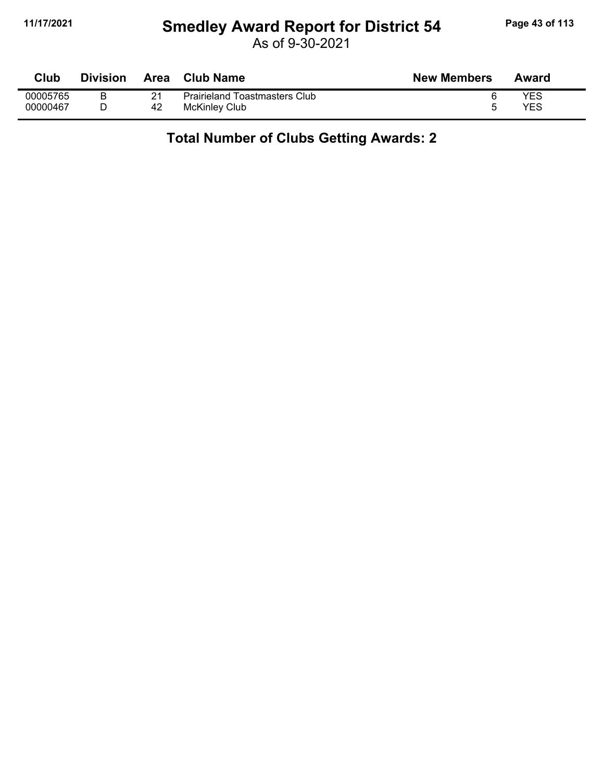## **11/17/2021 Smedley Award Report for District 54 Page 43 of 113**

| Club     | Division | <b>Area</b> | Club Name                            | <b>New Members</b> | Award |
|----------|----------|-------------|--------------------------------------|--------------------|-------|
| 00005765 |          |             | <b>Prairieland Toastmasters Club</b> |                    | YES   |
| 00000467 |          | 42          | McKinley Club                        |                    | YES   |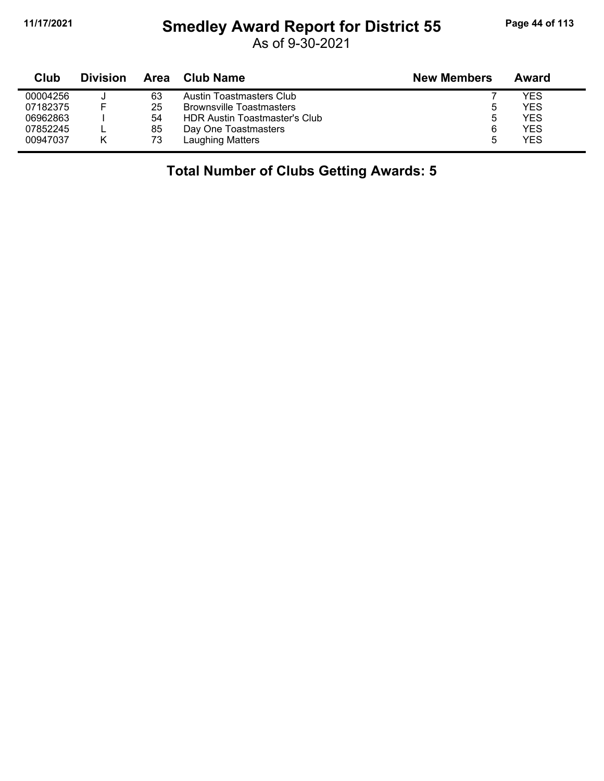## **11/17/2021 Smedley Award Report for District 55 Page 44 of 113**

As of 9-30-2021

| Club     | <b>Division</b> | Area | Club Name                       | <b>New Members</b> | Award      |
|----------|-----------------|------|---------------------------------|--------------------|------------|
| 00004256 | ີ               | 63   | Austin Toastmasters Club        |                    | <b>YES</b> |
| 07182375 |                 | 25   | <b>Brownsville Toastmasters</b> | 5                  | <b>YES</b> |
| 06962863 |                 | 54   | HDR Austin Toastmaster's Club   | b                  | <b>YES</b> |
| 07852245 |                 | 85   | Day One Toastmasters            | 6                  | <b>YES</b> |
| 00947037 |                 | 73   | Laughing Matters                | :5                 | <b>YES</b> |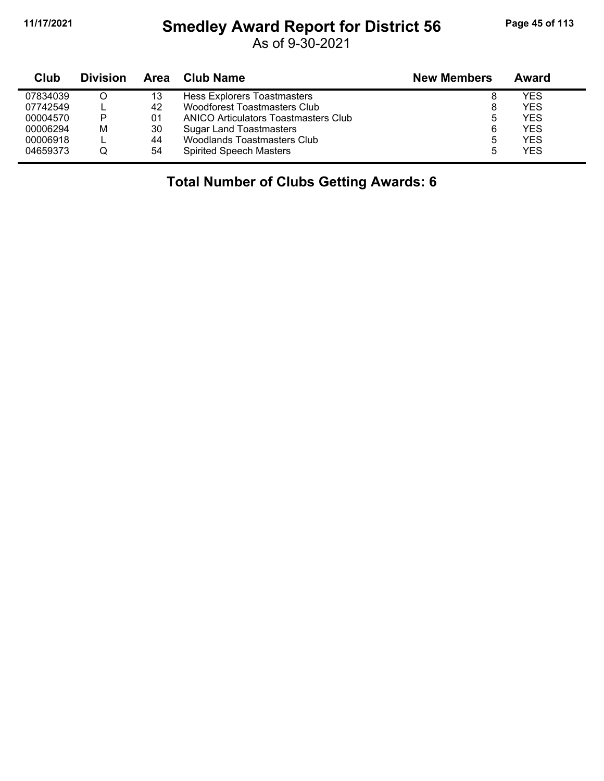## **11/17/2021 Smedley Award Report for District 56 Page 45 of 113**

As of 9-30-2021

| Club     | <b>Division</b> | Area | <b>Club Name</b>                     | <b>New Members</b> | Award      |
|----------|-----------------|------|--------------------------------------|--------------------|------------|
| 07834039 |                 | 13   | Hess Explorers Toastmasters          | 8                  | YES        |
| 07742549 |                 | 42   | <b>Woodforest Toastmasters Club</b>  | 8                  | <b>YES</b> |
| 00004570 | P               | 01   | ANICO Articulators Toastmasters Club | 5                  | YES        |
| 00006294 | M               | 30   | <b>Sugar Land Toastmasters</b>       | 6                  | YES        |
| 00006918 |                 | 44   | Woodlands Toastmasters Club          | 5                  | YES        |
| 04659373 | Q               | 54   | <b>Spirited Speech Masters</b>       | 5                  | <b>YES</b> |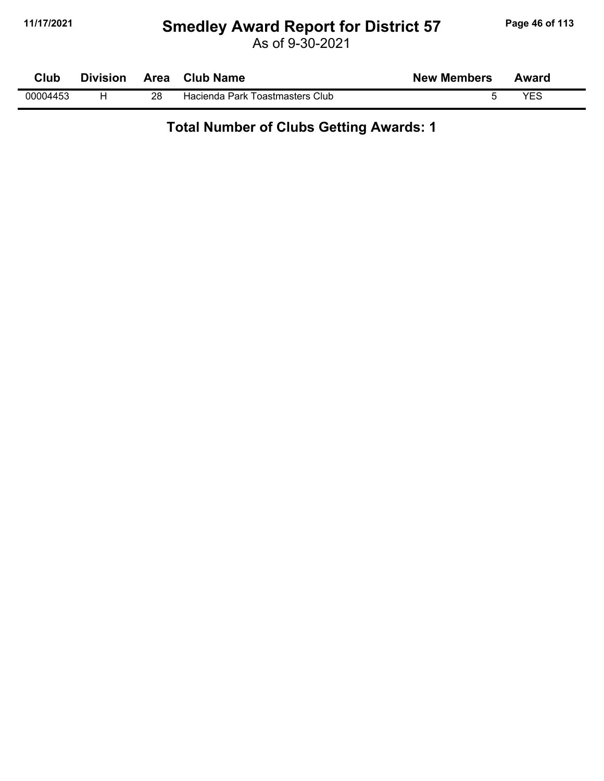## **11/17/2021 Smedley Award Report for District 57 Page 46 of 113**

As of 9-30-2021

| Club     | <b>Division</b> | <b>Area</b> | <b>Club Name</b>                | <b>New Members</b> | Award |  |
|----------|-----------------|-------------|---------------------------------|--------------------|-------|--|
| 00004453 |                 | 28          | Hacienda Park Toastmasters Club |                    | VES   |  |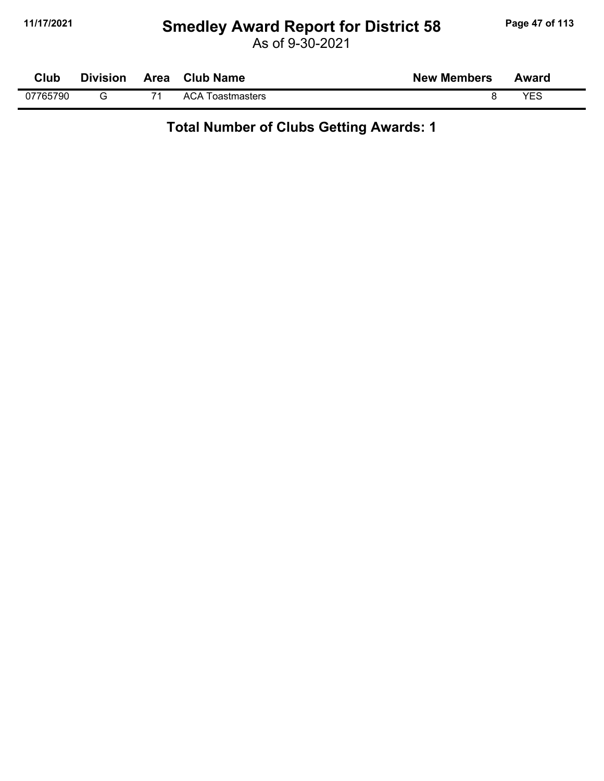## **11/17/2021 Smedley Award Report for District 58 Page 47 of 113**

As of 9-30-2021

| <b>Club</b> | <b>Division</b> | Area Club Name          | <b>New Members</b> | Award |
|-------------|-----------------|-------------------------|--------------------|-------|
| 07765790    |                 | <b>ACA Toastmasters</b> |                    | YES   |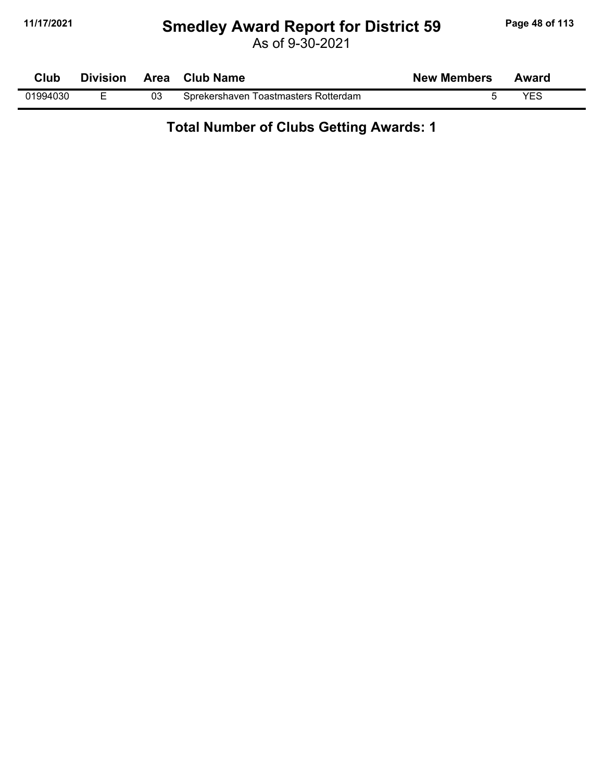## **11/17/2021 Smedley Award Report for District 59 Page 48 of 113**

As of 9-30-2021

| Club     | <b>Division</b> | Area | <b>Club Name</b>                     | <b>New Members</b> | Award      |  |
|----------|-----------------|------|--------------------------------------|--------------------|------------|--|
| 01994030 |                 | 03   | Sprekershaven Toastmasters Rotterdam |                    | <b>YES</b> |  |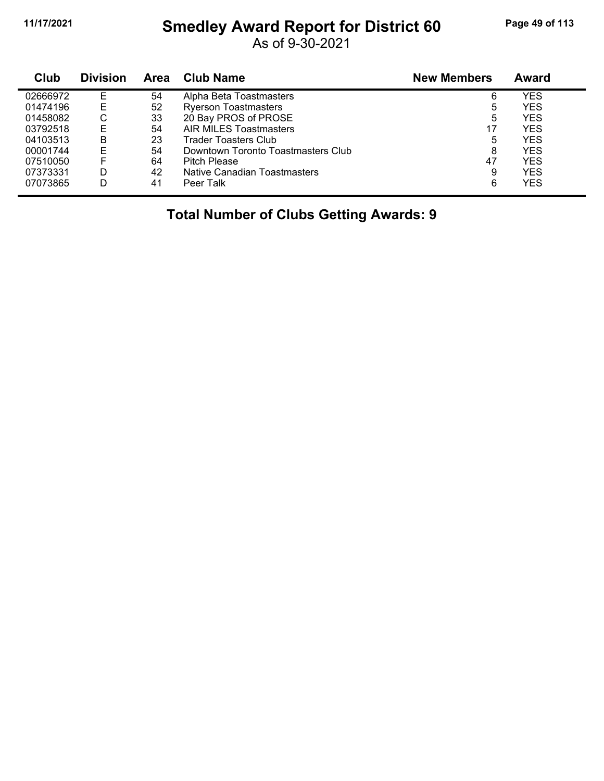## **11/17/2021 Smedley Award Report for District 60 Page 49 of 113**

As of 9-30-2021

| Club     | <b>Division</b> | Area | <b>Club Name</b>                   | <b>New Members</b> | Award      |  |
|----------|-----------------|------|------------------------------------|--------------------|------------|--|
| 02666972 | E               | 54   | Alpha Beta Toastmasters            | 6                  | YES        |  |
| 01474196 | Е               | 52   | <b>Ryerson Toastmasters</b>        | 5                  | <b>YES</b> |  |
| 01458082 | С               | 33   | 20 Bay PROS of PROSE               | 5                  | YES        |  |
| 03792518 | Е               | 54   | <b>AIR MILES Toastmasters</b>      | 17                 | YES        |  |
| 04103513 | B               | 23   | Trader Toasters Club               | 5                  | <b>YES</b> |  |
| 00001744 | Е               | 54   | Downtown Toronto Toastmasters Club | 8                  | <b>YES</b> |  |
| 07510050 | F               | 64   | <b>Pitch Please</b>                | 47                 | <b>YES</b> |  |
| 07373331 | D               | 42   | Native Canadian Toastmasters       | 9                  | YES        |  |
| 07073865 | D               | 41   | Peer Talk                          | 6                  | <b>YES</b> |  |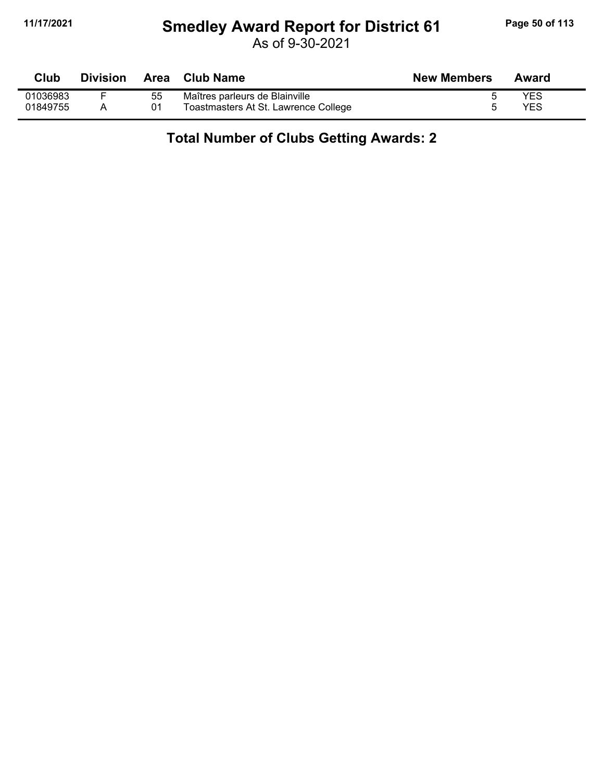## **11/17/2021 Smedley Award Report for District 61 Page 50 of 113**

As of 9-30-2021

| Club     | <b>Division</b> |    | Area Club Name                       | <b>New Members</b> | Award      |
|----------|-----------------|----|--------------------------------------|--------------------|------------|
| 01036983 |                 | 55 | Maîtres parleurs de Blainville       |                    | <b>YES</b> |
| 01849755 |                 | 01 | Toastmasters At St. Lawrence College |                    | YES        |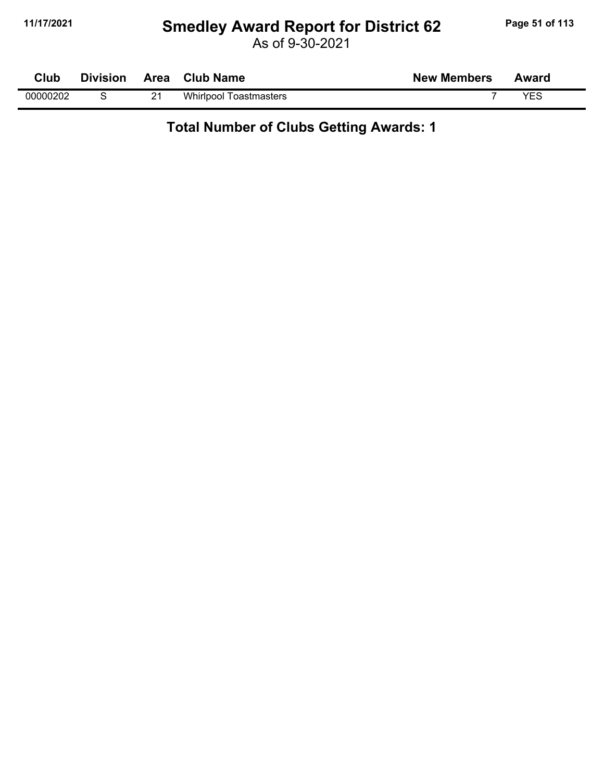## **11/17/2021 Smedley Award Report for District 62 Page 51 of 113**

As of 9-30-2021

| Club     | <b>Division</b> | Area Club Name                | <b>New Members</b> | Award |  |
|----------|-----------------|-------------------------------|--------------------|-------|--|
| 00000202 |                 | <b>Whirlpool Toastmasters</b> |                    | VES   |  |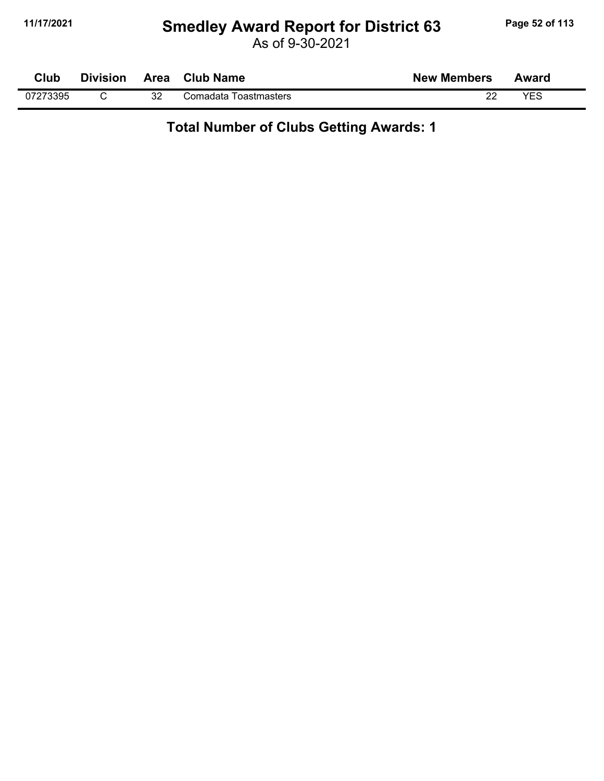## **11/17/2021 Smedley Award Report for District 63 Page 52 of 113**

As of 9-30-2021

| Club     | <b>Division</b> | <b>Area</b> | <b>Club Name</b>      | <b>New Members</b> | Award |  |
|----------|-----------------|-------------|-----------------------|--------------------|-------|--|
| 07273395 |                 | າາ<br>ےت    | Comadata Toastmasters | 22                 | VES   |  |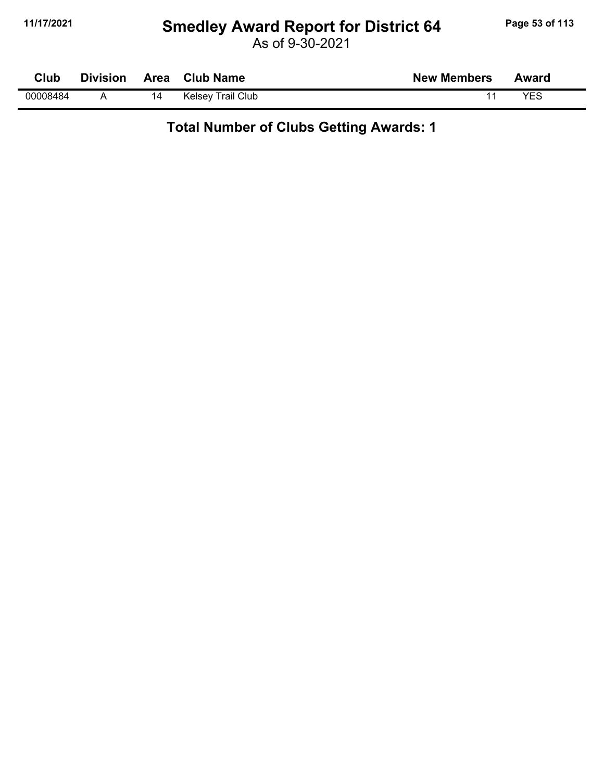## **11/17/2021 Smedley Award Report for District 64 Page 53 of 113**

As of 9-30-2021

| Club     | <b>Division</b> |    | Area Club Name    | <b>New Members</b> | Award |
|----------|-----------------|----|-------------------|--------------------|-------|
| 00008484 |                 | 14 | Kelsey Trail Club |                    | YES   |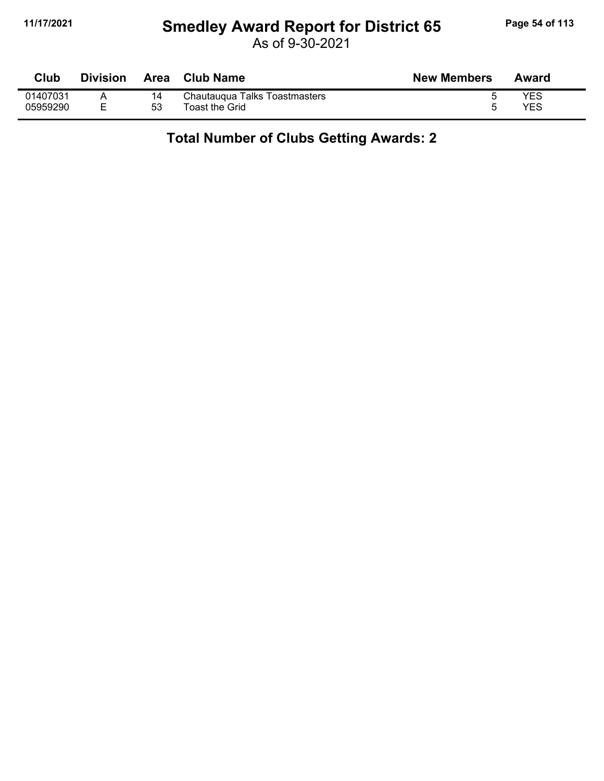## **11/17/2021 Smedley Award Report for District 65 Page 54 of 113**

As of 9-30-2021

| Club     | <b>Division</b> | Area | <b>Club Name</b>              | <b>New Members</b> | Award |
|----------|-----------------|------|-------------------------------|--------------------|-------|
| 01407031 |                 |      | Chautaugua Talks Toastmasters |                    | YES   |
| 05959290 |                 | 53   | <b>Toast the Grid</b>         |                    | YES   |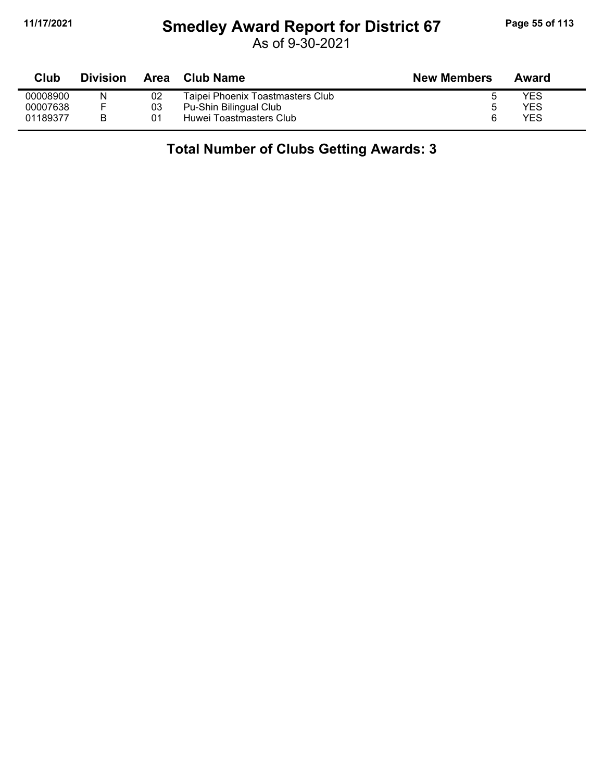## **11/17/2021 Smedley Award Report for District 67 Page 55 of 113**

As of 9-30-2021

| Club     | <b>Division</b> | Area | Club Name                        | <b>New Members</b> | Award      |
|----------|-----------------|------|----------------------------------|--------------------|------------|
| 00008900 | N               | 02   | Taipei Phoenix Toastmasters Club |                    | YES        |
| 00007638 |                 | 03   | Pu-Shin Bilingual Club           | n                  | YES        |
| 01189377 | R               | 01   | Huwei Toastmasters Club          | ี                  | <b>YES</b> |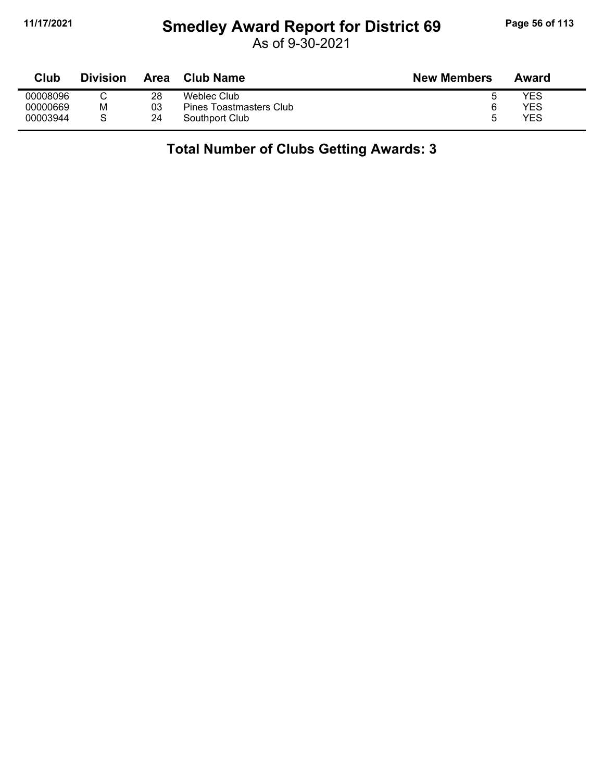## **11/17/2021 Smedley Award Report for District 69 Page 56 of 113**

As of 9-30-2021

| Club     | <b>Division</b> | Area | Club Name               | <b>New Members</b> | Award      |
|----------|-----------------|------|-------------------------|--------------------|------------|
| 00008096 |                 | 28   | Weblec Club             |                    | YES        |
| 00000669 | М               | 03   | Pines Toastmasters Club |                    | YES        |
| 00003944 |                 | 24   | Southport Club          | h                  | <b>YES</b> |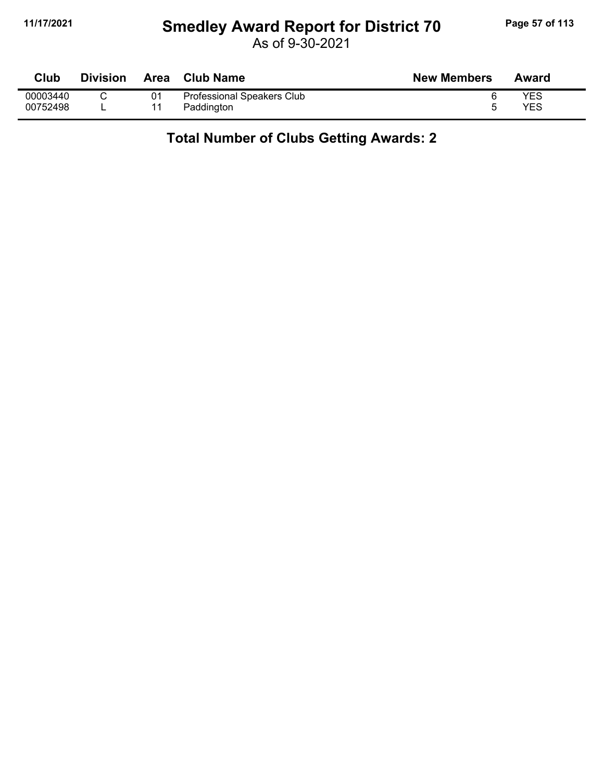## **11/17/2021 Smedley Award Report for District 70 Page 57 of 113**

As of 9-30-2021

| <b>Club</b> | <b>Division</b> | <b>Area</b> | <b>Club Name</b>           | <b>New Members</b> | Award      |
|-------------|-----------------|-------------|----------------------------|--------------------|------------|
| 00003440    |                 | 01          | Professional Speakers Club |                    | YES        |
| 00752498    |                 |             | Paddington                 |                    | <b>YES</b> |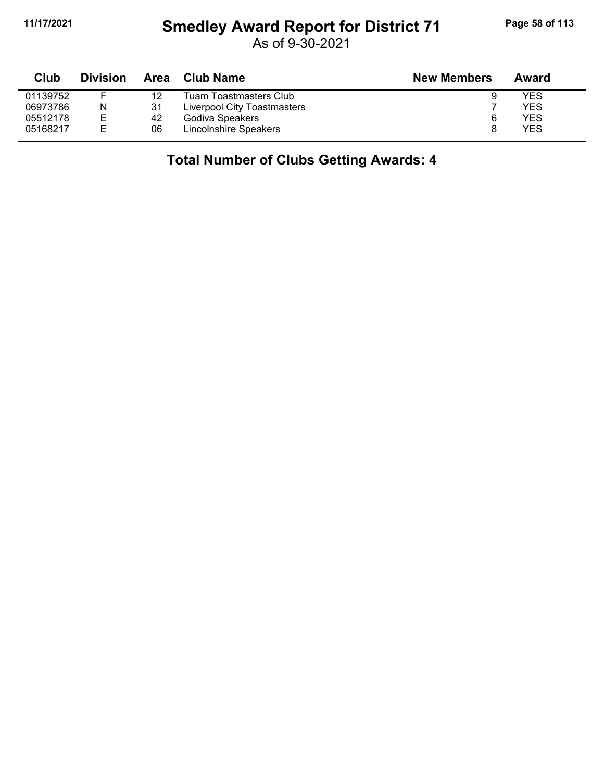## **11/17/2021 Smedley Award Report for District 71 Page 58 of 113**

As of 9-30-2021

| Club     | <b>Division</b> | Area | Club Name                   | <b>New Members</b> | Award |
|----------|-----------------|------|-----------------------------|--------------------|-------|
| 01139752 |                 | 12   | Tuam Toastmasters Club      |                    | YES   |
| 06973786 | N               | 31   | Liverpool City Toastmasters |                    | YES   |
| 05512178 | Е               | 42   | Godiva Speakers             |                    | YES   |
| 05168217 | F.              | 06   | Lincolnshire Speakers       |                    | YES   |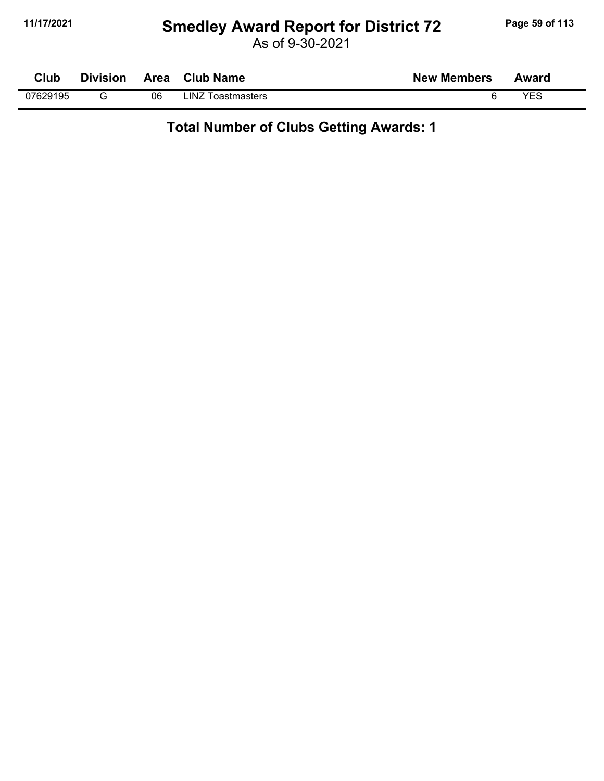## **11/17/2021 Smedley Award Report for District 72 Page 59 of 113**

As of 9-30-2021

| Club     | <b>Division</b> |    | Area Club Name    | <b>New Members</b> | Award |  |
|----------|-----------------|----|-------------------|--------------------|-------|--|
| 07629195 |                 | 06 | LINZ Toastmasters |                    | YES   |  |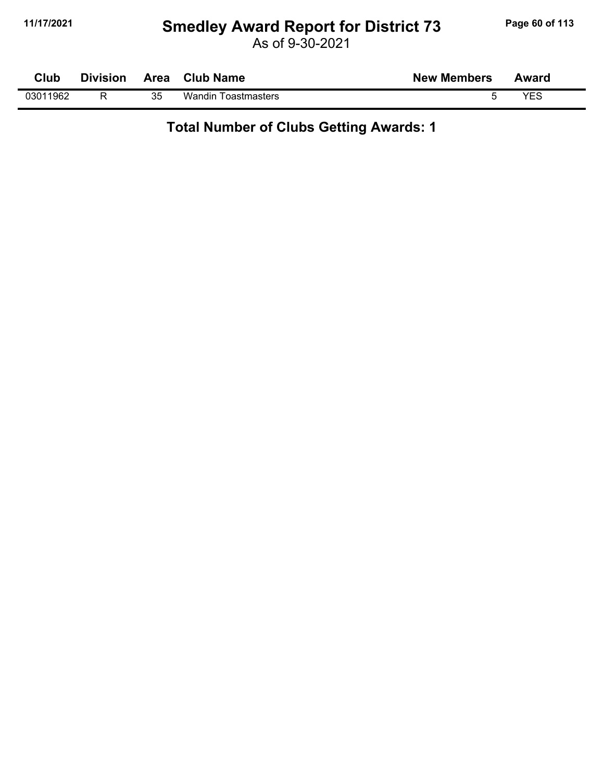## **11/17/2021 Smedley Award Report for District 73 Page 60 of 113**

As of 9-30-2021

| Club     | <b>Division</b> |    | Area Club Name             | <b>New Members</b> | Award |  |
|----------|-----------------|----|----------------------------|--------------------|-------|--|
| 03011962 |                 | 35 | <b>Wandin Toastmasters</b> |                    | YES   |  |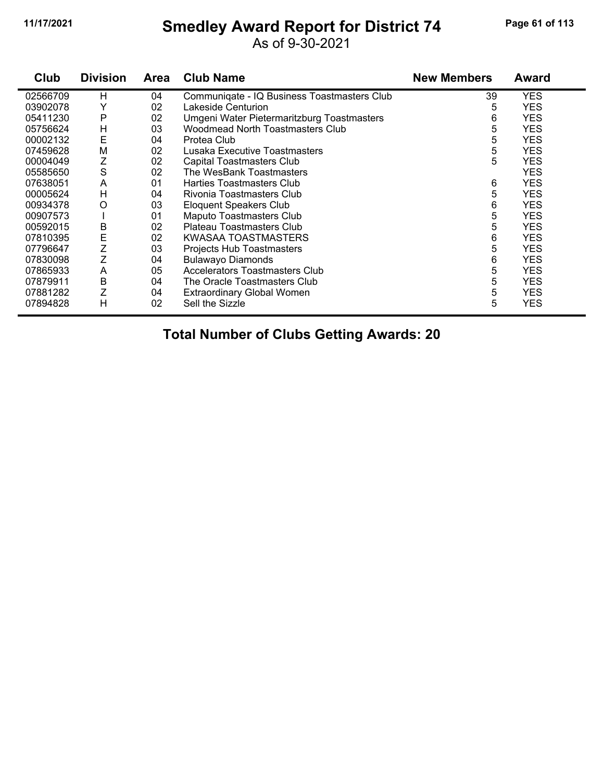## **11/17/2021 Smedley Award Report for District 74 Page 61 of 113**

As of 9-30-2021

| Club     | <b>Division</b> | <b>Area</b> | <b>Club Name</b>                            | <b>New Members</b> | Award      |
|----------|-----------------|-------------|---------------------------------------------|--------------------|------------|
| 02566709 | н               | 04          | Communiqate - IQ Business Toastmasters Club | 39                 | <b>YES</b> |
| 03902078 | Y               | 02          | Lakeside Centurion                          | 5                  | <b>YES</b> |
| 05411230 | Ρ               | 02          | Umgeni Water Pietermaritzburg Toastmasters  | 6                  | <b>YES</b> |
| 05756624 | н               | 03          | <b>Woodmead North Toastmasters Club</b>     | 5                  | <b>YES</b> |
| 00002132 | E               | 04          | Protea Club                                 | 5                  | <b>YES</b> |
| 07459628 | M               | 02          | Lusaka Executive Toastmasters               | 5                  | <b>YES</b> |
| 00004049 | Ζ               | 02          | <b>Capital Toastmasters Club</b>            | 5                  | <b>YES</b> |
| 05585650 | S               | 02          | The WesBank Toastmasters                    |                    | <b>YES</b> |
| 07638051 | A               | 01          | Harties Toastmasters Club                   | 6                  | <b>YES</b> |
| 00005624 | Н               | 04          | Rivonia Toastmasters Club                   | 5                  | <b>YES</b> |
| 00934378 | O               | 03          | Eloquent Speakers Club                      | 6                  | <b>YES</b> |
| 00907573 |                 | 01          | <b>Maputo Toastmasters Club</b>             | 5                  | <b>YES</b> |
| 00592015 | Β               | 02          | Plateau Toastmasters Club                   | 5                  | <b>YES</b> |
| 07810395 | E               | 02          | KWASAA TOASTMASTERS                         | 6                  | <b>YES</b> |
| 07796647 | Z               | 03          | Projects Hub Toastmasters                   | 5                  | <b>YES</b> |
| 07830098 | Z               | 04          | <b>Bulawayo Diamonds</b>                    | 6                  | <b>YES</b> |
| 07865933 | A               | 05          | Accelerators Toastmasters Club              | 5                  | <b>YES</b> |
| 07879911 | B               | 04          | The Oracle Toastmasters Club                | 5                  | <b>YES</b> |
| 07881282 | Z               | 04          | <b>Extraordinary Global Women</b>           | 5                  | <b>YES</b> |
| 07894828 | H               | 02          | Sell the Sizzle                             | 5                  | <b>YES</b> |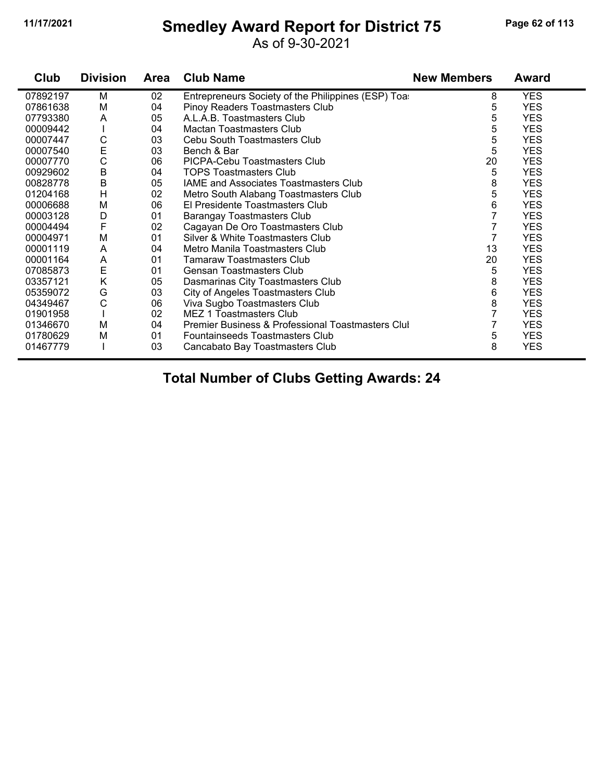### **11/17/2021 Smedley Award Report for District 75 Page 62 of 113**

As of 9-30-2021

| Club     | <b>Division</b> | <b>Area</b> | <b>Club Name</b>                                   | <b>New Members</b> | <b>Award</b> |
|----------|-----------------|-------------|----------------------------------------------------|--------------------|--------------|
| 07892197 | M               | 02          | Entrepreneurs Society of the Philippines (ESP) Toa | 8                  | <b>YES</b>   |
| 07861638 | M               | 04          | Pinoy Readers Toastmasters Club                    | 5                  | <b>YES</b>   |
| 07793380 | A               | 05          | A.L.A.B. Toastmasters Club                         | 5                  | <b>YES</b>   |
| 00009442 |                 | 04          | Mactan Toastmasters Club                           | 5                  | <b>YES</b>   |
| 00007447 | C               | 03          | Cebu South Toastmasters Club                       | 5                  | <b>YES</b>   |
| 00007540 | E               | 03          | Bench & Bar                                        | 5                  | <b>YES</b>   |
| 00007770 | C               | 06          | PICPA-Cebu Toastmasters Club                       | 20                 | <b>YES</b>   |
| 00929602 | B               | 04          | <b>TOPS Toastmasters Club</b>                      | 5                  | <b>YES</b>   |
| 00828778 | $\mathsf B$     | 05          | <b>IAME and Associates Toastmasters Club</b>       | 8                  | <b>YES</b>   |
| 01204168 | H               | 02          | Metro South Alabang Toastmasters Club              | 5                  | <b>YES</b>   |
| 00006688 | M               | 06          | El Presidente Toastmasters Club                    | 6                  | <b>YES</b>   |
| 00003128 | D               | 01          | <b>Barangay Toastmasters Club</b>                  | 7                  | <b>YES</b>   |
| 00004494 | F               | 02          | Cagayan De Oro Toastmasters Club                   | 7                  | <b>YES</b>   |
| 00004971 | M               | 01          | Silver & White Toastmasters Club                   | 7                  | <b>YES</b>   |
| 00001119 | A               | 04          | Metro Manila Toastmasters Club                     | 13                 | <b>YES</b>   |
| 00001164 | Α               | 01          | <b>Tamaraw Toastmasters Club</b>                   | 20                 | <b>YES</b>   |
| 07085873 | E               | 01          | <b>Gensan Toastmasters Club</b>                    | 5                  | <b>YES</b>   |
| 03357121 | K               | 05          | Dasmarinas City Toastmasters Club                  | 8                  | <b>YES</b>   |
| 05359072 | G               | 03          | City of Angeles Toastmasters Club                  | 6                  | <b>YES</b>   |
| 04349467 | C               | 06          | Viva Sugbo Toastmasters Club                       | 8                  | <b>YES</b>   |
| 01901958 |                 | 02          | <b>MEZ 1 Toastmasters Club</b>                     | 7                  | <b>YES</b>   |
| 01346670 | M               | 04          | Premier Business & Professional Toastmasters Clul  | 7                  | <b>YES</b>   |
| 01780629 | M               | 01          | Fountainseeds Toastmasters Club                    | 5                  | <b>YES</b>   |
| 01467779 |                 | 03          | Cancabato Bay Toastmasters Club                    | 8                  | <b>YES</b>   |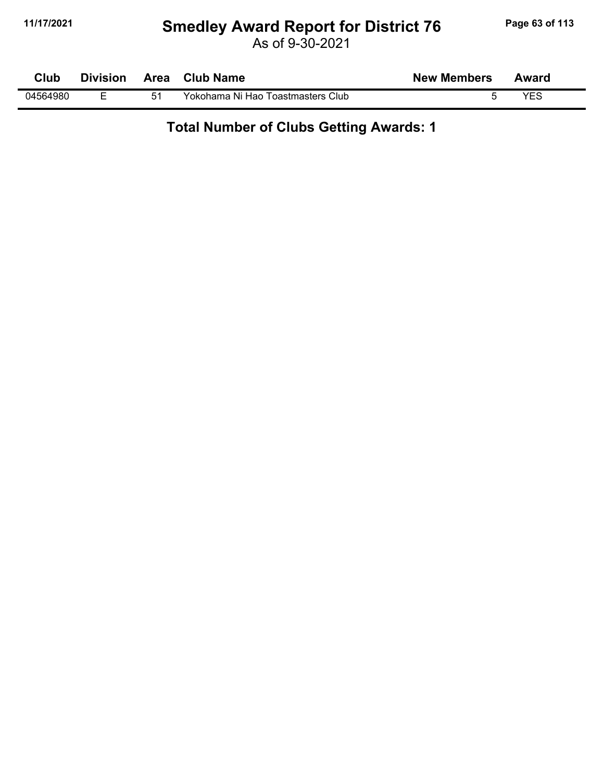## **11/17/2021 Smedley Award Report for District 76 Page 63 of 113**

As of 9-30-2021

| Club     | <b>Division</b> | Area | <b>Club Name</b>                  | <b>New Members</b> | Award |  |
|----------|-----------------|------|-----------------------------------|--------------------|-------|--|
| 04564980 |                 |      | Yokohama Ni Hao Toastmasters Club |                    | VES   |  |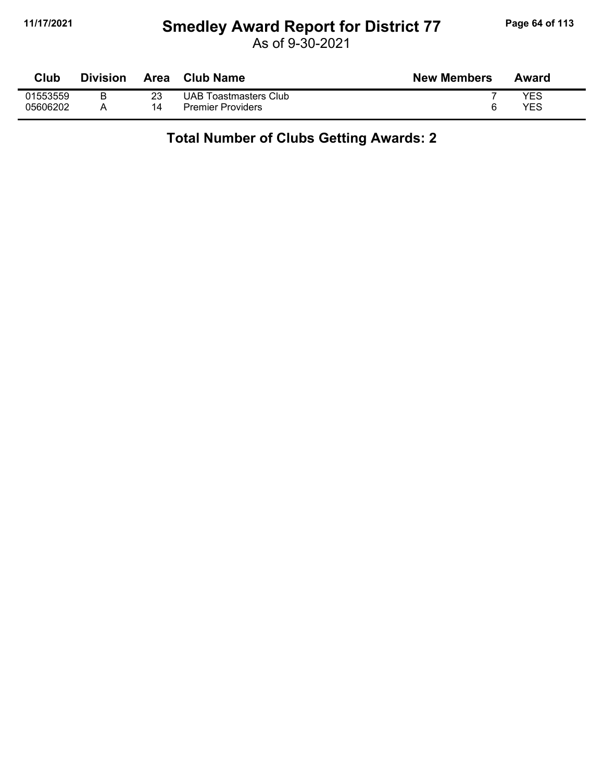## **11/17/2021 Smedley Award Report for District 77 Page 64 of 113**

As of 9-30-2021

| Club     | Division | Area | <b>Club Name</b>         | <b>New Members</b> | Award |
|----------|----------|------|--------------------------|--------------------|-------|
| 01553559 |          |      | UAB Toastmasters Club    |                    | YES   |
| 05606202 |          | 14   | <b>Premier Providers</b> |                    | YES   |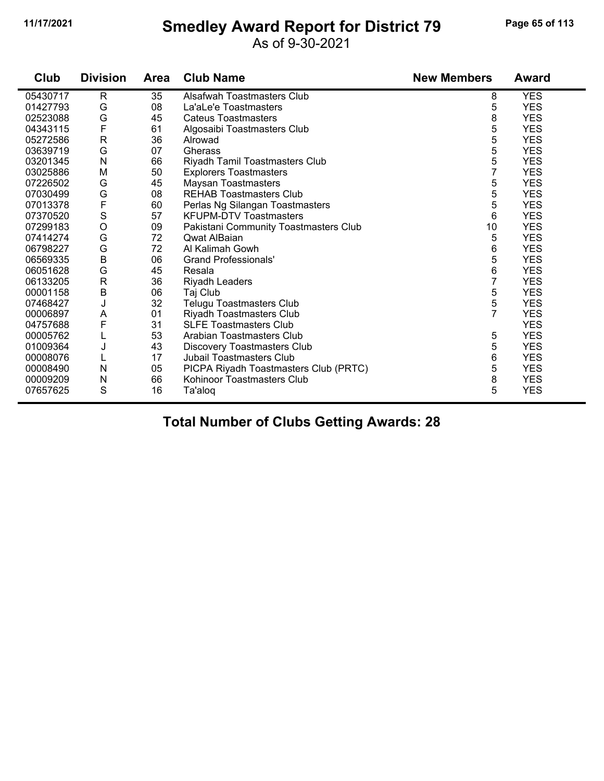### **11/17/2021 Smedley Award Report for District 79 Page 65 of 113**

As of 9-30-2021

| Club     | <b>Division</b> | <b>Area</b> | <b>Club Name</b>                      | <b>New Members</b> | <b>Award</b> |
|----------|-----------------|-------------|---------------------------------------|--------------------|--------------|
| 05430717 | $\mathsf{R}$    | 35          | Alsafwah Toastmasters Club            | 8                  | <b>YES</b>   |
| 01427793 | G               | 08          | La'aLe'e Toastmasters                 | 5                  | <b>YES</b>   |
| 02523088 | G               | 45          | <b>Cateus Toastmasters</b>            | 8                  | <b>YES</b>   |
| 04343115 | F               | 61          | Algosaibi Toastmasters Club           | 5                  | <b>YES</b>   |
| 05272586 | $\mathsf{R}$    | 36          | Alrowad                               | 5                  | <b>YES</b>   |
| 03639719 | G               | 07          | Gherass                               | 5                  | <b>YES</b>   |
| 03201345 | N               | 66          | Riyadh Tamil Toastmasters Club        | 5                  | <b>YES</b>   |
| 03025886 | M               | 50          | <b>Explorers Toastmasters</b>         | 7                  | <b>YES</b>   |
| 07226502 | G               | 45          | <b>Maysan Toastmasters</b>            | 5                  | <b>YES</b>   |
| 07030499 | G               | 08          | <b>REHAB Toastmasters Club</b>        | 5                  | <b>YES</b>   |
| 07013378 | F               | 60          | Perlas Ng Silangan Toastmasters       | 5                  | <b>YES</b>   |
| 07370520 | S               | 57          | <b>KFUPM-DTV Toastmasters</b>         | 6                  | <b>YES</b>   |
| 07299183 | $\circ$         | 09          | Pakistani Community Toastmasters Club | 10                 | <b>YES</b>   |
| 07414274 | G               | 72          | Qwat AlBaian                          | 5                  | <b>YES</b>   |
| 06798227 | G               | 72          | Al Kalimah Gowh                       | 6                  | <b>YES</b>   |
| 06569335 | B               | 06          | <b>Grand Professionals'</b>           | 5                  | <b>YES</b>   |
| 06051628 | G               | 45          | Resala                                | 6                  | <b>YES</b>   |
| 06133205 | ${\sf R}$       | 36          | <b>Riyadh Leaders</b>                 | $\overline{7}$     | <b>YES</b>   |
| 00001158 | B               | 06          | Taj Club                              | 5                  | <b>YES</b>   |
| 07468427 | J               | 32          | Telugu Toastmasters Club              | 5                  | <b>YES</b>   |
| 00006897 | A               | 01          | Riyadh Toastmasters Club              | $\overline{7}$     | <b>YES</b>   |
| 04757688 | F               | 31          | <b>SLFE Toastmasters Club</b>         |                    | <b>YES</b>   |
| 00005762 | L               | 53          | Arabian Toastmasters Club             | 5                  | <b>YES</b>   |
| 01009364 | J               | 43          | <b>Discovery Toastmasters Club</b>    | 5                  | <b>YES</b>   |
| 00008076 |                 | 17          | <b>Jubail Toastmasters Club</b>       | 6                  | <b>YES</b>   |
| 00008490 | N               | 05          | PICPA Riyadh Toastmasters Club (PRTC) | 5                  | <b>YES</b>   |
| 00009209 | N               | 66          | Kohinoor Toastmasters Club            | 8                  | <b>YES</b>   |
| 07657625 | S               | 16          | Ta'aloq                               | 5                  | <b>YES</b>   |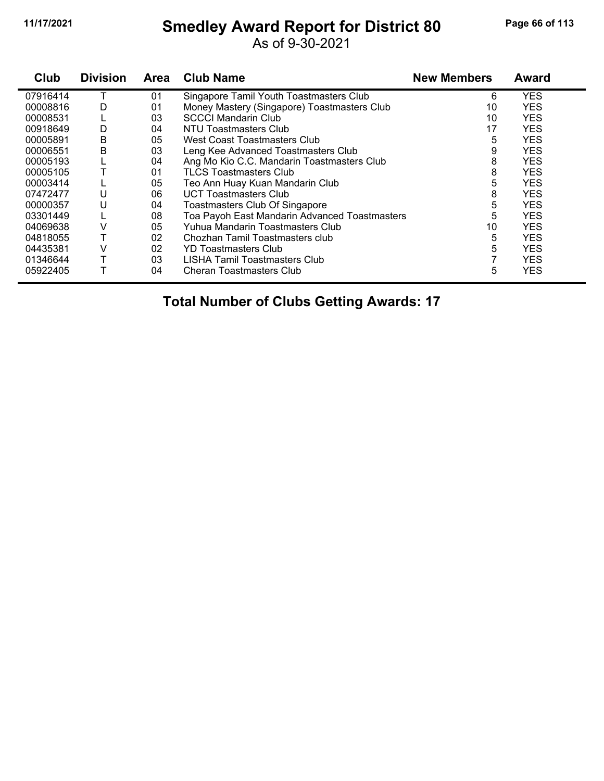## **11/17/2021 Smedley Award Report for District 80 Page 66 of 113**

As of 9-30-2021

| Club     | <b>Division</b> | <b>Area</b> | <b>Club Name</b>                              | <b>New Members</b> | <b>Award</b> |
|----------|-----------------|-------------|-----------------------------------------------|--------------------|--------------|
| 07916414 |                 | 01          | Singapore Tamil Youth Toastmasters Club       | 6                  | <b>YES</b>   |
| 00008816 | D               | 01          | Money Mastery (Singapore) Toastmasters Club   | 10                 | <b>YES</b>   |
| 00008531 |                 | 03          | <b>SCCCI Mandarin Club</b>                    | 10                 | <b>YES</b>   |
| 00918649 | D               | 04          | NTU Toastmasters Club                         | 17                 | <b>YES</b>   |
| 00005891 | B               | 05          | West Coast Toastmasters Club                  | 5                  | <b>YES</b>   |
| 00006551 | B               | 03          | Leng Kee Advanced Toastmasters Club           | 9                  | <b>YES</b>   |
| 00005193 |                 | 04          | Ang Mo Kio C.C. Mandarin Toastmasters Club    | 8                  | <b>YES</b>   |
| 00005105 |                 | 01          | <b>TLCS Toastmasters Club</b>                 | 8                  | <b>YES</b>   |
| 00003414 |                 | 05          | Teo Ann Huay Kuan Mandarin Club               | 5                  | <b>YES</b>   |
| 07472477 | U               | 06          | <b>UCT Toastmasters Club</b>                  | 8                  | <b>YES</b>   |
| 00000357 | U               | 04          | Toastmasters Club Of Singapore                | 5                  | <b>YES</b>   |
| 03301449 |                 | 08          | Toa Payoh East Mandarin Advanced Toastmasters | 5                  | <b>YES</b>   |
| 04069638 |                 | 05          | Yuhua Mandarin Toastmasters Club              | 10                 | <b>YES</b>   |
| 04818055 |                 | 02          | Chozhan Tamil Toastmasters club               | 5                  | <b>YES</b>   |
| 04435381 |                 | 02          | <b>YD Toastmasters Club</b>                   | 5                  | <b>YES</b>   |
| 01346644 |                 | 03          | LISHA Tamil Toastmasters Club                 |                    | <b>YES</b>   |
| 05922405 |                 | 04          | <b>Cheran Toastmasters Club</b>               | 5                  | <b>YES</b>   |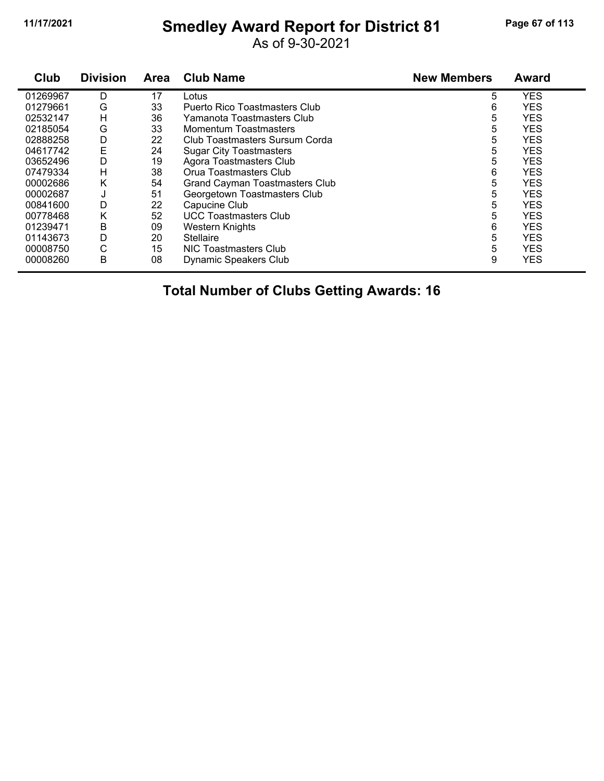## **11/17/2021 Smedley Award Report for District 81 Page 67 of 113**

As of 9-30-2021

| Club     | <b>Division</b> | <b>Area</b> | <b>Club Name</b>                      | <b>New Members</b> | <b>Award</b> |
|----------|-----------------|-------------|---------------------------------------|--------------------|--------------|
| 01269967 | D               | 17          | Lotus                                 | 5                  | <b>YES</b>   |
| 01279661 | G               | 33          | Puerto Rico Toastmasters Club         | 6                  | <b>YES</b>   |
| 02532147 | н               | 36          | Yamanota Toastmasters Club            | 5                  | <b>YES</b>   |
| 02185054 | G               | 33          | Momentum Toastmasters                 | 5                  | <b>YES</b>   |
| 02888258 | D               | 22          | Club Toastmasters Sursum Corda        | 5                  | <b>YES</b>   |
| 04617742 | E               | 24          | <b>Sugar City Toastmasters</b>        | 5                  | <b>YES</b>   |
| 03652496 | D               | 19          | Agora Toastmasters Club               | 5                  | <b>YES</b>   |
| 07479334 | н               | 38          | Orua Toastmasters Club                | 6                  | <b>YES</b>   |
| 00002686 | Κ               | 54          | <b>Grand Cayman Toastmasters Club</b> | 5                  | <b>YES</b>   |
| 00002687 | J               | 51          | Georgetown Toastmasters Club          | 5                  | <b>YES</b>   |
| 00841600 | D               | 22          | Capucine Club                         | 5                  | <b>YES</b>   |
| 00778468 | K               | 52          | <b>UCC Toastmasters Club</b>          | 5                  | <b>YES</b>   |
| 01239471 | В               | 09          | Western Knights                       | 6                  | <b>YES</b>   |
| 01143673 | D               | 20          | <b>Stellaire</b>                      | 5                  | <b>YES</b>   |
| 00008750 | С               | 15          | NIC Toastmasters Club                 | 5                  | <b>YES</b>   |
| 00008260 | В               | 08          | Dynamic Speakers Club                 | 9                  | <b>YES</b>   |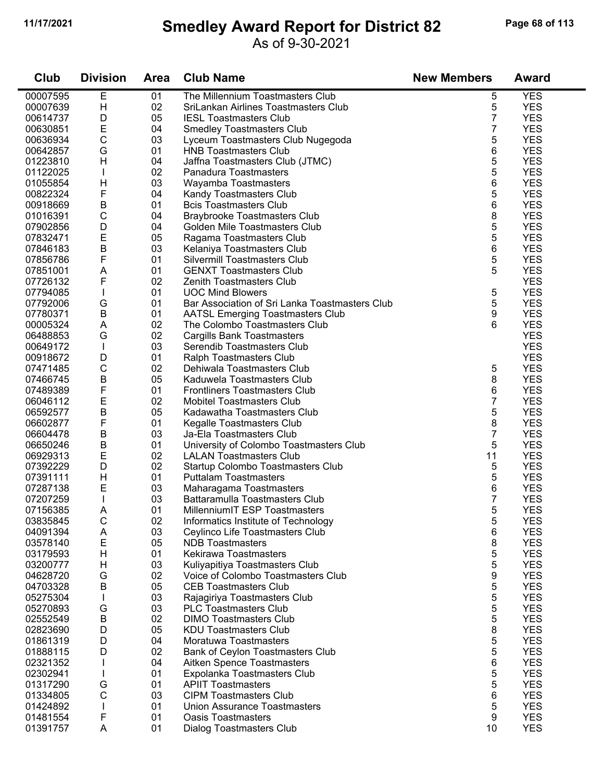## **11/17/2021 Smedley Award Report for District 82 Page 68 of 113**

#### As of 9-30-2021

| Club     | <b>Division</b> | <b>Area</b> | <b>Club Name</b>                               | <b>New Members</b> | <b>Award</b> |
|----------|-----------------|-------------|------------------------------------------------|--------------------|--------------|
| 00007595 | E               | 01          | The Millennium Toastmasters Club               | 5                  | <b>YES</b>   |
| 00007639 | H               | 02          | SriLankan Airlines Toastmasters Club           | 5                  | <b>YES</b>   |
| 00614737 | D               | 05          | <b>IESL Toastmasters Club</b>                  | 7                  | <b>YES</b>   |
| 00630851 | E               | 04          | <b>Smedley Toastmasters Club</b>               | 7                  | <b>YES</b>   |
| 00636934 | С               | 03          | Lyceum Toastmasters Club Nugegoda              | 5                  | <b>YES</b>   |
| 00642857 | G               | 01          | <b>HNB Toastmasters Club</b>                   | 6                  | <b>YES</b>   |
| 01223810 | H               | 04          | Jaffna Toastmasters Club (JTMC)                | 5                  | <b>YES</b>   |
| 01122025 |                 | 02          | Panadura Toastmasters                          | 5                  | <b>YES</b>   |
| 01055854 | $\mathsf{H}$    | 03          | Wayamba Toastmasters                           | 6                  | <b>YES</b>   |
| 00822324 | F               | 04          | Kandy Toastmasters Club                        | 5                  | <b>YES</b>   |
| 00918669 | B               | 01          | <b>Bcis Toastmasters Club</b>                  | 6                  | <b>YES</b>   |
| 01016391 | $\mathsf{C}$    | 04          | <b>Braybrooke Toastmasters Club</b>            | 8                  | <b>YES</b>   |
| 07902856 | D               | 04          | Golden Mile Toastmasters Club                  | 5                  | <b>YES</b>   |
| 07832471 | E               | 05          | Ragama Toastmasters Club                       | 5                  | <b>YES</b>   |
| 07846183 | $\sf B$         | 03          | Kelaniya Toastmasters Club                     | 6                  | <b>YES</b>   |
| 07856786 | F               | 01          | <b>Silvermill Toastmasters Club</b>            | 5                  | <b>YES</b>   |
| 07851001 | Α               | 01          | <b>GENXT Toastmasters Club</b>                 | 5                  | <b>YES</b>   |
| 07726132 | F               | 02          | <b>Zenith Toastmasters Club</b>                |                    | <b>YES</b>   |
| 07794085 |                 | 01          | <b>UOC Mind Blowers</b>                        | 5                  | <b>YES</b>   |
| 07792006 | G               | 01          | Bar Association of Sri Lanka Toastmasters Club | 5                  | <b>YES</b>   |
| 07780371 | $\sf B$         | 01          | <b>AATSL Emerging Toastmasters Club</b>        | 9                  | <b>YES</b>   |
| 00005324 | A               | 02          | The Colombo Toastmasters Club                  | 6                  | <b>YES</b>   |
| 06488853 | G               | 02          | <b>Cargills Bank Toastmasters</b>              |                    | <b>YES</b>   |
| 00649172 |                 | 03          | Serendib Toastmasters Club                     |                    | <b>YES</b>   |
| 00918672 | D               | 01          | Ralph Toastmasters Club                        |                    | <b>YES</b>   |
| 07471485 | $\mathsf C$     | 02          | Dehiwala Toastmasters Club                     | 5                  | <b>YES</b>   |
| 07466745 | B               | 05          | Kaduwela Toastmasters Club                     | 8                  | <b>YES</b>   |
| 07489389 | F               | 01          | <b>Frontliners Toastmasters Club</b>           | 6                  | <b>YES</b>   |
| 06046112 | E               | 02          | <b>Mobitel Toastmasters Club</b>               | 7                  | <b>YES</b>   |
| 06592577 | В               | 05          | Kadawatha Toastmasters Club                    | 5                  | <b>YES</b>   |
| 06602877 | F               | 01          | Kegalle Toastmasters Club                      | 8                  | <b>YES</b>   |
| 06604478 | В               | 03          | Ja-Ela Toastmasters Club                       | 7                  | <b>YES</b>   |
| 06650246 | $\sf B$         | 01          | University of Colombo Toastmasters Club        | 5                  | <b>YES</b>   |
| 06929313 | $\mathsf E$     | 02          | <b>LALAN Toastmasters Club</b>                 | 11                 | <b>YES</b>   |
| 07392229 | D               | 02          | Startup Colombo Toastmasters Club              | 5                  | <b>YES</b>   |
| 07391111 | H               | 01          | <b>Puttalam Toastmasters</b>                   | 5                  | <b>YES</b>   |
| 07287138 | Е               | 03          | Maharagama Toastmasters                        | 6                  | <b>YES</b>   |
| 07207259 |                 | 03          | Battaramulla Toastmasters Club                 | 7                  | <b>YES</b>   |
| 07156385 | Α               | 01          | MillenniumIT ESP Toastmasters                  | 5                  | <b>YES</b>   |
| 03835845 | С               | 02          | Informatics Institute of Technology            | 5                  | <b>YES</b>   |
| 04091394 | A               | 03          | Ceylinco Life Toastmasters Club                | 6                  | <b>YES</b>   |
| 03578140 | E               | 05          | <b>NDB</b> Toastmasters                        | 8                  | <b>YES</b>   |
| 03179593 | H               | 01          | <b>Kekirawa Toastmasters</b>                   | 5                  | <b>YES</b>   |
| 03200777 | H               | 03          | Kuliyapitiya Toastmasters Club                 | 5                  | <b>YES</b>   |
| 04628720 | G               | 02          | Voice of Colombo Toastmasters Club             | 9                  | <b>YES</b>   |
| 04703328 | $\sf B$         | 05          | <b>CEB Toastmasters Club</b>                   | 5                  | <b>YES</b>   |
| 05275304 |                 | 03          | Rajagiriya Toastmasters Club                   | 5                  | <b>YES</b>   |
| 05270893 | G               | 03          | <b>PLC Toastmasters Club</b>                   | 5                  | <b>YES</b>   |
| 02552549 | B               | 02          | <b>DIMO Toastmasters Club</b>                  | 5                  | <b>YES</b>   |
| 02823690 | D               | 05          | <b>KDU Toastmasters Club</b>                   | 8                  | <b>YES</b>   |
| 01861319 | D               | 04          | Moratuwa Toastmasters                          | 5                  | <b>YES</b>   |
| 01888115 | D               | 02          | <b>Bank of Ceylon Toastmasters Club</b>        | 5                  | <b>YES</b>   |
| 02321352 |                 | 04          | Aitken Spence Toastmasters                     | 6                  | <b>YES</b>   |
| 02302941 |                 | 01          | Expolanka Toastmasters Club                    | 5                  | <b>YES</b>   |
| 01317290 | G               | 01          | <b>APIIT Toastmasters</b>                      | 5                  | <b>YES</b>   |
| 01334805 | C               | 03          | <b>CIPM Toastmasters Club</b>                  | 6                  | <b>YES</b>   |
| 01424892 |                 | 01          | <b>Union Assurance Toastmasters</b>            | 5                  | <b>YES</b>   |
| 01481554 | F               | 01          | <b>Oasis Toastmasters</b>                      | 9                  | <b>YES</b>   |
| 01391757 | A               | 01          | Dialog Toastmasters Club                       | 10                 | <b>YES</b>   |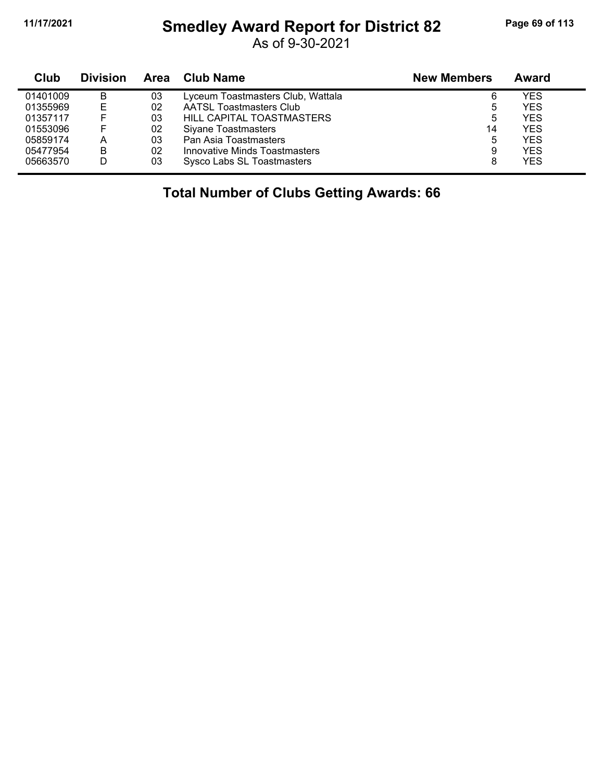## **11/17/2021 Smedley Award Report for District 82 Page 69 of 113**

As of 9-30-2021

| Club     | <b>Division</b> | <b>Area</b> | Club Name                         | <b>New Members</b> | Award      |
|----------|-----------------|-------------|-----------------------------------|--------------------|------------|
| 01401009 | В               | 03          | Lyceum Toastmasters Club, Wattala | 6                  | YES        |
| 01355969 |                 | 02          | <b>AATSL Toastmasters Club</b>    | ხ                  | YES        |
| 01357117 |                 | 03          | HILL CAPITAL TOASTMASTERS         | 5                  | <b>YES</b> |
| 01553096 |                 | 02          | Siyane Toastmasters               | 14                 | <b>YES</b> |
| 05859174 | А               | 03          | Pan Asia Toastmasters             | 5                  | <b>YES</b> |
| 05477954 | В               | 02          | Innovative Minds Toastmasters     | 9                  | <b>YES</b> |
| 05663570 | D               | 03          | Sysco Labs SL Toastmasters        | 8                  | <b>YES</b> |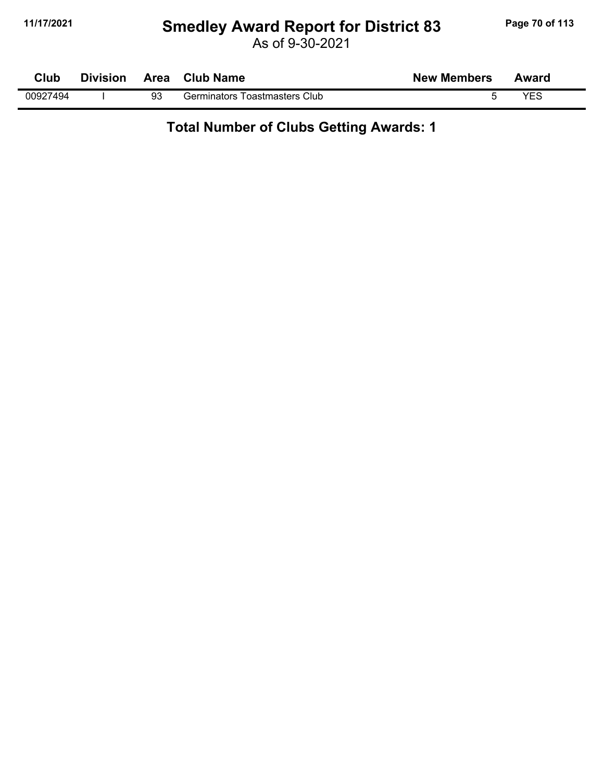## **11/17/2021 Smedley Award Report for District 83 Page 70 of 113**

As of 9-30-2021

| Club     | <b>Division</b> | Area | <b>Club Name</b>              | <b>New Members</b> | Award |  |
|----------|-----------------|------|-------------------------------|--------------------|-------|--|
| 00927494 |                 | 93   | Germinators Toastmasters Club |                    | VES   |  |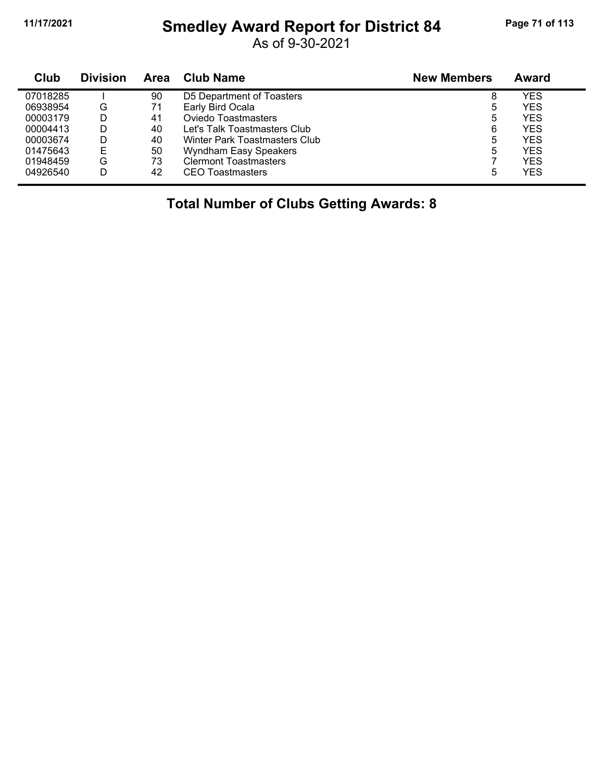## **11/17/2021 Smedley Award Report for District 84 Page 71 of 113**

As of 9-30-2021

| Club     | <b>Division</b> | Area | Club Name                     | <b>New Members</b> | Award      |
|----------|-----------------|------|-------------------------------|--------------------|------------|
| 07018285 |                 | 90   | D5 Department of Toasters     | 8                  | YES        |
| 06938954 | G               | 71   | Early Bird Ocala              | 5                  | YES        |
| 00003179 | D               | 41   | Oviedo Toastmasters           | 5                  | YES        |
| 00004413 | D               | 40   | Let's Talk Toastmasters Club  | 6                  | YES        |
| 00003674 | D               | 40   | Winter Park Toastmasters Club | 5                  | YES        |
| 01475643 |                 | 50   | Wyndham Easy Speakers         | 5                  | <b>YES</b> |
| 01948459 | G               | 73   | <b>Clermont Toastmasters</b>  |                    | YES        |
| 04926540 | D               | 42   | <b>CEO</b> Toastmasters       | 5                  | YES        |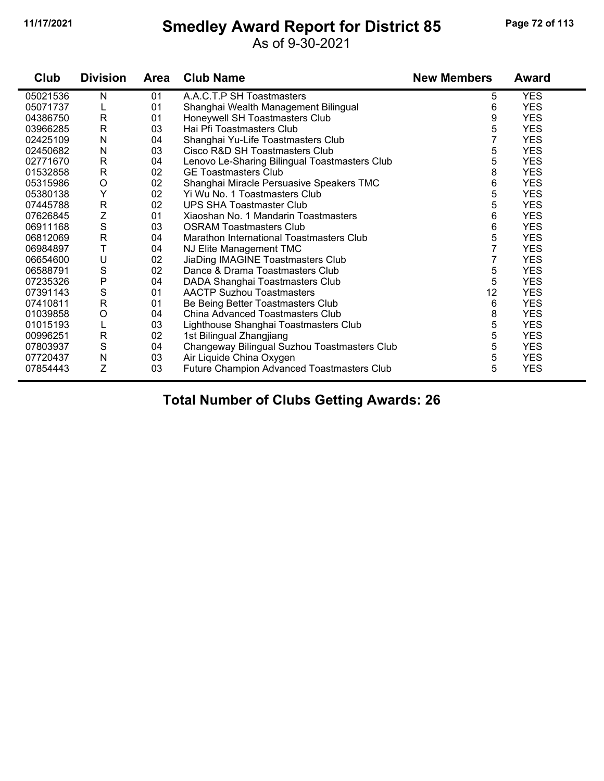#### **11/17/2021 Smedley Award Report for District 85 Page 72 of 113**

#### As of 9-30-2021

| Club     | <b>Division</b> | <b>Area</b> | <b>Club Name</b>                              | <b>New Members</b> | Award      |
|----------|-----------------|-------------|-----------------------------------------------|--------------------|------------|
| 05021536 | N               | 01          | A.A.C.T.P SH Toastmasters                     | 5                  | <b>YES</b> |
| 05071737 | L               | 01          | Shanghai Wealth Management Bilingual          | 6                  | <b>YES</b> |
| 04386750 | R               | 01          | Honeywell SH Toastmasters Club                | 9                  | <b>YES</b> |
| 03966285 | R               | 03          | Hai Pfi Toastmasters Club                     | 5                  | <b>YES</b> |
| 02425109 | N               | 04          | Shanghai Yu-Life Toastmasters Club            | 7                  | <b>YES</b> |
| 02450682 | N               | 03          | Cisco R&D SH Toastmasters Club                | 5                  | <b>YES</b> |
| 02771670 | $\mathsf{R}$    | 04          | Lenovo Le-Sharing Bilingual Toastmasters Club | 5                  | <b>YES</b> |
| 01532858 | $\mathsf{R}$    | 02          | <b>GE Toastmasters Club</b>                   | 8                  | <b>YES</b> |
| 05315986 | O               | 02          | Shanghai Miracle Persuasive Speakers TMC      | 6                  | <b>YES</b> |
| 05380138 | Υ               | 02          | Yi Wu No. 1 Toastmasters Club                 | 5                  | <b>YES</b> |
| 07445788 | $\mathsf{R}$    | 02          | UPS SHA Toastmaster Club                      | 5                  | <b>YES</b> |
| 07626845 | Ζ               | 01          | Xiaoshan No. 1 Mandarin Toastmasters          | 6                  | <b>YES</b> |
| 06911168 | $\mathbf S$     | 03          | <b>OSRAM Toastmasters Club</b>                | 6                  | <b>YES</b> |
| 06812069 | $\mathsf{R}$    | 04          | Marathon International Toastmasters Club      | 5                  | <b>YES</b> |
| 06984897 | T               | 04          | NJ Elite Management TMC                       | $\overline{7}$     | YES.       |
| 06654600 | U               | 02          | JiaDing IMAGINE Toastmasters Club             | 7                  | <b>YES</b> |
| 06588791 | S               | 02          | Dance & Drama Toastmasters Club               | 5                  | <b>YES</b> |
| 07235326 | P               | 04          | DADA Shanghai Toastmasters Club               | 5                  | <b>YES</b> |
| 07391143 | $\mathbf S$     | 01          | <b>AACTP Suzhou Toastmasters</b>              | 12                 | <b>YES</b> |
| 07410811 | $\mathsf{R}$    | 01          | Be Being Better Toastmasters Club             | 6                  | <b>YES</b> |
| 01039858 | O               | 04          | China Advanced Toastmasters Club              | 8                  | <b>YES</b> |
| 01015193 | L               | 03          | Lighthouse Shanghai Toastmasters Club         | 5                  | <b>YES</b> |
| 00996251 | $\mathsf{R}$    | 02          | 1st Bilingual Zhangjiang                      | 5                  | <b>YES</b> |
| 07803937 | S               | 04          | Changeway Bilingual Suzhou Toastmasters Club  | 5                  | <b>YES</b> |
| 07720437 | N               | 03          | Air Liquide China Oxygen                      | 5                  | <b>YES</b> |
| 07854443 | Z               | 03          | Future Champion Advanced Toastmasters Club    | 5                  | <b>YES</b> |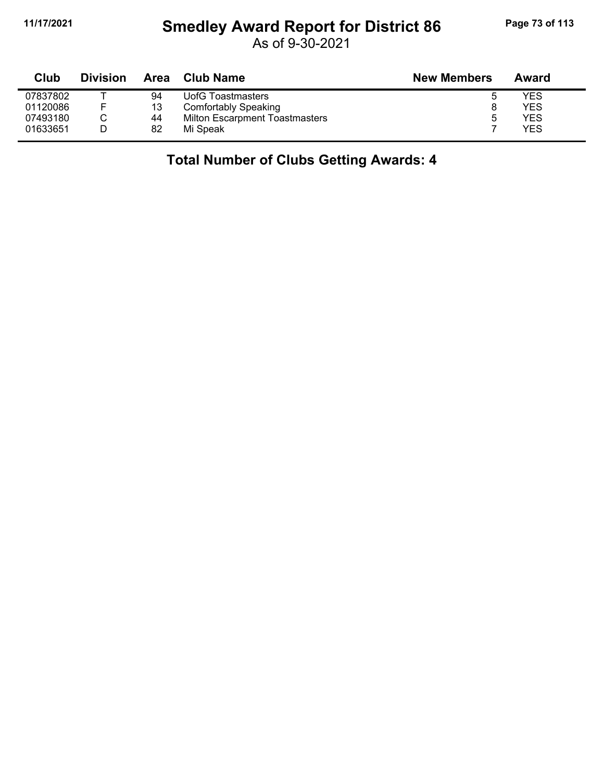## **11/17/2021 Smedley Award Report for District 86 Page 73 of 113**

As of 9-30-2021

| Club     | <b>Division</b> | Area | Club Name                             | <b>New Members</b> | Award |
|----------|-----------------|------|---------------------------------------|--------------------|-------|
| 07837802 |                 | 94   | UofG Toastmasters                     | b                  | YES   |
| 01120086 |                 | 13   | Comfortably Speaking                  |                    | YES   |
| 07493180 |                 | 44   | <b>Milton Escarpment Toastmasters</b> | 5                  | YES   |
| 01633651 |                 | 82   | Mi Speak                              |                    | YES   |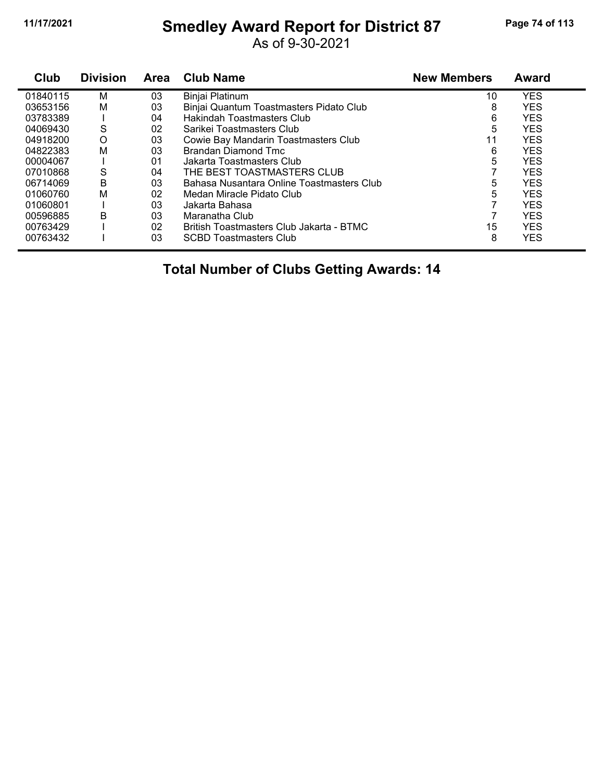## **11/17/2021 Smedley Award Report for District 87 Page 74 of 113**

As of 9-30-2021

| Club     | <b>Division</b> | <b>Area</b> | <b>Club Name</b>                          | <b>New Members</b> | <b>Award</b> |
|----------|-----------------|-------------|-------------------------------------------|--------------------|--------------|
| 01840115 | M               | 03          | Binjai Platinum                           | 10                 | <b>YES</b>   |
| 03653156 | М               | 03          | Binjai Quantum Toastmasters Pidato Club   | 8                  | <b>YES</b>   |
| 03783389 |                 | 04          | Hakindah Toastmasters Club                | 6                  | <b>YES</b>   |
| 04069430 | S               | 02          | Sarikei Toastmasters Club                 | 5                  | <b>YES</b>   |
| 04918200 | $\circ$         | 03          | Cowie Bay Mandarin Toastmasters Club      | 11                 | <b>YES</b>   |
| 04822383 | М               | 03          | Brandan Diamond Tmc                       | 6                  | <b>YES</b>   |
| 00004067 |                 | 01          | Jakarta Toastmasters Club                 | 5                  | <b>YES</b>   |
| 07010868 | S               | 04          | THE BEST TOASTMASTERS CLUB                |                    | <b>YES</b>   |
| 06714069 | B               | 03          | Bahasa Nusantara Online Toastmasters Club | 5                  | <b>YES</b>   |
| 01060760 | М               | 02          | Medan Miracle Pidato Club                 | 5                  | <b>YES</b>   |
| 01060801 |                 | 03          | Jakarta Bahasa                            |                    | YES          |
| 00596885 | B               | 03          | Maranatha Club                            |                    | <b>YES</b>   |
| 00763429 |                 | 02          | British Toastmasters Club Jakarta - BTMC  | 15                 | <b>YES</b>   |
| 00763432 |                 | 03          | <b>SCBD Toastmasters Club</b>             | 8                  | <b>YES</b>   |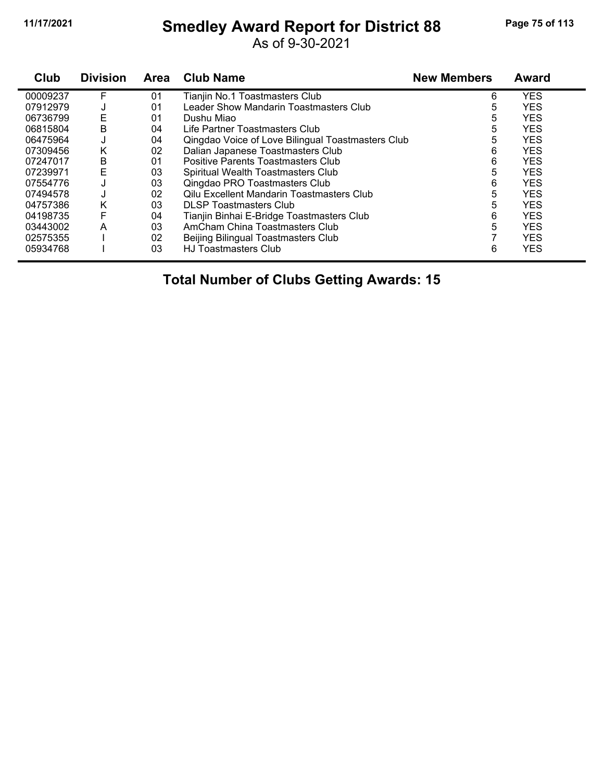## **11/17/2021 Smedley Award Report for District 88 Page 75 of 113**

As of 9-30-2021

| Club     | <b>Division</b> | <b>Area</b> | <b>Club Name</b>                                  | <b>New Members</b> | <b>Award</b> |
|----------|-----------------|-------------|---------------------------------------------------|--------------------|--------------|
| 00009237 | F               | 01          | Tianjin No.1 Toastmasters Club                    | 6                  | <b>YES</b>   |
| 07912979 | J               | 01          | Leader Show Mandarin Toastmasters Club            | 5                  | <b>YES</b>   |
| 06736799 | E               | 01          | Dushu Miao                                        | 5                  | <b>YES</b>   |
| 06815804 | B               | 04          | Life Partner Toastmasters Club                    | 5                  | <b>YES</b>   |
| 06475964 | J               | 04          | Qingdao Voice of Love Bilingual Toastmasters Club | 5                  | <b>YES</b>   |
| 07309456 | Κ               | 02          | Dalian Japanese Toastmasters Club                 | 6                  | <b>YES</b>   |
| 07247017 | В               | 01          | Positive Parents Toastmasters Club                | 6                  | <b>YES</b>   |
| 07239971 | E               | 03          | Spiritual Wealth Toastmasters Club                | 5                  | <b>YES</b>   |
| 07554776 |                 | 03          | Qingdao PRO Toastmasters Club                     | 6                  | <b>YES</b>   |
| 07494578 | J               | 02          | <b>Qilu Excellent Mandarin Toastmasters Club</b>  | 5                  | <b>YES</b>   |
| 04757386 | Κ               | 03          | <b>DLSP Toastmasters Club</b>                     | 5                  | <b>YES</b>   |
| 04198735 | F               | 04          | Tianjin Binhai E-Bridge Toastmasters Club         | 6                  | <b>YES</b>   |
| 03443002 | A               | 03          | AmCham China Toastmasters Club                    | 5                  | <b>YES</b>   |
| 02575355 |                 | 02          | Beijing Bilingual Toastmasters Club               |                    | <b>YES</b>   |
| 05934768 |                 | 03          | <b>HJ Toastmasters Club</b>                       | 6                  | <b>YES</b>   |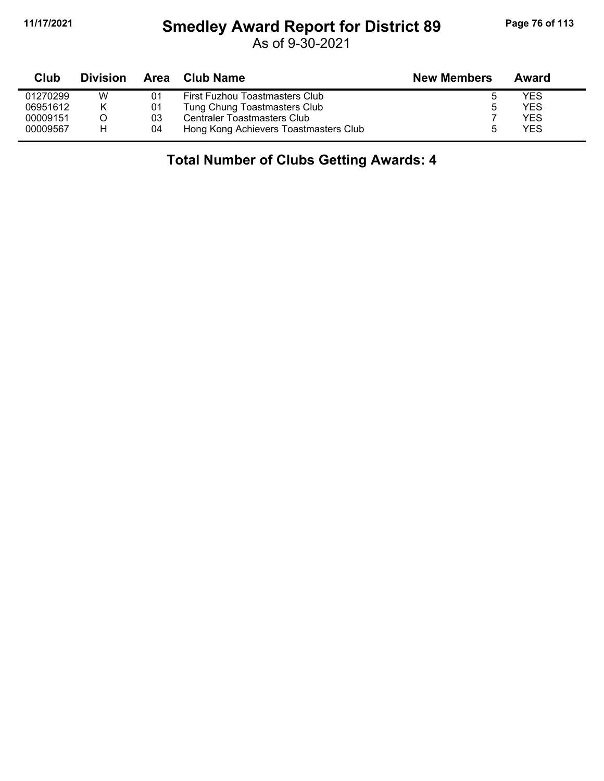## **11/17/2021 Smedley Award Report for District 89 Page 76 of 113**

As of 9-30-2021

| Club     | <b>Division</b> | Area | Club Name                             | <b>New Members</b> | Award |  |
|----------|-----------------|------|---------------------------------------|--------------------|-------|--|
| 01270299 | w               | 01   | First Fuzhou Toastmasters Club        |                    | YES   |  |
| 06951612 | Κ               | 01   | Tung Chung Toastmasters Club          |                    | YES   |  |
| 00009151 |                 | 03   | Centraler Toastmasters Club           |                    | YES   |  |
| 00009567 | н               | 04   | Hong Kong Achievers Toastmasters Club | h                  | YES   |  |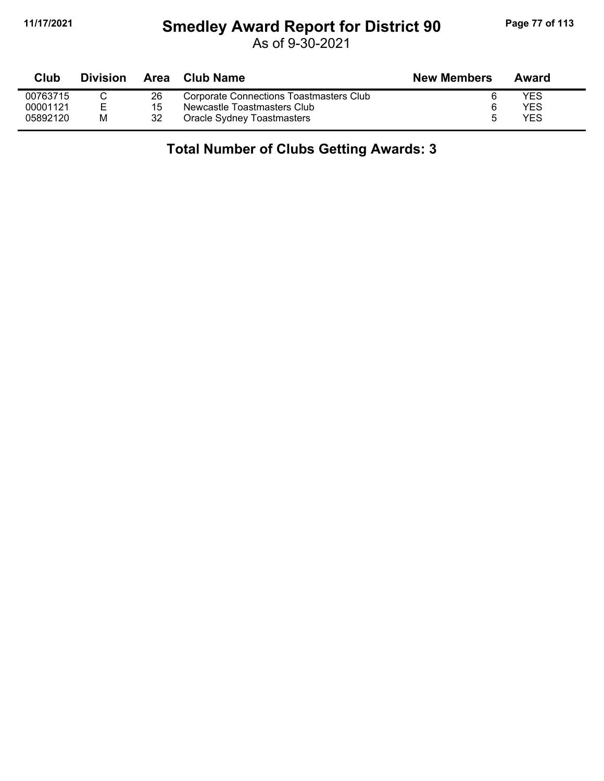## **11/17/2021 Smedley Award Report for District 90 Page 77 of 113**

As of 9-30-2021

| <b>Club</b> | <b>Division</b> |    | Area Club Name                          | <b>New Members</b> | Award |
|-------------|-----------------|----|-----------------------------------------|--------------------|-------|
| 00763715    |                 | 26 | Corporate Connections Toastmasters Club |                    | YES   |
| 00001121    |                 | 15 | Newcastle Toastmasters Club             |                    | YES   |
| 05892120    | M               | 32 | Oracle Sydney Toastmasters              | h                  | YFS   |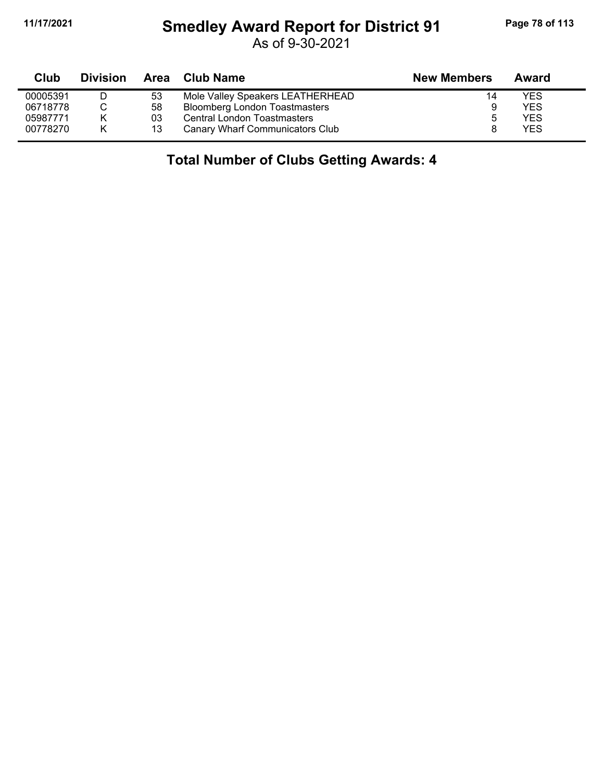## **11/17/2021 Smedley Award Report for District 91 Page 78 of 113**

As of 9-30-2021

| Club     | <b>Division</b> |    | Area Club Name                       | <b>New Members</b> | Award |
|----------|-----------------|----|--------------------------------------|--------------------|-------|
| 00005391 |                 | 53 | Mole Valley Speakers LEATHERHEAD     | 14                 | YES   |
| 06718778 |                 | 58 | <b>Bloomberg London Toastmasters</b> | 9                  | YES   |
| 05987771 | K               | 03 | <b>Central London Toastmasters</b>   |                    | YES   |
| 00778270 | K               | 13 | Canary Wharf Communicators Club      |                    | YES   |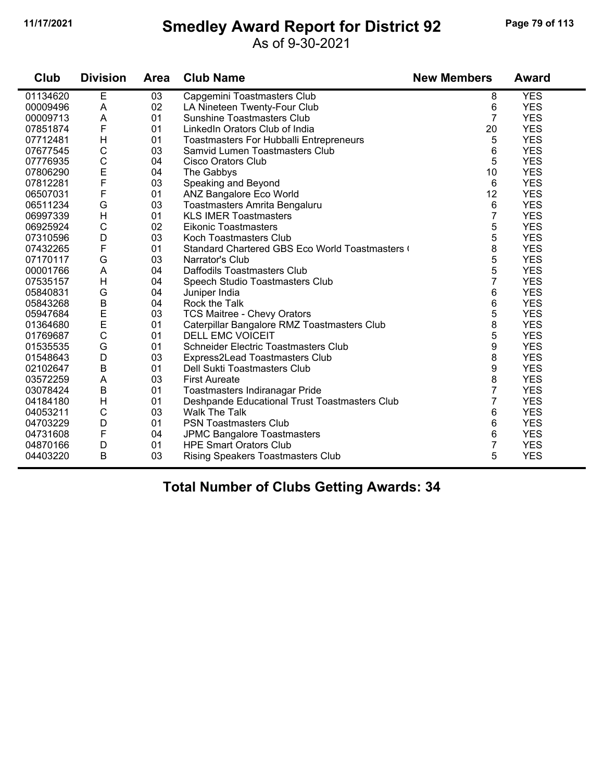#### **11/17/2021 Smedley Award Report for District 92 Page 79 of 113**

As of 9-30-2021

| Club     | <b>Division</b>           | <b>Area</b> | <b>Club Name</b>                               | <b>New Members</b> | <b>Award</b> |
|----------|---------------------------|-------------|------------------------------------------------|--------------------|--------------|
| 01134620 | E                         | 03          | Capgemini Toastmasters Club                    | 8                  | <b>YES</b>   |
| 00009496 | A                         | 02          | LA Nineteen Twenty-Four Club                   | 6                  | <b>YES</b>   |
| 00009713 | A                         | 01          | <b>Sunshine Toastmasters Club</b>              | $\overline{7}$     | <b>YES</b>   |
| 07851874 | F                         | 01          | LinkedIn Orators Club of India                 | 20                 | <b>YES</b>   |
| 07712481 | H                         | 01          | <b>Toastmasters For Hubballi Entrepreneurs</b> | 5                  | <b>YES</b>   |
| 07677545 | $\mathsf{C}$              | 03          | Samvid Lumen Toastmasters Club                 | 6                  | <b>YES</b>   |
| 07776935 | $\mathbf C$               | 04          | Cisco Orators Club                             | 5                  | <b>YES</b>   |
| 07806290 | E                         | 04          | The Gabbys                                     | 10                 | <b>YES</b>   |
| 07812281 | F                         | 03          | Speaking and Beyond                            | 6                  | <b>YES</b>   |
| 06507031 | F                         | 01          | ANZ Bangalore Eco World                        | 12                 | <b>YES</b>   |
| 06511234 | G                         | 03          | Toastmasters Amrita Bengaluru                  | 6                  | <b>YES</b>   |
| 06997339 | H                         | 01          | <b>KLS IMER Toastmasters</b>                   | $\overline{7}$     | <b>YES</b>   |
| 06925924 | $\mathsf{C}$              | 02          | <b>Eikonic Toastmasters</b>                    | 5                  | <b>YES</b>   |
| 07310596 | D                         | 03          | Koch Toastmasters Club                         | 5                  | <b>YES</b>   |
| 07432265 | F                         | 01          | Standard Chartered GBS Eco World Toastmasters  | 8                  | <b>YES</b>   |
| 07170117 | G                         | 03          | Narrator's Club                                | 5                  | <b>YES</b>   |
| 00001766 | $\boldsymbol{\mathsf{A}}$ | 04          | Daffodils Toastmasters Club                    | 5                  | <b>YES</b>   |
| 07535157 | H                         | 04          | Speech Studio Toastmasters Club                | $\overline{7}$     | <b>YES</b>   |
| 05840831 | G                         | 04          | Juniper India                                  | 6                  | <b>YES</b>   |
| 05843268 | $\sf B$                   | 04          | Rock the Talk                                  | 6                  | <b>YES</b>   |
| 05947684 | E<br>E                    | 03          | <b>TCS Maitree - Chevy Orators</b>             | 5                  | <b>YES</b>   |
| 01364680 |                           | 01          | Caterpillar Bangalore RMZ Toastmasters Club    | 8                  | <b>YES</b>   |
| 01769687 | $\mathbf C$               | 01          | <b>DELL EMC VOICEIT</b>                        | 5                  | <b>YES</b>   |
| 01535535 | G                         | 01          | <b>Schneider Electric Toastmasters Club</b>    | 9                  | <b>YES</b>   |
| 01548643 | D                         | 03          | Express2Lead Toastmasters Club                 | 8                  | <b>YES</b>   |
| 02102647 | $\overline{B}$            | 01          | Dell Sukti Toastmasters Club                   | 9                  | <b>YES</b>   |
| 03572259 | A                         | 03          | <b>First Aureate</b>                           | 8                  | <b>YES</b>   |
| 03078424 | $\sf B$                   | 01          | Toastmasters Indiranagar Pride                 | $\overline{7}$     | <b>YES</b>   |
| 04184180 | H                         | 01          | Deshpande Educational Trust Toastmasters Club  | $\overline{7}$     | <b>YES</b>   |
| 04053211 | $\mathsf{C}$              | 03          | <b>Walk The Talk</b>                           | 6                  | <b>YES</b>   |
| 04703229 | D                         | 01          | <b>PSN Toastmasters Club</b>                   | 6                  | <b>YES</b>   |
| 04731608 | F                         | 04          | <b>JPMC Bangalore Toastmasters</b>             | 6                  | <b>YES</b>   |
| 04870166 | D                         | 01          | <b>HPE Smart Orators Club</b>                  | 7                  | <b>YES</b>   |
| 04403220 | B                         | 03          | <b>Rising Speakers Toastmasters Club</b>       | 5                  | <b>YES</b>   |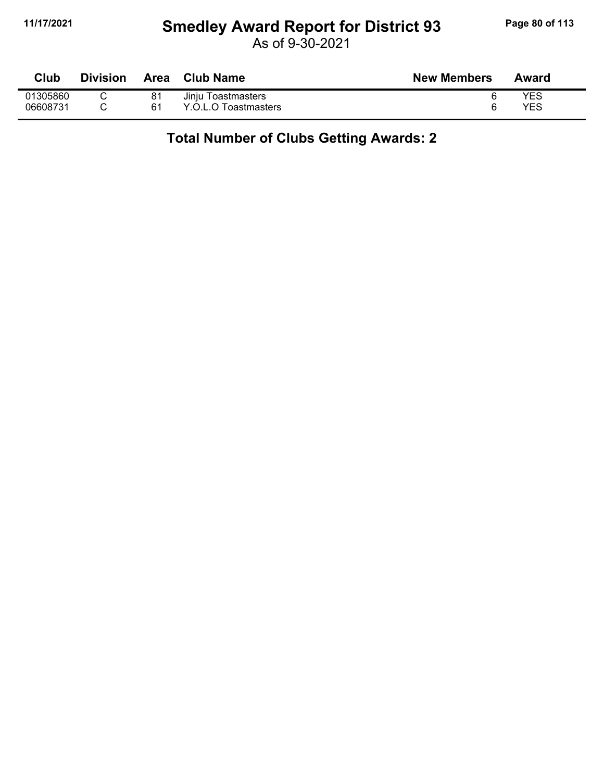## **11/17/2021 Smedley Award Report for District 93 Page 80 of 113**

As of 9-30-2021

| Club     | <b>Division</b> | Area | <b>Club Name</b>     | <b>New Members</b> | Award |
|----------|-----------------|------|----------------------|--------------------|-------|
| 01305860 |                 | 81   | Jinju Toastmasters   |                    | YES   |
| 06608731 |                 | 61   | Y.O.L.O Toastmasters |                    | YES   |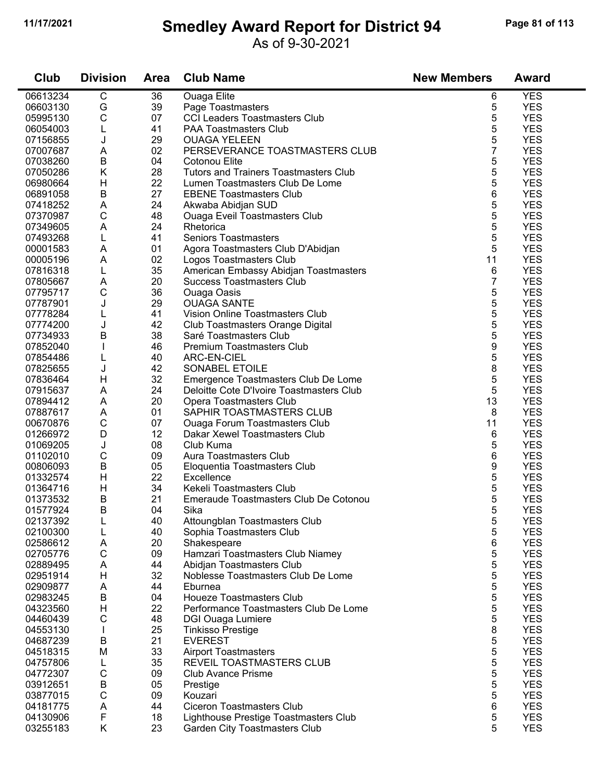#### **11/17/2021 Smedley Award Report for District 94 Page 81 of 113**

As of 9-30-2021

| Club                 | <b>Division</b> | <b>Area</b> | <b>Club Name</b>                             | <b>New Members</b> | <b>Award</b>             |
|----------------------|-----------------|-------------|----------------------------------------------|--------------------|--------------------------|
| 06613234             | C               | 36          | <b>Ouaga Elite</b>                           | 6                  | <b>YES</b>               |
| 06603130             | G               | 39          | Page Toastmasters                            | 5                  | <b>YES</b>               |
| 05995130             | C               | 07          | <b>CCI Leaders Toastmasters Club</b>         | 5                  | <b>YES</b>               |
| 06054003             |                 | 41          | <b>PAA Toastmasters Club</b>                 | 5                  | <b>YES</b>               |
| 07156855             | J               | 29          | <b>OUAGA YELEEN</b>                          | 5                  | <b>YES</b>               |
| 07007687             | A               | 02          | PERSEVERANCE TOASTMASTERS CLUB               | $\overline{7}$     | <b>YES</b>               |
| 07038260             | $\sf B$         | 04          | Cotonou Elite                                | 5                  | <b>YES</b>               |
| 07050286             | Κ               | 28          | <b>Tutors and Trainers Toastmasters Club</b> | 5                  | <b>YES</b>               |
| 06980664             | H               | 22          | Lumen Toastmasters Club De Lome              | 5                  | <b>YES</b>               |
| 06891058             | B               | 27          | <b>EBENE Toastmasters Club</b>               | 6                  | <b>YES</b>               |
| 07418252             | A               | 24          | Akwaba Abidjan SUD                           | 5                  | <b>YES</b>               |
| 07370987             | C               | 48          | <b>Ouaga Eveil Toastmasters Club</b>         | 5                  | <b>YES</b>               |
| 07349605             | A               | 24          | Rhetorica                                    | 5                  | <b>YES</b>               |
| 07493268             | L               | 41          | <b>Seniors Toastmasters</b>                  | 5                  | <b>YES</b>               |
| 00001583             | A               | 01          | Agora Toastmasters Club D'Abidjan            | 5                  | <b>YES</b>               |
| 00005196             | A               | 02          | Logos Toastmasters Club                      | 11                 | <b>YES</b>               |
| 07816318             | L               | 35          | American Embassy Abidjan Toastmasters        | 6                  | <b>YES</b>               |
| 07805667             | A               | 20          | <b>Success Toastmasters Club</b>             | $\overline{7}$     | <b>YES</b>               |
| 07795717             | C               | 36          | <b>Ouaga Oasis</b>                           | 5                  | <b>YES</b>               |
| 07787901             | J               | 29          | <b>OUAGA SANTE</b>                           | 5                  | <b>YES</b>               |
| 07778284             | L               | 41          | Vision Online Toastmasters Club              | 5                  | <b>YES</b>               |
| 07774200             | J               | 42          | Club Toastmasters Orange Digital             | 5                  | <b>YES</b>               |
| 07734933             | B               | 38          | Saré Toastmasters Club                       | 5                  | <b>YES</b>               |
| 07852040             |                 | 46          | <b>Premium Toastmasters Club</b>             | 9                  | <b>YES</b>               |
| 07854486             | L               | 40          | ARC-EN-CIEL                                  | 5                  | <b>YES</b>               |
| 07825655             | J               | 42          | SONABEL ETOILE                               | 8                  | <b>YES</b>               |
| 07836464             | H               | 32          | Emergence Toastmasters Club De Lome          | 5                  | <b>YES</b>               |
| 07915637             | A               | 24          | Deloitte Cote D'Ivoire Toastmasters Club     | 5                  | <b>YES</b>               |
| 07894412             | A               | 20          | Opera Toastmasters Club                      | 13                 | <b>YES</b>               |
| 07887617             | A               | 01          | SAPHIR TOASTMASTERS CLUB                     | 8                  | <b>YES</b>               |
| 00670876             | C               | 07<br>12    | <b>Ouaga Forum Toastmasters Club</b>         | 11                 | <b>YES</b><br><b>YES</b> |
| 01266972<br>01069205 | D<br>J          | 08          | Dakar Xewel Toastmasters Club<br>Club Kuma   | 6<br>5             | <b>YES</b>               |
| 01102010             | C               | 09          | Aura Toastmasters Club                       | 6                  | <b>YES</b>               |
| 00806093             | B               | 05          | Eloquentia Toastmasters Club                 | 9                  | <b>YES</b>               |
| 01332574             | H               | 22          | Excellence                                   | 5                  | <b>YES</b>               |
| 01364716             | H               | 34          | Kekeli Toastmasters Club                     | 5                  | <b>YES</b>               |
| 01373532             | B               | 21          | Emeraude Toastmasters Club De Cotonou        | 5                  | <b>YES</b>               |
| 01577924             | B               | 04          | Sika                                         | 5                  | <b>YES</b>               |
| 02137392             | L               | 40          | Attoungblan Toastmasters Club                | 5                  | <b>YES</b>               |
| 02100300             |                 | 40          | Sophia Toastmasters Club                     | 5                  | <b>YES</b>               |
| 02586612             | A               | 20          | Shakespeare                                  | 6                  | <b>YES</b>               |
| 02705776             | C               | 09          | Hamzari Toastmasters Club Niamey             | 5                  | <b>YES</b>               |
| 02889495             | A               | 44          | Abidjan Toastmasters Club                    | 5                  | <b>YES</b>               |
| 02951914             | H               | 32          | Noblesse Toastmasters Club De Lome           | 5                  | <b>YES</b>               |
| 02909877             | Α               | 44          | Eburnea                                      | 5                  | <b>YES</b>               |
| 02983245             | $\sf B$         | 04          | <b>Houeze Toastmasters Club</b>              | 5                  | <b>YES</b>               |
| 04323560             | H               | 22          | Performance Toastmasters Club De Lome        | 5                  | <b>YES</b>               |
| 04460439             | C               | 48          | DGI Ouaga Lumiere                            | 5                  | <b>YES</b>               |
| 04553130             | T               | 25          | <b>Tinkisso Prestige</b>                     | 8                  | <b>YES</b>               |
| 04687239             | $\sf B$         | 21          | <b>EVEREST</b>                               | 5                  | <b>YES</b>               |
| 04518315             | M               | 33          | <b>Airport Toastmasters</b>                  | 5                  | <b>YES</b>               |
| 04757806             | L               | 35          | REVEIL TOASTMASTERS CLUB                     | 5                  | <b>YES</b>               |
| 04772307             | C               | 09          | <b>Club Avance Prisme</b>                    | 5                  | <b>YES</b>               |
| 03912651             | В               | 05          | Prestige                                     | 5                  | <b>YES</b>               |
| 03877015             | C               | 09          | Kouzari                                      | 5                  | <b>YES</b>               |
| 04181775             | A               | 44          | <b>Ciceron Toastmasters Club</b>             | 6                  | <b>YES</b>               |
| 04130906             | F               | 18          | Lighthouse Prestige Toastmasters Club        | 5                  | <b>YES</b>               |
| 03255183             | K               | 23          | Garden City Toastmasters Club                | 5                  | <b>YES</b>               |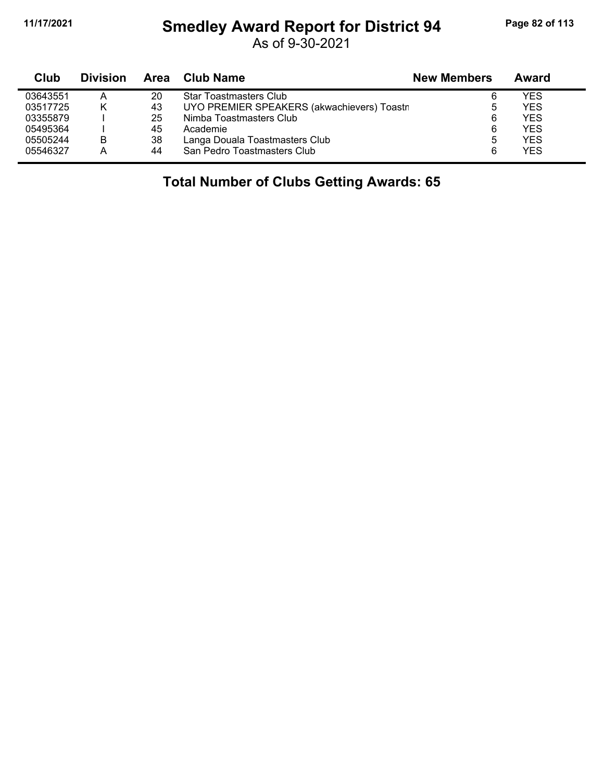## **11/17/2021 Smedley Award Report for District 94 Page 82 of 113**

As of 9-30-2021

| Club     | <b>Division</b> | <b>Area</b> | <b>Club Name</b>                           | <b>New Members</b> | Award      |
|----------|-----------------|-------------|--------------------------------------------|--------------------|------------|
| 03643551 | А               | 20          | <b>Star Toastmasters Club</b>              | 6                  | YES        |
| 03517725 |                 | 43          | UYO PREMIER SPEAKERS (akwachievers) Toastr | ხ                  | <b>YES</b> |
| 03355879 |                 | 25          | Nimba Toastmasters Club                    | 6                  | <b>YES</b> |
| 05495364 |                 | 45          | Academie                                   | 6                  | <b>YES</b> |
| 05505244 | в               | 38          | Langa Douala Toastmasters Club             | 5                  | <b>YES</b> |
| 05546327 | А               | 44          | San Pedro Toastmasters Club                | 6                  | <b>YES</b> |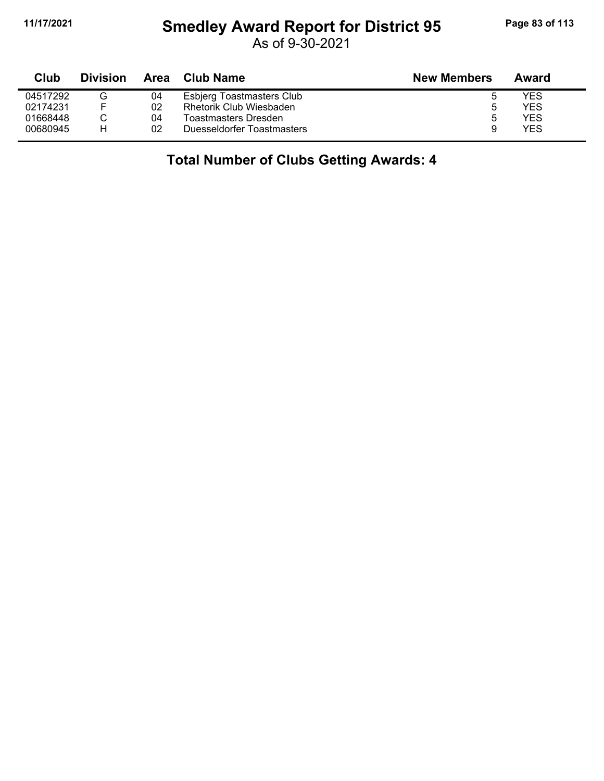### **11/17/2021 Smedley Award Report for District 95 Page 83 of 113**

As of 9-30-2021

| Club     | <b>Division</b> | Area | Club Name                        | <b>New Members</b> | Award      |
|----------|-----------------|------|----------------------------------|--------------------|------------|
| 04517292 | G               | 04   | <b>Esbjerg Toastmasters Club</b> | э                  | YES        |
| 02174231 |                 | 02   | <b>Rhetorik Club Wiesbaden</b>   | b                  | YES        |
| 01668448 |                 | 04   | Toastmasters Dresden             | b                  | YES        |
| 00680945 | н               | 02   | Duesseldorfer Toastmasters       | 9                  | <b>YES</b> |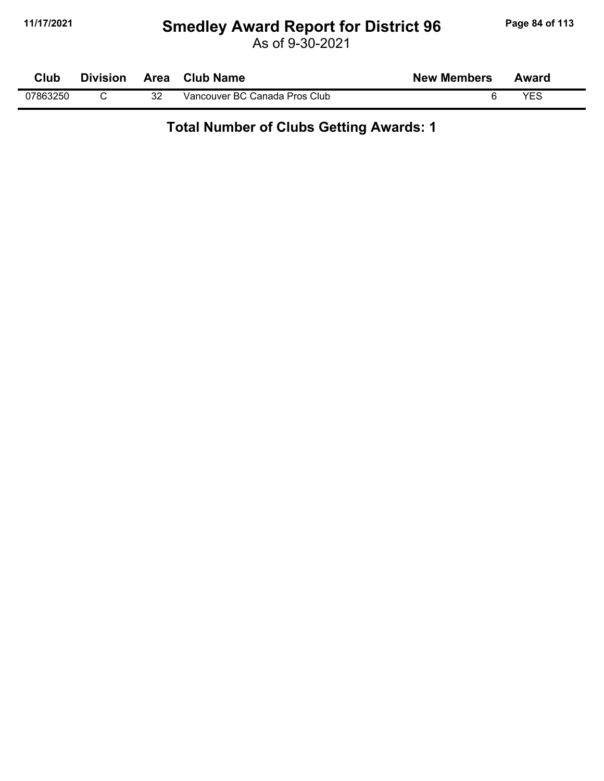# **11/17/2021 Smedley Award Report for District 96 Page 84 of 113**

As of 9-30-2021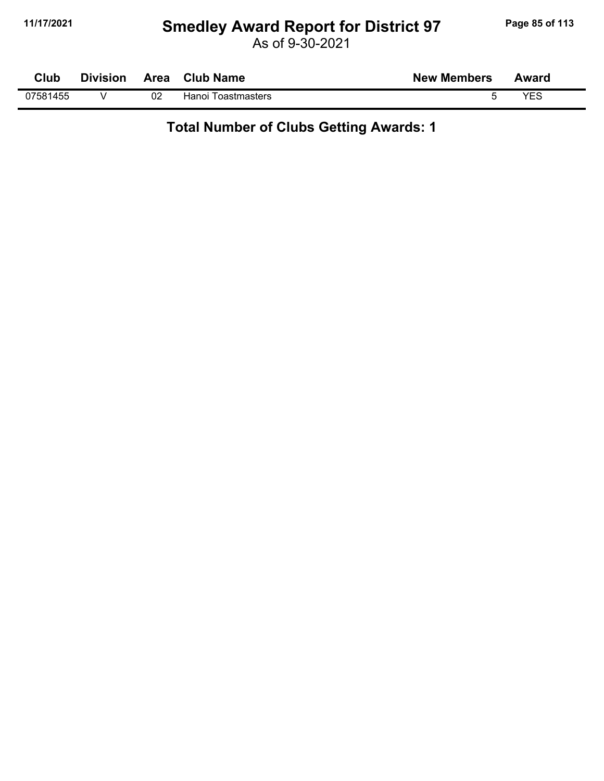### **11/17/2021 Smedley Award Report for District 97 Page 85 of 113**

As of 9-30-2021

| Club     | <b>Division</b> |    | Area Club Name     | <b>New Members</b> | Award      |
|----------|-----------------|----|--------------------|--------------------|------------|
| 07581455 |                 | 02 | Hanoi Toastmasters |                    | <b>YFS</b> |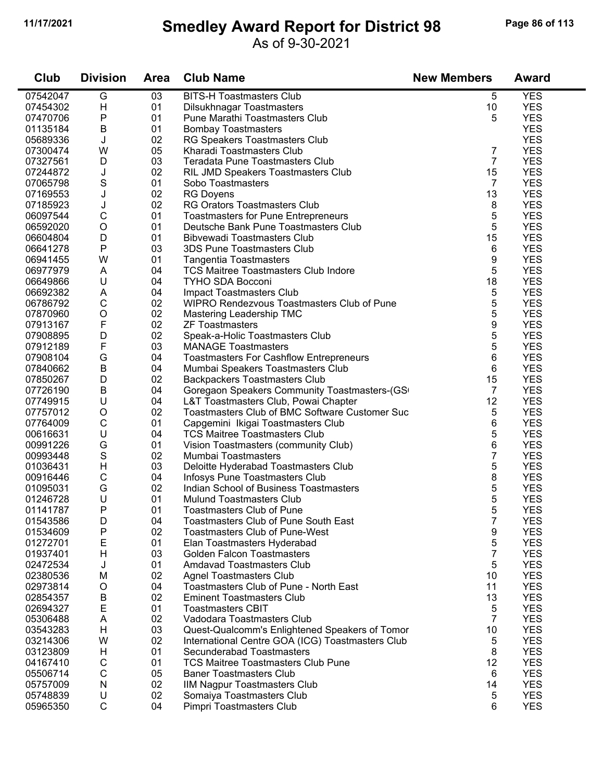#### **11/17/2021 Smedley Award Report for District 98 Page 86 of 113**

#### As of 9-30-2021

| Club                 | <b>Division</b> | <b>Area</b> | <b>Club Name</b>                                                              | <b>New Members</b> | <b>Award</b> |
|----------------------|-----------------|-------------|-------------------------------------------------------------------------------|--------------------|--------------|
| 07542047             | G               | 03          | <b>BITS-H Toastmasters Club</b>                                               | 5                  | <b>YES</b>   |
| 07454302             | Н               | 01          | Dilsukhnagar Toastmasters                                                     | 10                 | <b>YES</b>   |
| 07470706             | Ρ               | 01          | Pune Marathi Toastmasters Club                                                | 5                  | <b>YES</b>   |
| 01135184             | B               | 01          | <b>Bombay Toastmasters</b>                                                    |                    | <b>YES</b>   |
| 05689336             | J               | 02          | RG Speakers Toastmasters Club                                                 |                    | <b>YES</b>   |
| 07300474             | W               | 05          | Kharadi Toastmasters Club                                                     | $\overline{7}$     | <b>YES</b>   |
| 07327561             | D               | 03          | <b>Teradata Pune Toastmasters Club</b>                                        | $\overline{7}$     | <b>YES</b>   |
| 07244872             | J               | 02          | RIL JMD Speakers Toastmasters Club                                            | 15                 | <b>YES</b>   |
| 07065798             | S               | 01          | Sobo Toastmasters                                                             | $\overline{7}$     | <b>YES</b>   |
| 07169553             | J               | 02          | <b>RG Doyens</b>                                                              | 13                 | <b>YES</b>   |
| 07185923             | J               | 02          | <b>RG Orators Toastmasters Club</b>                                           | 8                  | <b>YES</b>   |
| 06097544             | C               | 01          | <b>Toastmasters for Pune Entrepreneurs</b>                                    | 5                  | <b>YES</b>   |
| 06592020             | $\bigcirc$      | 01          | Deutsche Bank Pune Toastmasters Club                                          | 5                  | <b>YES</b>   |
| 06604804             | D               | 01          | <b>Bibvewadi Toastmasters Club</b>                                            | 15                 | <b>YES</b>   |
| 06641278             | ${\sf P}$       | 03          | 3DS Pune Toastmasters Club                                                    | 6                  | <b>YES</b>   |
| 06941455             | W               | 01          | <b>Tangentia Toastmasters</b>                                                 | 9                  | <b>YES</b>   |
| 06977979             | A               | 04          | <b>TCS Maitree Toastmasters Club Indore</b>                                   | 5                  | <b>YES</b>   |
| 06649866             | U               | 04          | <b>TYHO SDA Bocconi</b>                                                       | 18                 | <b>YES</b>   |
| 06692382             | Α               | 04          | Impact Toastmasters Club                                                      | 5                  | <b>YES</b>   |
| 06786792             | $\mathsf C$     | 02          | WIPRO Rendezvous Toastmasters Club of Pune                                    | 5                  | <b>YES</b>   |
| 07870960             | $\mathsf O$     | 02          | Mastering Leadership TMC                                                      | 5                  | <b>YES</b>   |
| 07913167             | F               | 02          | <b>ZF Toastmasters</b>                                                        | 9                  | <b>YES</b>   |
| 07908895             | D               | 02          | Speak-a-Holic Toastmasters Club                                               | 5                  | <b>YES</b>   |
| 07912189             | F               | 03          | <b>MANAGE Toastmasters</b>                                                    | 5                  | <b>YES</b>   |
| 07908104             | G               | 04          | <b>Toastmasters For Cashflow Entrepreneurs</b>                                | 6                  | <b>YES</b>   |
| 07840662             | B               | 04          | Mumbai Speakers Toastmasters Club                                             | 6                  | <b>YES</b>   |
| 07850267             | D               | 02          | <b>Backpackers Toastmasters Club</b>                                          | 15                 | <b>YES</b>   |
| 07726190             | B               | 04          | Goregaon Speakers Community Toastmasters-(GS                                  | $\overline{7}$     | <b>YES</b>   |
| 07749915             | U               | 04          | L&T Toastmasters Club, Powai Chapter                                          | 12                 | <b>YES</b>   |
| 07757012             | O               | 02          | Toastmasters Club of BMC Software Customer Suc                                | 5                  | <b>YES</b>   |
| 07764009             | $\mathsf C$     | 01          | Capgemini Ikigai Toastmasters Club                                            | 6                  | <b>YES</b>   |
| 00616631             | U               | 04          | <b>TCS Maitree Toastmasters Club</b>                                          | 5                  | <b>YES</b>   |
| 00991226             | G               | 01          | Vision Toastmasters (community Club)                                          | 6                  | <b>YES</b>   |
| 00993448             | S               | 02          | Mumbai Toastmasters                                                           | 7                  | <b>YES</b>   |
| 01036431             | $\mathsf{H}$    | 03          | Deloitte Hyderabad Toastmasters Club                                          | 5                  | <b>YES</b>   |
| 00916446             | С               | 04          | Infosys Pune Toastmasters Club                                                | 8                  | <b>YES</b>   |
| 01095031             | G               | 02          | Indian School of Business Toastmasters                                        | 5                  | <b>YES</b>   |
| 01246728             | $\sf U$         | 01          | <b>Mulund Toastmasters Club</b>                                               | 5                  | <b>YES</b>   |
| 01141787             | P               | 01          | <b>Toastmasters Club of Pune</b>                                              | 5                  | <b>YES</b>   |
| 01543586             | D               | 04          | <b>Toastmasters Club of Pune South East</b>                                   | $\overline{7}$     | <b>YES</b>   |
| 01534609             | Ρ               | 02          | <b>Toastmasters Club of Pune-West</b>                                         | 9                  | <b>YES</b>   |
| 01272701             | Е               | 01          | Elan Toastmasters Hyderabad                                                   | 5                  | <b>YES</b>   |
| 01937401             | H               | 03          | <b>Golden Falcon Toastmasters</b>                                             | $\overline{7}$     | <b>YES</b>   |
| 02472534             | J               | 01          | <b>Amdavad Toastmasters Club</b>                                              | 5                  | <b>YES</b>   |
| 02380536             | M               | 02          | <b>Agnel Toastmasters Club</b>                                                | 10                 | <b>YES</b>   |
| 02973814             | O               | 04          | Toastmasters Club of Pune - North East                                        | 11                 | <b>YES</b>   |
| 02854357             | B               | 02          | <b>Eminent Toastmasters Club</b>                                              | 13                 | <b>YES</b>   |
| 02694327             | E               | 01          | <b>Toastmasters CBIT</b>                                                      | 5                  | <b>YES</b>   |
| 05306488             | A               | 02          | Vadodara Toastmasters Club                                                    | $\overline{7}$     | <b>YES</b>   |
|                      | H               | 03          |                                                                               | 10                 | <b>YES</b>   |
| 03543283<br>03214306 | W               | 02          | Quest-Qualcomm's Enlightened Speakers of Tomor                                | $\sqrt{5}$         | <b>YES</b>   |
| 03123809             | H               | 01          | International Centre GOA (ICG) Toastmasters Club<br>Secunderabad Toastmasters | 8                  | <b>YES</b>   |
| 04167410             | $\mathsf C$     | 01          | <b>TCS Maitree Toastmasters Club Pune</b>                                     | 12                 | <b>YES</b>   |
|                      |                 | 05          |                                                                               |                    | <b>YES</b>   |
| 05506714             | $\mathsf C$     |             | <b>Baner Toastmasters Club</b>                                                | 6                  |              |
| 05757009             | N               | 02          | <b>IIM Nagpur Toastmasters Club</b>                                           | 14                 | <b>YES</b>   |
| 05748839             | U               | 02          | Somaiya Toastmasters Club                                                     | 5                  | <b>YES</b>   |
| 05965350             | $\mathsf C$     | 04          | Pimpri Toastmasters Club                                                      | 6                  | <b>YES</b>   |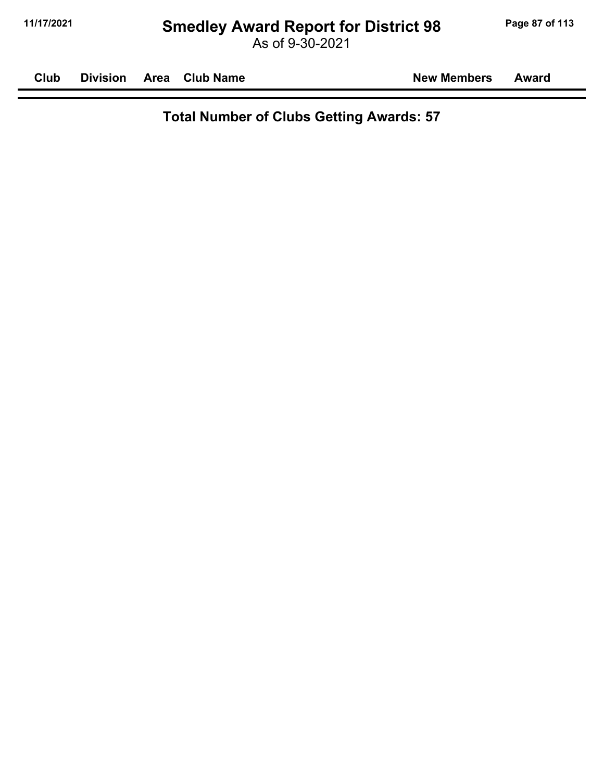# **11/17/2021 Smedley Award Report for District 98 Page 87 of 113**

As of 9-30-2021

**Club Division Area Club Name New Members Award**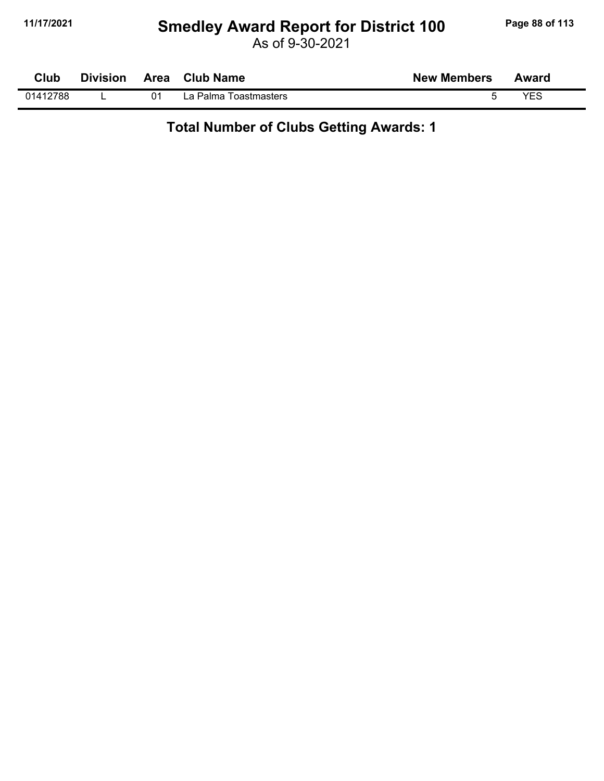#### **11/17/2021 Smedley Award Report for District 100 Page 88 of 113**

As of 9-30-2021

| <b>Club</b> | <b>Division</b> | <b>Area</b> | <b>Club Name</b>      | <b>New Members</b> | Award |
|-------------|-----------------|-------------|-----------------------|--------------------|-------|
| 01412788    |                 | 01          | La Palma Toastmasters |                    | VEC.  |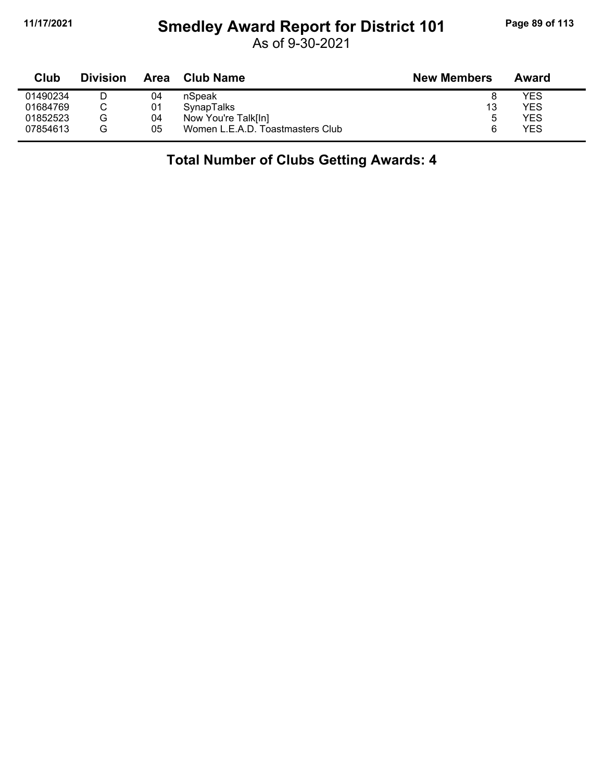## **11/17/2021 Smedley Award Report for District 101 Page 89 of 113**

As of 9-30-2021

| Club     | <b>Division</b> | Area | Club Name                        | <b>New Members</b> | Award |
|----------|-----------------|------|----------------------------------|--------------------|-------|
| 01490234 |                 | 04   | nSpeak                           |                    | YES   |
| 01684769 |                 | 01   | SynapTalks                       | 13                 | YES   |
| 01852523 | G               | 04   | Now You're Talk[In]              | b                  | YES   |
| 07854613 | G               | 05   | Women L.E.A.D. Toastmasters Club | 6                  | YES   |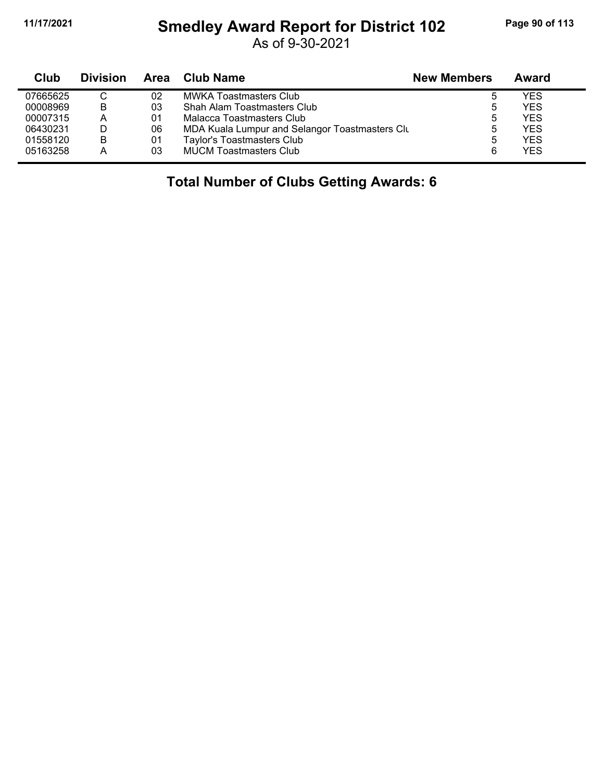j,

### **11/17/2021 Smedley Award Report for District 102 Page 90 of 113**

As of 9-30-2021

| Club     | <b>Division</b> | Area | Club Name                                      | <b>New Members</b> | Award      |
|----------|-----------------|------|------------------------------------------------|--------------------|------------|
| 07665625 |                 | 02   | MWKA Toastmasters Club                         |                    | <b>YES</b> |
| 00008969 | B               | 03   | Shah Alam Toastmasters Club                    | 5                  | <b>YES</b> |
| 00007315 | А               | 01   | Malacca Toastmasters Club                      | ა                  | <b>YES</b> |
| 06430231 |                 | 06   | MDA Kuala Lumpur and Selangor Toastmasters Clu | 5                  | <b>YES</b> |
| 01558120 | B               | 01   | Taylor's Toastmasters Club                     | 5                  | <b>YES</b> |
| 05163258 |                 | 03   | <b>MUCM Toastmasters Club</b>                  | 6                  | <b>YES</b> |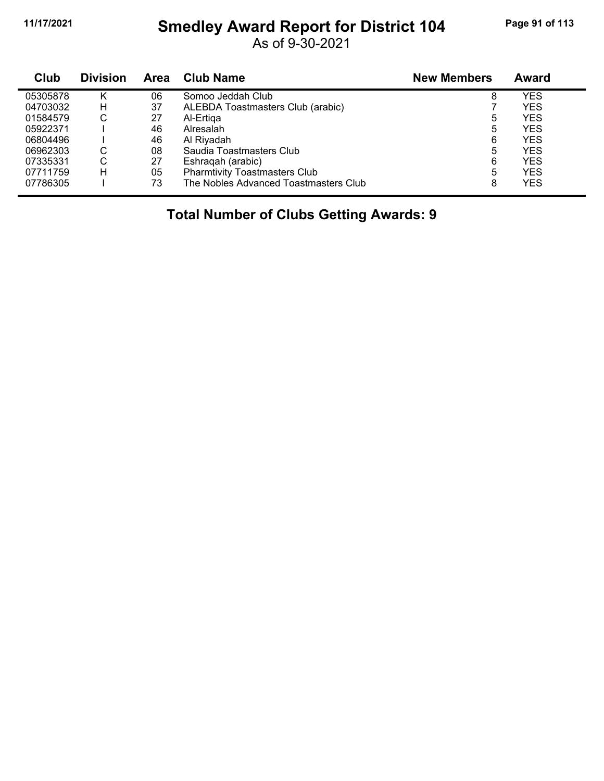## **11/17/2021 Smedley Award Report for District 104 Page 91 of 113**

As of 9-30-2021

| Club     | <b>Division</b> | Area | <b>Club Name</b>                      | <b>New Members</b> | Award      |
|----------|-----------------|------|---------------------------------------|--------------------|------------|
| 05305878 | Κ               | 06   | Somoo Jeddah Club                     | 8                  | YES        |
| 04703032 | н               | 37   | ALEBDA Toastmasters Club (arabic)     |                    | YES        |
| 01584579 | С               | 27   | Al-Ertiga                             | 5                  | <b>YES</b> |
| 05922371 |                 | 46   | Alresalah                             | 5                  | YES        |
| 06804496 |                 | 46   | Al Riyadah                            | 6                  | <b>YES</b> |
| 06962303 | С               | 08   | Saudia Toastmasters Club              | 5                  | <b>YES</b> |
| 07335331 | С               | 27   | Eshragah (arabic)                     | 6                  | <b>YES</b> |
| 07711759 | н               | 05   | <b>Pharmtivity Toastmasters Club</b>  | 5                  | <b>YES</b> |
| 07786305 |                 | 73   | The Nobles Advanced Toastmasters Club | 8                  | <b>YES</b> |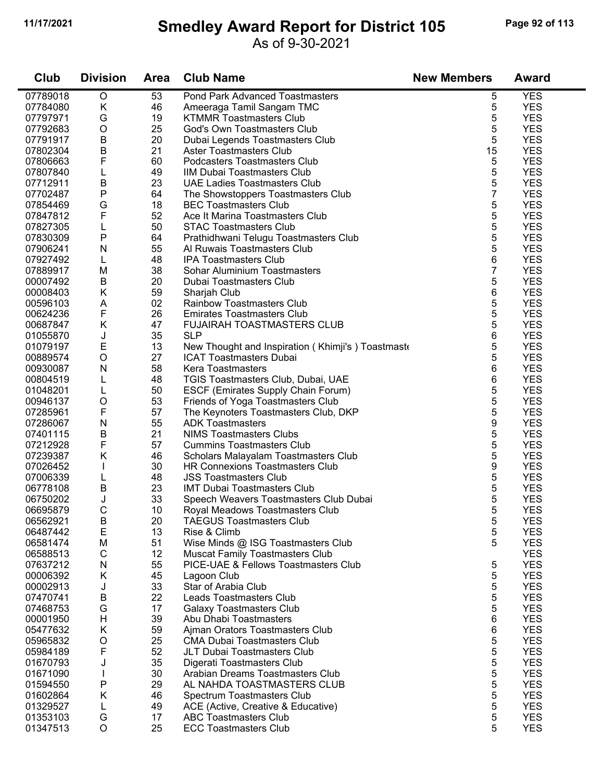### **11/17/2021 Smedley Award Report for District 105 Page 92 of 113**

As of 9-30-2021

| Club     | <b>Division</b> | <b>Area</b> | <b>Club Name</b>                                 | <b>New Members</b> | <b>Award</b> |
|----------|-----------------|-------------|--------------------------------------------------|--------------------|--------------|
| 07789018 | $\circ$         | 53          | <b>Pond Park Advanced Toastmasters</b>           | 5                  | <b>YES</b>   |
| 07784080 | K               | 46          | Ameeraga Tamil Sangam TMC                        | 5                  | <b>YES</b>   |
| 07797971 | G               | 19          | <b>KTMMR Toastmasters Club</b>                   | 5                  | <b>YES</b>   |
| 07792683 | $\circ$         | 25          | <b>God's Own Toastmasters Club</b>               | 5                  | <b>YES</b>   |
| 07791917 | B               | 20          | Dubai Legends Toastmasters Club                  | 5                  | <b>YES</b>   |
| 07802304 | B               | 21          | <b>Aster Toastmasters Club</b>                   | 15                 | <b>YES</b>   |
| 07806663 | F               | 60          | Podcasters Toastmasters Club                     | 5                  | <b>YES</b>   |
| 07807840 | L               | 49          | IIM Dubai Toastmasters Club                      | 5                  | <b>YES</b>   |
| 07712911 | B               | 23          | <b>UAE Ladies Toastmasters Club</b>              | 5                  | <b>YES</b>   |
| 07702487 | ${\sf P}$       | 64          | The Showstoppers Toastmasters Club               | $\overline{7}$     | <b>YES</b>   |
| 07854469 | G               | 18          | <b>BEC Toastmasters Club</b>                     | 5                  | <b>YES</b>   |
| 07847812 | F               | 52          | Ace It Marina Toastmasters Club                  | 5                  | <b>YES</b>   |
| 07827305 | L               | 50          | <b>STAC Toastmasters Club</b>                    | 5                  | <b>YES</b>   |
| 07830309 | P               | 64          | Prathidhwani Telugu Toastmasters Club            | 5                  | <b>YES</b>   |
| 07906241 | N               | 55          | Al Ruwais Toastmasters Club                      | 5                  | <b>YES</b>   |
| 07927492 | L               | 48          | <b>IPA Toastmasters Club</b>                     | 6                  | <b>YES</b>   |
| 07889917 | M               | 38          | Sohar Aluminium Toastmasters                     | $\overline{7}$     | <b>YES</b>   |
| 00007492 | B               | 20          | Dubai Toastmasters Club                          | 5                  | <b>YES</b>   |
| 00008403 | Κ               | 59          | Sharjah Club                                     | 6                  | <b>YES</b>   |
| 00596103 | A               | 02          | <b>Rainbow Toastmasters Club</b>                 | 5                  | <b>YES</b>   |
| 00624236 | F               | 26          | <b>Emirates Toastmasters Club</b>                | 5                  | <b>YES</b>   |
|          | Κ               | 47          | FUJAIRAH TOASTMASTERS CLUB                       | 5                  | <b>YES</b>   |
| 00687847 |                 | 35          | <b>SLP</b>                                       | 6                  | <b>YES</b>   |
| 01055870 | J<br>E          |             |                                                  |                    | <b>YES</b>   |
| 01079197 |                 | 13          | New Thought and Inspiration (Khimji's) Toastmast | 5                  |              |
| 00889574 | $\circ$         | 27          | <b>ICAT Toastmasters Dubai</b>                   | 5                  | <b>YES</b>   |
| 00930087 | N               | 58          | <b>Kera Toastmasters</b>                         | 6                  | <b>YES</b>   |
| 00804519 | L               | 48          | TGIS Toastmasters Club, Dubai, UAE               | 6                  | <b>YES</b>   |
| 01048201 | L               | 50          | ESCF (Emirates Supply Chain Forum)               | 5                  | <b>YES</b>   |
| 00946137 | $\circ$         | 53          | Friends of Yoga Toastmasters Club                | 5                  | <b>YES</b>   |
| 07285961 | F               | 57          | The Keynoters Toastmasters Club, DKP             | 5                  | <b>YES</b>   |
| 07286067 | ${\sf N}$       | 55          | <b>ADK Toastmasters</b>                          | 9                  | <b>YES</b>   |
| 07401115 | В               | 21          | <b>NIMS Toastmasters Clubs</b>                   | 5                  | <b>YES</b>   |
| 07212928 | F               | 57          | <b>Cummins Toastmasters Club</b>                 | 5                  | <b>YES</b>   |
| 07239387 | Κ               | 46          | Scholars Malayalam Toastmasters Club             | 5                  | <b>YES</b>   |
| 07026452 |                 | 30          | <b>HR Connexions Toastmasters Club</b>           | 9                  | <b>YES</b>   |
| 07006339 | L               | 48          | <b>JSS Toastmasters Club</b>                     | 5                  | <b>YES</b>   |
| 06778108 | B               | 23          | <b>IMT Dubai Toastmasters Club</b>               | 5                  | <b>YES</b>   |
| 06750202 | J               | 33          | Speech Weavers Toastmasters Club Dubai           | 5                  | <b>YES</b>   |
| 06695879 | C               | 10          | Royal Meadows Toastmasters Club                  | 5                  | <b>YES</b>   |
| 06562921 | B               | 20          | <b>TAEGUS Toastmasters Club</b>                  | 5                  | <b>YES</b>   |
| 06487442 | E               | 13          | Rise & Climb                                     | 5                  | <b>YES</b>   |
| 06581474 | M               | 51          | Wise Minds @ ISG Toastmasters Club               | 5                  | <b>YES</b>   |
| 06588513 | C               | 12          | <b>Muscat Family Toastmasters Club</b>           |                    | <b>YES</b>   |
| 07637212 | N               | 55          | PICE-UAE & Fellows Toastmasters Club             | 5                  | <b>YES</b>   |
| 00006392 | Κ               | 45          | Lagoon Club                                      | 5                  | <b>YES</b>   |
| 00002913 | J               | 33          | Star of Arabia Club                              | 5                  | <b>YES</b>   |
| 07470741 | B               | 22          | Leads Toastmasters Club                          | 5                  | <b>YES</b>   |
| 07468753 | G               | 17          | <b>Galaxy Toastmasters Club</b>                  | 5                  | <b>YES</b>   |
| 00001950 | H               | 39          | Abu Dhabi Toastmasters                           | 6                  | <b>YES</b>   |
| 05477632 | Κ               | 59          | Ajman Orators Toastmasters Club                  | 6                  | <b>YES</b>   |
| 05965832 | O               | 25          | <b>CMA Dubai Toastmasters Club</b>               | 5                  | <b>YES</b>   |
| 05984189 | F               | 52          | JLT Dubai Toastmasters Club                      | 5                  | <b>YES</b>   |
| 01670793 | J               | 35          | Digerati Toastmasters Club                       | 5                  | <b>YES</b>   |
| 01671090 |                 | 30          | Arabian Dreams Toastmasters Club                 | 5                  | <b>YES</b>   |
| 01594550 | Ρ               | 29          | AL NAHDA TOASTMASTERS CLUB                       | 5                  | <b>YES</b>   |
| 01602864 | Κ               | 46          | Spectrum Toastmasters Club                       | 5                  | <b>YES</b>   |
| 01329527 | L               | 49          | ACE (Active, Creative & Educative)               | 5                  | <b>YES</b>   |
| 01353103 | G               | 17          | <b>ABC Toastmasters Club</b>                     | 5                  | <b>YES</b>   |
| 01347513 | $\circ$         | 25          | <b>ECC Toastmasters Club</b>                     | 5                  | <b>YES</b>   |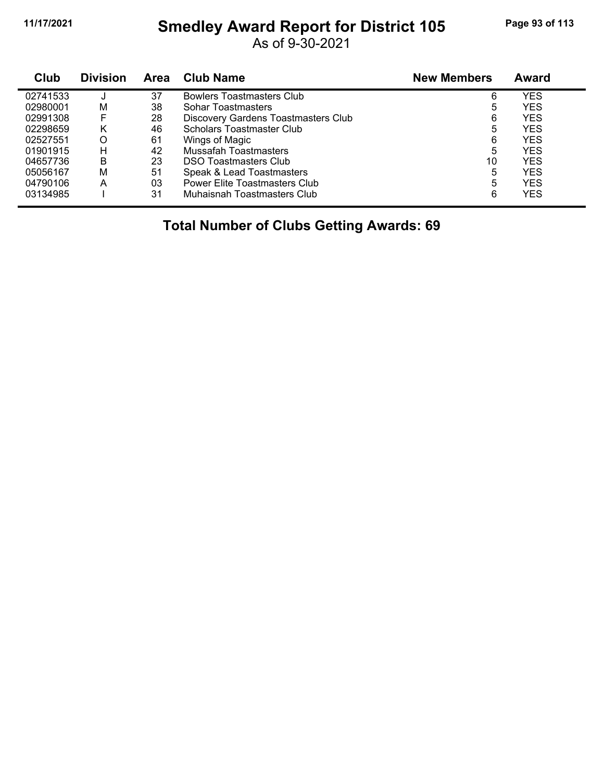#### **11/17/2021 Smedley Award Report for District 105 Page 93 of 113**

As of 9-30-2021

| Club     | <b>Division</b> | <b>Area</b> | <b>Club Name</b>                    | <b>New Members</b> | <b>Award</b> |  |
|----------|-----------------|-------------|-------------------------------------|--------------------|--------------|--|
| 02741533 |                 | 37          | <b>Bowlers Toastmasters Club</b>    | 6                  | YES          |  |
| 02980001 | м               | 38          | Sohar Toastmasters                  | 5                  | <b>YES</b>   |  |
| 02991308 | F               | 28          | Discovery Gardens Toastmasters Club | 6                  | <b>YES</b>   |  |
| 02298659 | κ               | 46          | Scholars Toastmaster Club           | 5                  | YES          |  |
| 02527551 | O               | 61          | Wings of Magic                      | 6                  | YES          |  |
| 01901915 | н               | 42          | Mussafah Toastmasters               | 5                  | YES          |  |
| 04657736 | в               | 23          | <b>DSO Toastmasters Club</b>        | 10                 | YES          |  |
| 05056167 | м               | 51          | Speak & Lead Toastmasters           | 5                  | YES          |  |
| 04790106 | А               | 03          | Power Elite Toastmasters Club       | 5                  | YES.         |  |
| 03134985 |                 | 31          | Muhaisnah Toastmasters Club         | 6                  | YES          |  |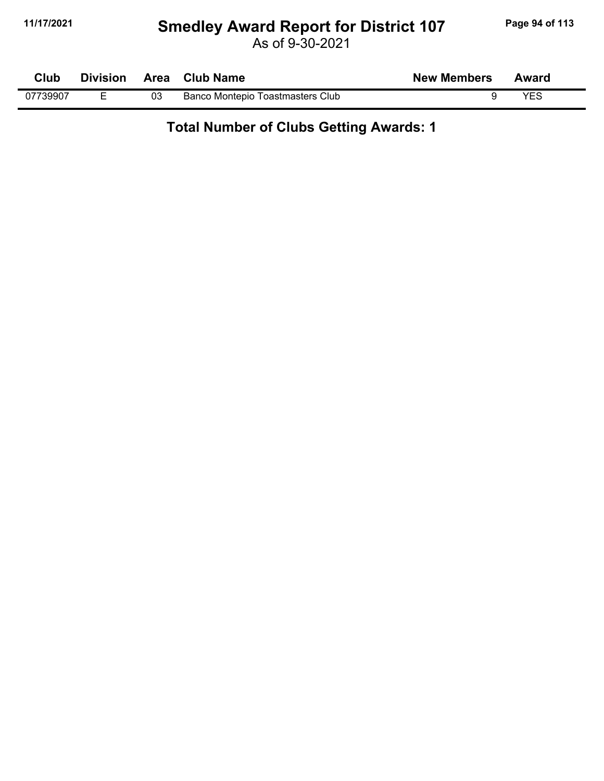#### **11/17/2021 Smedley Award Report for District 107 Page 94 of 113**

As of 9-30-2021

| Club     | <b>Division</b> |    | Area Club Name                   | <b>New Members</b> | Award |  |
|----------|-----------------|----|----------------------------------|--------------------|-------|--|
| 07739907 |                 | 03 | Banco Montepio Toastmasters Club |                    | YES   |  |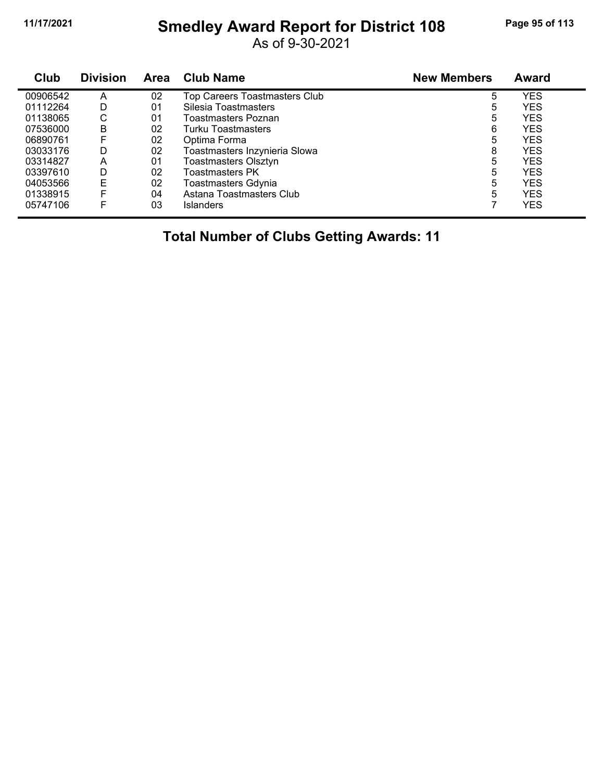## **11/17/2021 Smedley Award Report for District 108 Page 95 of 113**

As of 9-30-2021

| Club     | <b>Division</b> | <b>Area</b> | <b>Club Name</b>              | <b>New Members</b> | Award      |
|----------|-----------------|-------------|-------------------------------|--------------------|------------|
| 00906542 | A               | 02          | Top Careers Toastmasters Club | 5                  | <b>YES</b> |
| 01112264 | D               | 01          | Silesia Toastmasters          | 5                  | <b>YES</b> |
| 01138065 | С               | 01          | Toastmasters Poznan           | 5                  | <b>YES</b> |
| 07536000 | B               | 02          | Turku Toastmasters            | 6                  | <b>YES</b> |
| 06890761 | F               | 02          | Optima Forma                  | 5                  | <b>YES</b> |
| 03033176 | D               | 02          | Toastmasters Inzynieria Slowa | 8                  | <b>YES</b> |
| 03314827 | Α               | 01          | <b>Toastmasters Olsztyn</b>   | 5                  | <b>YES</b> |
| 03397610 | D               | 02          | <b>Toastmasters PK</b>        | 5                  | <b>YES</b> |
| 04053566 | E               | 02          | <b>Toastmasters Gdynia</b>    | 5                  | <b>YES</b> |
| 01338915 | F               | 04          | Astana Toastmasters Club      | 5                  | <b>YES</b> |
| 05747106 | F               | 03          | <b>Islanders</b>              |                    | <b>YES</b> |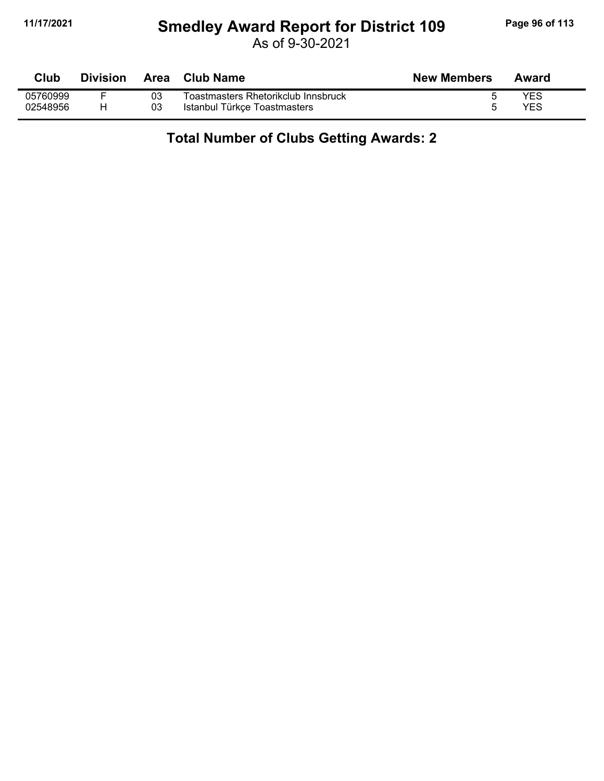### **11/17/2021 Smedley Award Report for District 109 Page 96 of 113**

As of 9-30-2021

| <b>Club</b> | <b>Division</b> | Area | Club Name                           | <b>New Members</b> | Award      |
|-------------|-----------------|------|-------------------------------------|--------------------|------------|
| 05760999    |                 | 03   | Toastmasters Rhetorikclub Innsbruck |                    | <b>YES</b> |
| 02548956    |                 | 03   | Istanbul Türkçe Toastmasters        |                    | YES        |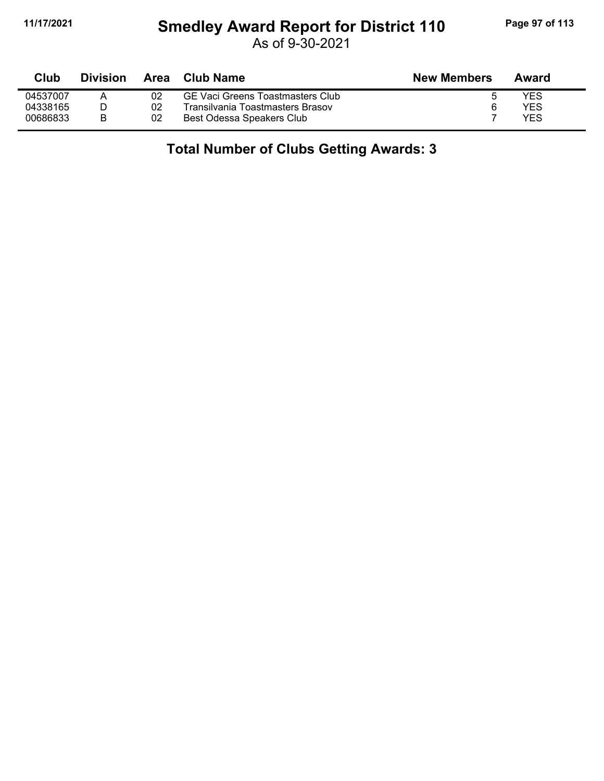## **11/17/2021 Smedley Award Report for District 110 Page 97 of 113**

As of 9-30-2021

| Club     | Division |    | Area Club Name                   | <b>New Members</b> | Award |
|----------|----------|----|----------------------------------|--------------------|-------|
| 04537007 |          | 02 | GE Vaci Greens Toastmasters Club |                    | YES   |
| 04338165 |          | 02 | Transilvania Toastmasters Brasov |                    | YES   |
| 00686833 | B        | 02 | Best Odessa Speakers Club        |                    | YES   |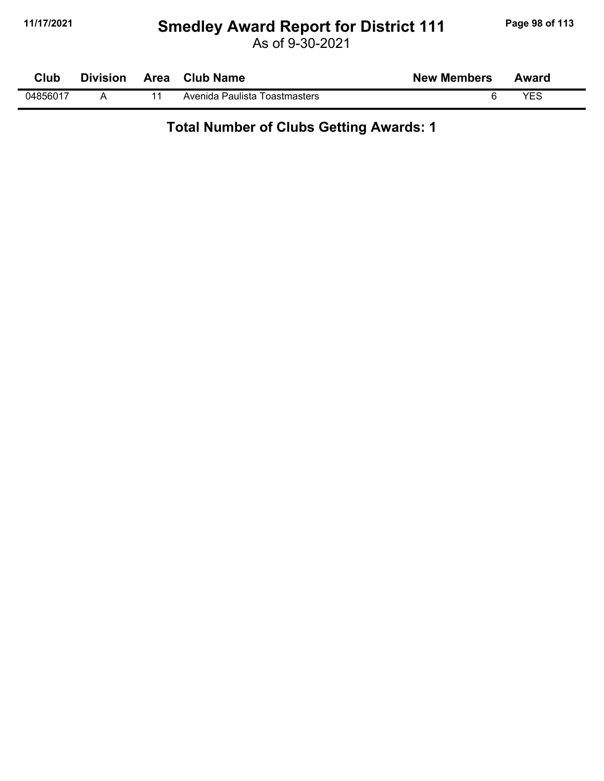#### **11/17/2021 Smedley Award Report for District 111 Page 98 of 113**

As of 9-30-2021

| Club     | <b>Division</b> | Area | <b>Club Name</b>              | <b>New Members</b> | Award |
|----------|-----------------|------|-------------------------------|--------------------|-------|
| 04856017 |                 |      | Avenida Paulista Toastmasters |                    | VES   |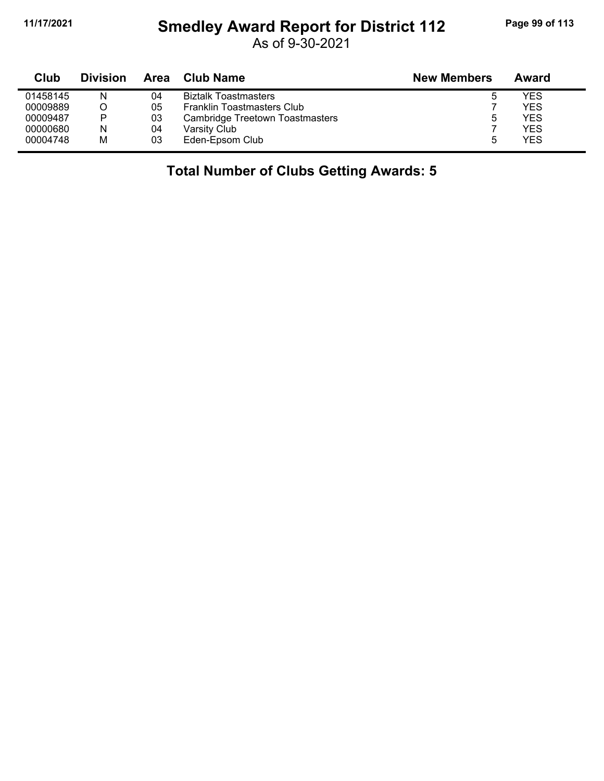## **11/17/2021 Smedley Award Report for District 112 Page 99 of 113**

As of 9-30-2021

| Club     | <b>Division</b> | Area | <b>Club Name</b>                       | <b>New Members</b> | Award      |
|----------|-----------------|------|----------------------------------------|--------------------|------------|
| 01458145 | N               | 04   | <b>Biztalk Toastmasters</b>            |                    | YES        |
| 00009889 |                 | 05   | Franklin Toastmasters Club             |                    | YES        |
| 00009487 | P               | 03   | <b>Cambridge Treetown Toastmasters</b> | b                  | YES        |
| 00000680 | N               | 04   | Varsity Club                           |                    | YES        |
| 00004748 | М               | 03   | Eden-Epsom Club                        | ٠h                 | <b>YES</b> |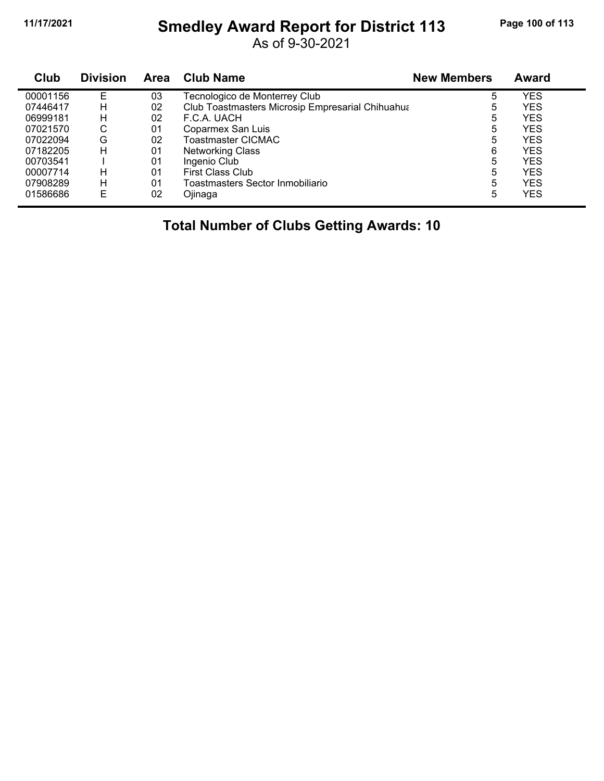#### **11/17/2021 Smedley Award Report for District 113 Page 100 of 113**

As of 9-30-2021

| Club     | <b>Division</b> | <b>Area</b> | <b>Club Name</b>                                 | <b>New Members</b> | <b>Award</b> |  |
|----------|-----------------|-------------|--------------------------------------------------|--------------------|--------------|--|
| 00001156 | Е               | 03          | Tecnologico de Monterrey Club                    | 5                  | <b>YES</b>   |  |
| 07446417 | н               | 02          | Club Toastmasters Microsip Empresarial Chihuahua | 5                  | <b>YES</b>   |  |
| 06999181 | н               | 02          | F.C.A. UACH                                      | 5                  | <b>YES</b>   |  |
| 07021570 | С               | 01          | Coparmex San Luis                                | 5                  | <b>YES</b>   |  |
| 07022094 | G               | 02          | Toastmaster CICMAC                               | 5                  | <b>YES</b>   |  |
| 07182205 | н               | 01          | <b>Networking Class</b>                          | 6                  | <b>YES</b>   |  |
| 00703541 |                 | 01          | Ingenio Club                                     | 5                  | <b>YES</b>   |  |
| 00007714 | н               | 01          | <b>First Class Club</b>                          | 5                  | <b>YES</b>   |  |
| 07908289 | н               | 01          | Toastmasters Sector Inmobiliario                 | 5                  | <b>YES</b>   |  |
| 01586686 | Е               | 02          | Ojinaga                                          | 5                  | <b>YES</b>   |  |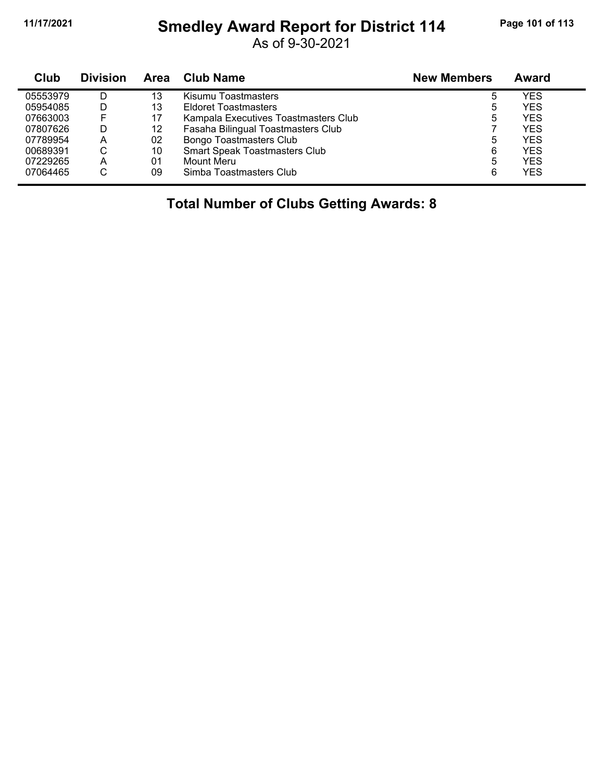#### **11/17/2021 Smedley Award Report for District 114 Page 101 of 113**

As of 9-30-2021

| Club     | <b>Division</b> | Area | Club Name                            | <b>New Members</b> | Award      |
|----------|-----------------|------|--------------------------------------|--------------------|------------|
| 05553979 | D               | 13   | Kisumu Toastmasters                  | 5                  | YES        |
| 05954085 | D               | 13   | <b>Eldoret Toastmasters</b>          | 5                  | YES        |
| 07663003 | F               | 17   | Kampala Executives Toastmasters Club | 5                  | YES        |
| 07807626 | D               | 12   | Fasaha Bilingual Toastmasters Club   |                    | <b>YES</b> |
| 07789954 | A               | 02   | <b>Bongo Toastmasters Club</b>       | 5                  | YES        |
| 00689391 | С               | 10   | <b>Smart Speak Toastmasters Club</b> | 6                  | YES        |
| 07229265 | A               | 01   | Mount Meru                           | 5                  | YES        |
| 07064465 | С               | 09   | Simba Toastmasters Club              | 6                  | YES        |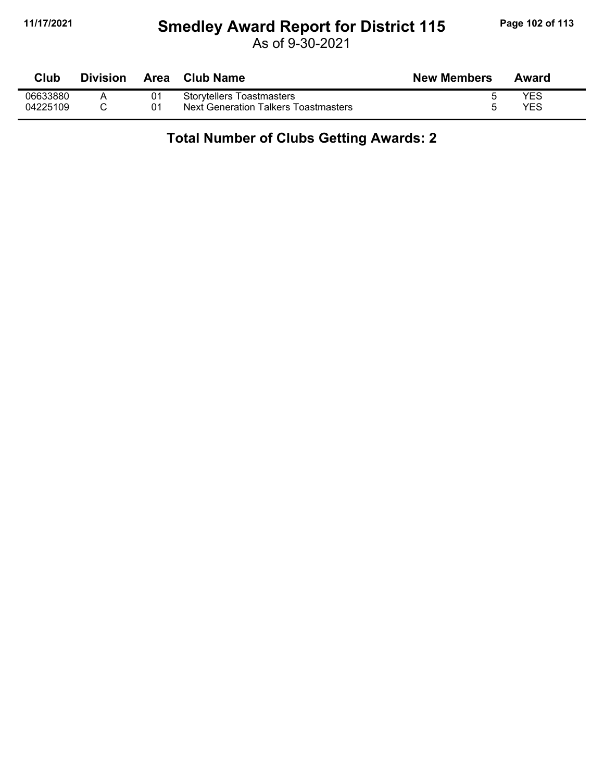#### **11/17/2021 Smedley Award Report for District 115 Page 102 of 113**

As of 9-30-2021

| Club     | <b>Division</b> | Area | <b>Club Name</b>                     | <b>New Members</b> | Award |
|----------|-----------------|------|--------------------------------------|--------------------|-------|
| 06633880 |                 | 01   | <b>Storytellers Toastmasters</b>     |                    | YES   |
| 04225109 |                 | 01   | Next Generation Talkers Toastmasters |                    | YES   |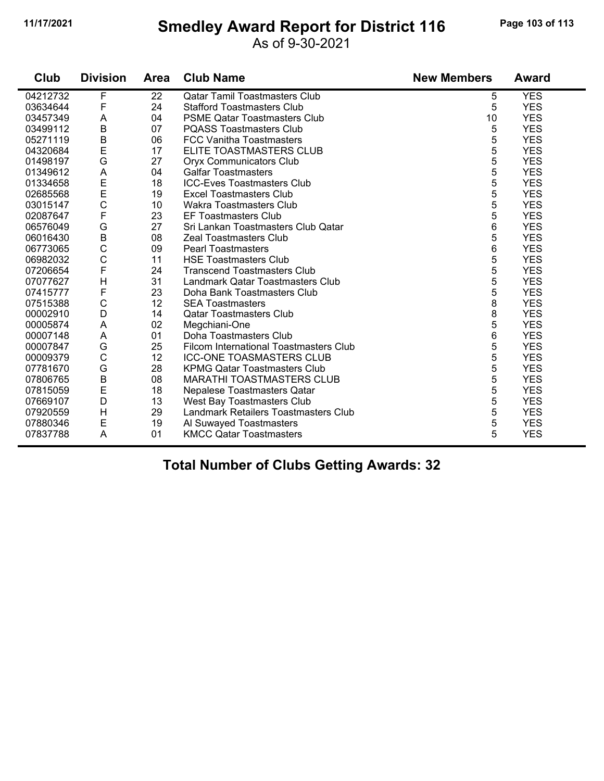#### **11/17/2021 Smedley Award Report for District 116 Page 103 of 113**

As of 9-30-2021

| Club     | <b>Division</b>           | <b>Area</b> | <b>Club Name</b>                       | <b>New Members</b> | <b>Award</b> |
|----------|---------------------------|-------------|----------------------------------------|--------------------|--------------|
| 04212732 | F                         | 22          | <b>Qatar Tamil Toastmasters Club</b>   | 5                  | <b>YES</b>   |
| 03634644 | F                         | 24          | <b>Stafford Toastmasters Club</b>      | 5                  | <b>YES</b>   |
| 03457349 | A                         | 04          | <b>PSME Qatar Toastmasters Club</b>    | 10                 | <b>YES</b>   |
| 03499112 | B                         | 07          | <b>PQASS Toastmasters Club</b>         | 5                  | <b>YES</b>   |
| 05271119 | $\sf B$                   | 06          | <b>FCC Vanitha Toastmasters</b>        | 5                  | <b>YES</b>   |
| 04320684 | E                         | 17          | ELITE TOASTMASTERS CLUB                | 5                  | <b>YES</b>   |
| 01498197 | G                         | 27          | <b>Oryx Communicators Club</b>         | 5                  | <b>YES</b>   |
| 01349612 | $\boldsymbol{\mathsf{A}}$ | 04          | <b>Galfar Toastmasters</b>             | 5                  | <b>YES</b>   |
| 01334658 | E                         | 18          | <b>ICC-Eves Toastmasters Club</b>      | 5                  | <b>YES</b>   |
| 02685568 | E                         | 19          | <b>Excel Toastmasters Club</b>         | 5                  | <b>YES</b>   |
| 03015147 | $\mathsf C$               | 10          | <b>Wakra Toastmasters Club</b>         | 5                  | <b>YES</b>   |
| 02087647 | F                         | 23          | <b>EF Toastmasters Club</b>            | 5                  | <b>YES</b>   |
| 06576049 | G                         | 27          | Sri Lankan Toastmasters Club Qatar     | 6                  | <b>YES</b>   |
| 06016430 | B                         | 08          | <b>Zeal Toastmasters Club</b>          | 5                  | <b>YES</b>   |
| 06773065 | $\mathsf C$               | 09          | <b>Pearl Toastmasters</b>              | 6                  | <b>YES</b>   |
| 06982032 | $\mathsf C$               | 11          | <b>HSE Toastmasters Club</b>           | 5                  | <b>YES</b>   |
| 07206654 | $\mathsf F$               | 24          | <b>Transcend Toastmasters Club</b>     | 5                  | <b>YES</b>   |
| 07077627 | $\mathsf{H}$              | 31          | Landmark Qatar Toastmasters Club       | 5                  | <b>YES</b>   |
| 07415777 | F                         | 23          | Doha Bank Toastmasters Club            | 5                  | <b>YES</b>   |
| 07515388 | $\mathsf{C}$              | 12          | <b>SEA Toastmasters</b>                | 8                  | <b>YES</b>   |
| 00002910 | D                         | 14          | <b>Qatar Toastmasters Club</b>         | 8                  | <b>YES</b>   |
| 00005874 | A                         | 02          | Megchiani-One                          | 5                  | <b>YES</b>   |
| 00007148 | A                         | 01          | Doha Toastmasters Club                 | 6                  | <b>YES</b>   |
| 00007847 | G                         | 25          | Filcom International Toastmasters Club | 5                  | <b>YES</b>   |
| 00009379 | $\mathsf{C}$              | 12          | <b>ICC-ONE TOASMASTERS CLUB</b>        | 5                  | <b>YES</b>   |
| 07781670 | G                         | 28          | <b>KPMG Qatar Toastmasters Club</b>    | 5                  | <b>YES</b>   |
| 07806765 | $\sf B$                   | 08          | <b>MARATHI TOASTMASTERS CLUB</b>       | 5                  | <b>YES</b>   |
| 07815059 | $\mathsf E$               | 18          | Nepalese Toastmasters Qatar            | 5                  | <b>YES</b>   |
| 07669107 | D                         | 13          | West Bay Toastmasters Club             | 5                  | <b>YES</b>   |
| 07920559 | H                         | 29          | Landmark Retailers Toastmasters Club   | 5                  | <b>YES</b>   |
| 07880346 | $\mathsf E$               | 19          | Al Suwayed Toastmasters                | 5                  | <b>YES</b>   |
| 07837788 | A                         | 01          | <b>KMCC Qatar Toastmasters</b>         | 5                  | <b>YES</b>   |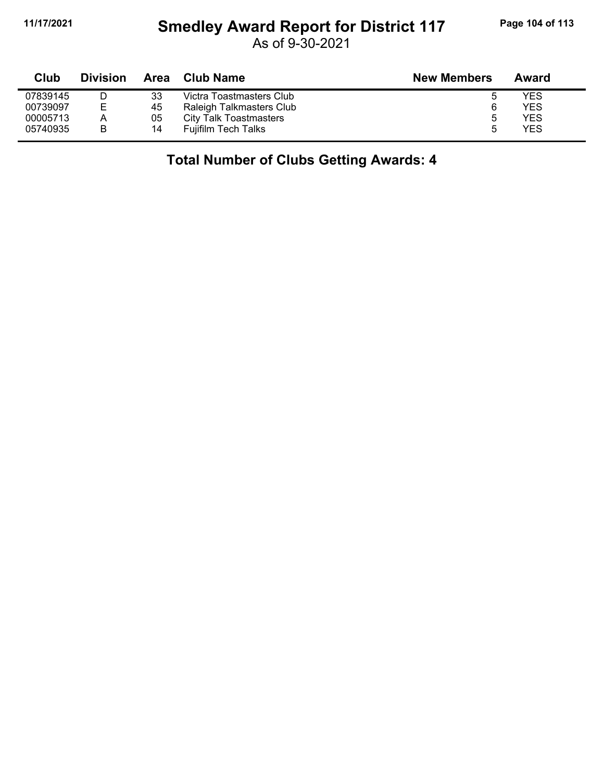#### **11/17/2021 Smedley Award Report for District 117 Page 104 of 113**

As of 9-30-2021

| <b>Club</b> | <b>Division</b> | Area | Club Name                  | <b>New Members</b> | Award |
|-------------|-----------------|------|----------------------------|--------------------|-------|
| 07839145    |                 | 33   | Victra Toastmasters Club   | 5                  | YES   |
| 00739097    | F               | 45   | Raleigh Talkmasters Club   | 6                  | YES   |
| 00005713    | A               | 05   | City Talk Toastmasters     | ა                  | YES   |
| 05740935    | в               | 14   | <b>Fuilfilm Tech Talks</b> | ۰.                 | YES   |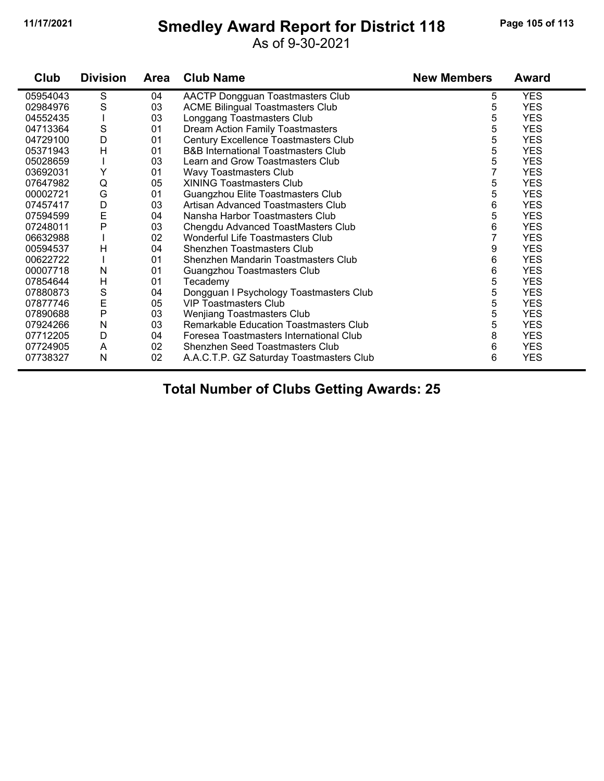#### **11/17/2021 Smedley Award Report for District 118 Page 105 of 113**

As of 9-30-2021

| Club     | <b>Division</b> | <b>Area</b> | <b>Club Name</b>                               | <b>New Members</b> | <b>Award</b> |
|----------|-----------------|-------------|------------------------------------------------|--------------------|--------------|
| 05954043 | S               | 04          | AACTP Dongguan Toastmasters Club               | 5                  | <b>YES</b>   |
| 02984976 | $\mathbf S$     | 03          | <b>ACME Bilingual Toastmasters Club</b>        | 5                  | <b>YES</b>   |
| 04552435 |                 | 03          | Longgang Toastmasters Club                     | 5                  | <b>YES</b>   |
| 04713364 | S               | 01          | <b>Dream Action Family Toastmasters</b>        | 5                  | <b>YES</b>   |
| 04729100 | D               | 01          | Century Excellence Toastmasters Club           | 5                  | <b>YES</b>   |
| 05371943 | $\overline{H}$  | 01          | <b>B&amp;B International Toastmasters Club</b> | 5                  | <b>YES</b>   |
| 05028659 |                 | 03          | Learn and Grow Toastmasters Club               | 5                  | <b>YES</b>   |
| 03692031 | Y               | 01          | Wavy Toastmasters Club                         | 7                  | <b>YES</b>   |
| 07647982 | Q               | 05          | <b>XINING Toastmasters Club</b>                | 5                  | <b>YES</b>   |
| 00002721 | G               | 01          | Guangzhou Elite Toastmasters Club              | 5                  | <b>YES</b>   |
| 07457417 | D               | 03          | Artisan Advanced Toastmasters Club             | 6                  | <b>YES</b>   |
| 07594599 | E               | 04          | Nansha Harbor Toastmasters Club                | 5                  | <b>YES</b>   |
| 07248011 | P               | 03          | Chengdu Advanced ToastMasters Club             | 6                  | <b>YES</b>   |
| 06632988 |                 | 02          | Wonderful Life Toastmasters Club               |                    | <b>YES</b>   |
| 00594537 | H               | 04          | Shenzhen Toastmasters Club                     | 9                  | <b>YES</b>   |
| 00622722 |                 | 01          | Shenzhen Mandarin Toastmasters Club            | 6                  | <b>YES</b>   |
| 00007718 | N               | 01          | Guangzhou Toastmasters Club                    | 6                  | <b>YES</b>   |
| 07854644 | H               | 01          | Tecademy                                       | 5                  | <b>YES</b>   |
| 07880873 | S               | 04          | Dongguan I Psychology Toastmasters Club        | 5                  | <b>YES</b>   |
| 07877746 | E               | 05          | <b>VIP Toastmasters Club</b>                   | 5                  | <b>YES</b>   |
| 07890688 | P               | 03          | <b>Wenjiang Toastmasters Club</b>              | 5                  | <b>YES</b>   |
| 07924266 | N               | 03          | Remarkable Education Toastmasters Club         | 5                  | <b>YES</b>   |
| 07712205 | D               | 04          | Foresea Toastmasters International Club        | 8                  | <b>YES</b>   |
| 07724905 | A               | 02          | Shenzhen Seed Toastmasters Club                | 6                  | <b>YES</b>   |
| 07738327 | N               | 02          | A.A.C.T.P. GZ Saturday Toastmasters Club       | 6                  | <b>YES</b>   |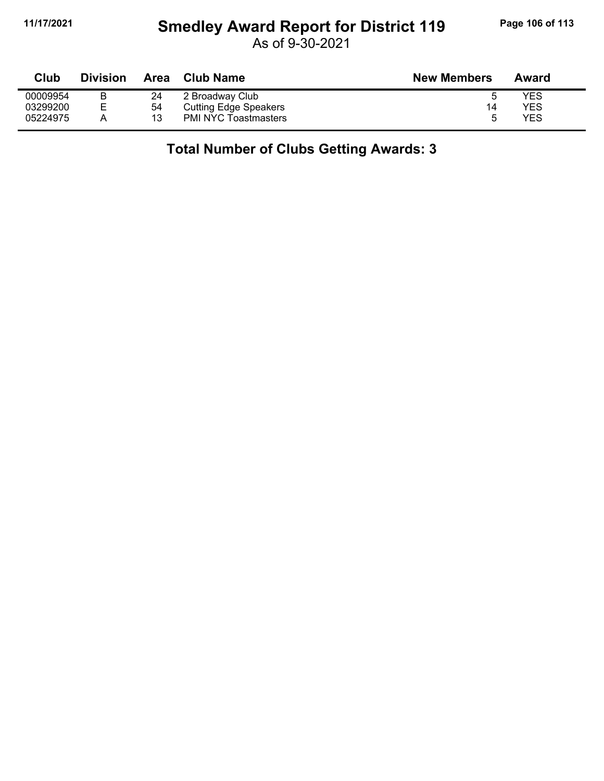## **11/17/2021 Smedley Award Report for District 119 Page 106 of 113**

As of 9-30-2021

| Club     | <b>Division</b> | Area | <b>Club Name</b>             | <b>New Members</b> | Award |
|----------|-----------------|------|------------------------------|--------------------|-------|
| 00009954 |                 | 24   | 2 Broadway Club              | ∽                  | YES   |
| 03299200 | Е               | 54   | <b>Cutting Edge Speakers</b> | 14                 | YES   |
| 05224975 | Α               | 13   | <b>PMI NYC Toastmasters</b>  | h                  | YES   |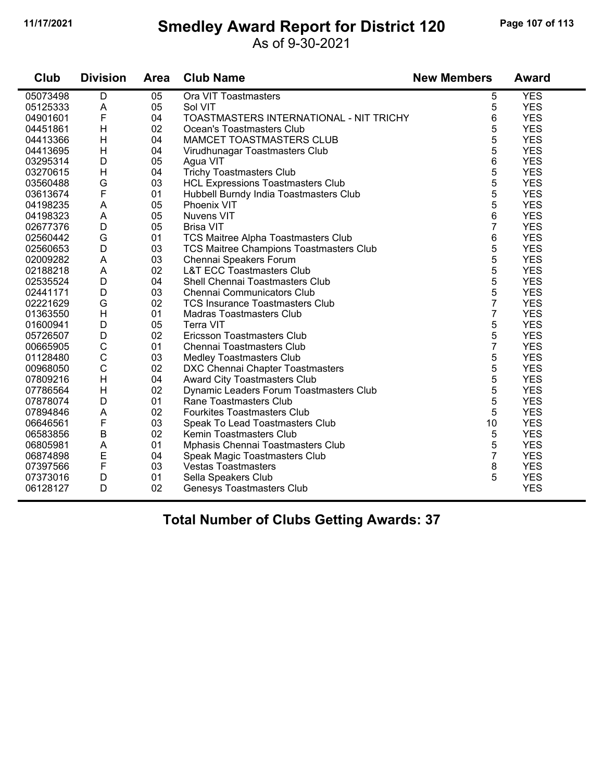#### **11/17/2021 Smedley Award Report for District 120 Page 107 of 113**

As of 9-30-2021

| Club     | <b>Division</b>           | <b>Area</b> | <b>Club Name</b>                           | <b>New Members</b> | <b>Award</b> |
|----------|---------------------------|-------------|--------------------------------------------|--------------------|--------------|
| 05073498 | D                         | 05          | Ora VIT Toastmasters                       | 5                  | <b>YES</b>   |
| 05125333 | A                         | 05          | Sol VIT                                    | 5                  | <b>YES</b>   |
| 04901601 | F                         | 04          | TOASTMASTERS INTERNATIONAL - NIT TRICHY    | 6                  | <b>YES</b>   |
| 04451861 | H                         | 02          | Ocean's Toastmasters Club                  | 5                  | <b>YES</b>   |
| 04413366 | H                         | 04          | MAMCET TOASTMASTERS CLUB                   | 5                  | <b>YES</b>   |
| 04413695 | $\boldsymbol{\mathsf{H}}$ | 04          | Virudhunagar Toastmasters Club             | 5                  | <b>YES</b>   |
| 03295314 | D                         | 05          | Agua VIT                                   | 6                  | <b>YES</b>   |
| 03270615 | H                         | 04          | <b>Trichy Toastmasters Club</b>            | 5                  | <b>YES</b>   |
| 03560488 | G                         | 03          | <b>HCL Expressions Toastmasters Club</b>   | 5                  | <b>YES</b>   |
| 03613674 | F                         | 01          | Hubbell Burndy India Toastmasters Club     | 5                  | <b>YES</b>   |
| 04198235 | A                         | 05          | <b>Phoenix VIT</b>                         | 5                  | <b>YES</b>   |
| 04198323 | A                         | 05          | Nuvens VIT                                 | 6                  | <b>YES</b>   |
| 02677376 | D                         | 05          | <b>Brisa VIT</b>                           | $\overline{7}$     | <b>YES</b>   |
| 02560442 | G                         | 01          | <b>TCS Maitree Alpha Toastmasters Club</b> | 6                  | <b>YES</b>   |
| 02560653 | $\mathsf D$               | 03          | TCS Maitree Champions Toastmasters Club    | 5                  | <b>YES</b>   |
| 02009282 | A                         | 03          | Chennai Speakers Forum                     | 5                  | <b>YES</b>   |
| 02188218 | A                         | 02          | <b>L&amp;T ECC Toastmasters Club</b>       | 5                  | <b>YES</b>   |
| 02535524 | D                         | 04          | Shell Chennai Toastmasters Club            | 5                  | <b>YES</b>   |
| 02441171 | D                         | 03          | <b>Chennai Communicators Club</b>          | 5                  | <b>YES</b>   |
| 02221629 | G                         | 02          | <b>TCS Insurance Toastmasters Club</b>     | $\overline{7}$     | <b>YES</b>   |
| 01363550 | H                         | 01          | <b>Madras Toastmasters Club</b>            | $\overline{7}$     | <b>YES</b>   |
| 01600941 | D                         | 05          | Terra VIT                                  | 5                  | <b>YES</b>   |
| 05726507 | D                         | 02          | Ericsson Toastmasters Club                 | 5                  | <b>YES</b>   |
| 00665905 | $\mathsf C$               | 01          | Chennai Toastmasters Club                  | $\overline{7}$     | <b>YES</b>   |
| 01128480 | $\mathsf C$               | 03          | <b>Medley Toastmasters Club</b>            | 5                  | <b>YES</b>   |
| 00968050 | $\mathbf C$               | 02          | DXC Chennai Chapter Toastmasters           | 5                  | <b>YES</b>   |
| 07809216 | H                         | 04          | Award City Toastmasters Club               | 5                  | <b>YES</b>   |
| 07786564 | H                         | 02          | Dynamic Leaders Forum Toastmasters Club    | 5                  | <b>YES</b>   |
| 07878074 | D                         | 01          | Rane Toastmasters Club                     | 5                  | <b>YES</b>   |
| 07894846 | A                         | 02          | <b>Fourkites Toastmasters Club</b>         | 5                  | <b>YES</b>   |
| 06646561 | $\mathsf{F}$              | 03          | Speak To Lead Toastmasters Club            | 10                 | <b>YES</b>   |
| 06583856 | B                         | 02          | Kemin Toastmasters Club                    | 5                  | <b>YES</b>   |
| 06805981 | A                         | 01          | Mphasis Chennai Toastmasters Club          | 5                  | <b>YES</b>   |
| 06874898 | E                         | 04          | Speak Magic Toastmasters Club              | $\overline{7}$     | <b>YES</b>   |
| 07397566 | F                         | 03          | <b>Vestas Toastmasters</b>                 | 8                  | <b>YES</b>   |
| 07373016 | D                         | 01          | Sella Speakers Club                        | 5                  | <b>YES</b>   |
| 06128127 | D                         | 02          | <b>Genesys Toastmasters Club</b>           |                    | <b>YES</b>   |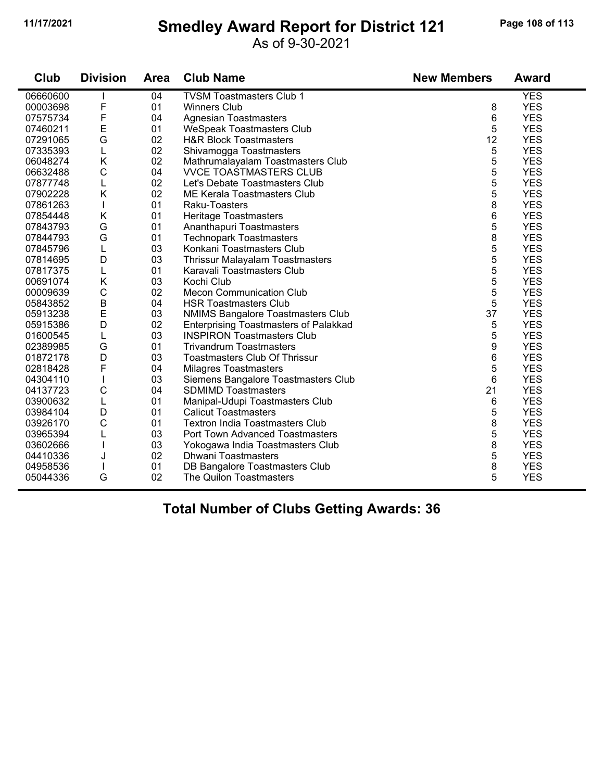#### **11/17/2021 Smedley Award Report for District 121 Page 108 of 113**

#### As of 9-30-2021

| Club     | <b>Division</b> | <b>Area</b> | <b>Club Name</b>                             | <b>New Members</b> | <b>Award</b> |
|----------|-----------------|-------------|----------------------------------------------|--------------------|--------------|
| 06660600 |                 | 04          | <b>TVSM Toastmasters Club 1</b>              |                    | <b>YES</b>   |
| 00003698 | F               | 01          | <b>Winners Club</b>                          | 8                  | <b>YES</b>   |
| 07575734 | F               | 04          | <b>Agnesian Toastmasters</b>                 | 6                  | <b>YES</b>   |
| 07460211 | E               | 01          | <b>WeSpeak Toastmasters Club</b>             | 5                  | <b>YES</b>   |
| 07291065 | G               | 02          | <b>H&amp;R Block Toastmasters</b>            | 12                 | <b>YES</b>   |
| 07335393 | L               | 02          | Shivamogga Toastmasters                      | 5                  | <b>YES</b>   |
| 06048274 | K               | 02          | Mathrumalayalam Toastmasters Club            | 5                  | <b>YES</b>   |
| 06632488 | $\mathsf{C}$    | 04          | <b>VVCE TOASTMASTERS CLUB</b>                | 5                  | <b>YES</b>   |
| 07877748 | L               | 02          | Let's Debate Toastmasters Club               | 5                  | <b>YES</b>   |
| 07902228 | K               | 02          | ME Kerala Toastmasters Club                  | 5                  | <b>YES</b>   |
| 07861263 | T               | 01          | Raku-Toasters                                | 8                  | <b>YES</b>   |
| 07854448 | Κ               | 01          | Heritage Toastmasters                        | 6                  | <b>YES</b>   |
| 07843793 | G               | 01          | Ananthapuri Toastmasters                     | 5                  | <b>YES</b>   |
| 07844793 | G               | 01          | <b>Technopark Toastmasters</b>               | 8                  | <b>YES</b>   |
| 07845796 | L               | 03          | Konkani Toastmasters Club                    | 5                  | <b>YES</b>   |
| 07814695 | D               | 03          | <b>Thrissur Malayalam Toastmasters</b>       | 5                  | <b>YES</b>   |
| 07817375 | L               | 01          | Karavali Toastmasters Club                   | 5                  | <b>YES</b>   |
| 00691074 | K               | 03          | Kochi Club                                   | 5                  | <b>YES</b>   |
| 00009639 | $\mathsf C$     | 02          | <b>Mecon Communication Club</b>              | 5                  | <b>YES</b>   |
| 05843852 | B               | 04          | <b>HSR Toastmasters Club</b>                 | 5                  | <b>YES</b>   |
| 05913238 | E               | 03          | <b>NMIMS Bangalore Toastmasters Club</b>     | 37                 | <b>YES</b>   |
| 05915386 | D               | 02          | <b>Enterprising Toastmasters of Palakkad</b> | 5                  | <b>YES</b>   |
| 01600545 | L               | 03          | <b>INSPIRON Toastmasters Club</b>            | 5                  | <b>YES</b>   |
| 02389985 | G               | 01          | <b>Trivandrum Toastmasters</b>               | 9                  | <b>YES</b>   |
| 01872178 | D               | 03          | <b>Toastmasters Club Of Thrissur</b>         | 6                  | <b>YES</b>   |
| 02818428 | F               | 04          | <b>Milagres Toastmasters</b>                 | 5                  | <b>YES</b>   |
| 04304110 |                 | 03          | Siemens Bangalore Toastmasters Club          | 6                  | <b>YES</b>   |
| 04137723 | C               | 04          | <b>SDMIMD Toastmasters</b>                   | 21                 | <b>YES</b>   |
| 03900632 | L               | 01          | Manipal-Udupi Toastmasters Club              | 6                  | <b>YES</b>   |
| 03984104 | D               | 01          | <b>Calicut Toastmasters</b>                  | 5                  | <b>YES</b>   |
| 03926170 | C               | 01          | <b>Textron India Toastmasters Club</b>       | 8                  | <b>YES</b>   |
| 03965394 | L               | 03          | <b>Port Town Advanced Toastmasters</b>       | 5                  | <b>YES</b>   |
| 03602666 |                 | 03          | Yokogawa India Toastmasters Club             | 8                  | <b>YES</b>   |
| 04410336 | J               | 02          | <b>Dhwani Toastmasters</b>                   | 5                  | <b>YES</b>   |
| 04958536 |                 | 01          | DB Bangalore Toastmasters Club               | 8                  | <b>YES</b>   |
| 05044336 | G               | 02          | The Quilon Toastmasters                      | 5                  | <b>YES</b>   |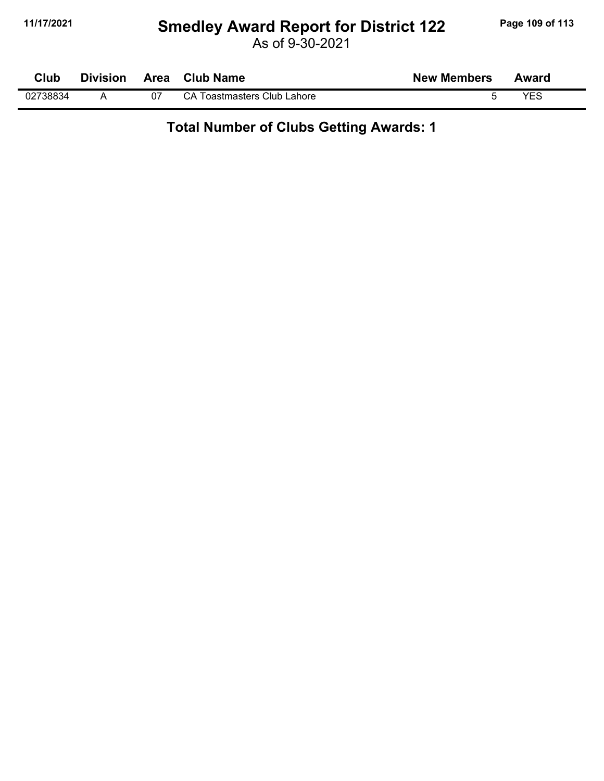#### **11/17/2021 Smedley Award Report for District 122 Page 109 of 113**

As of 9-30-2021

| Club     | <b>Division</b> | Area | <b>Club Name</b>            | <b>New Members</b> | Award      |  |
|----------|-----------------|------|-----------------------------|--------------------|------------|--|
| 02738834 |                 |      | CA Toastmasters Club Lahore |                    | <b>VEC</b> |  |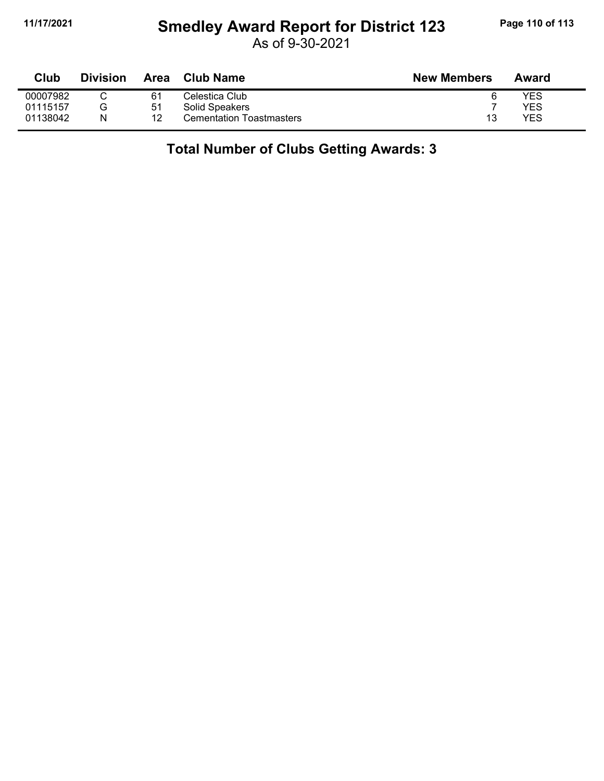# **11/17/2021 Smedley Award Report for District 123 Page 110 of 113**

As of 9-30-2021

| <b>Club</b> | Division | <b>Area</b> | <b>Club Name</b>                | <b>New Members</b> | Award |
|-------------|----------|-------------|---------------------------------|--------------------|-------|
| 00007982    |          | 61          | Celestica Club                  |                    | YES   |
| 01115157    | G        | 51          | Solid Speakers                  |                    | YES   |
| 01138042    | N        | 12          | <b>Cementation Toastmasters</b> | 13                 | YES   |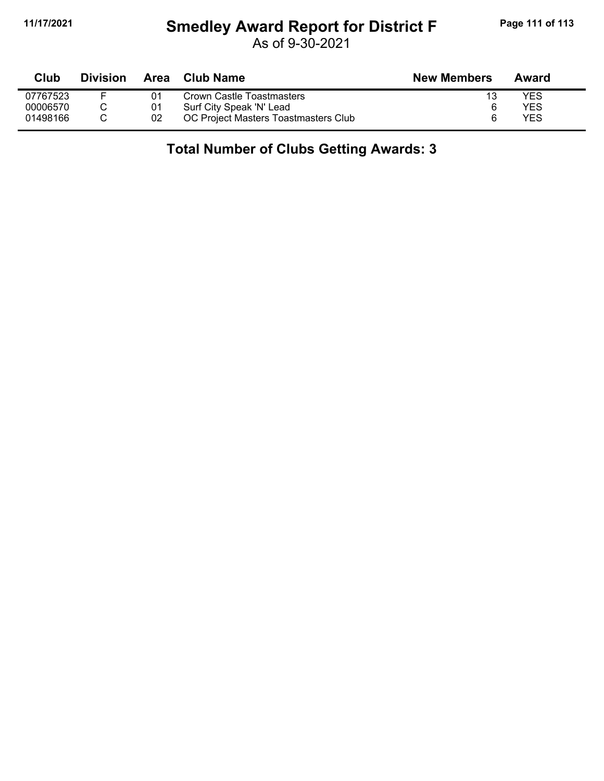# **11/17/2021 Smedley Award Report for District F Page 111 of 113**

As of 9-30-2021

| <b>Club</b> | <b>Division</b> |    | Area Club Name                       | <b>New Members</b> | Award      |  |
|-------------|-----------------|----|--------------------------------------|--------------------|------------|--|
| 07767523    | F               | 01 | Crown Castle Toastmasters            |                    | YES        |  |
| 00006570    |                 | 01 | Surf City Speak 'N' Lead             |                    | YES        |  |
| 01498166    |                 | 02 | OC Project Masters Toastmasters Club |                    | <b>YES</b> |  |